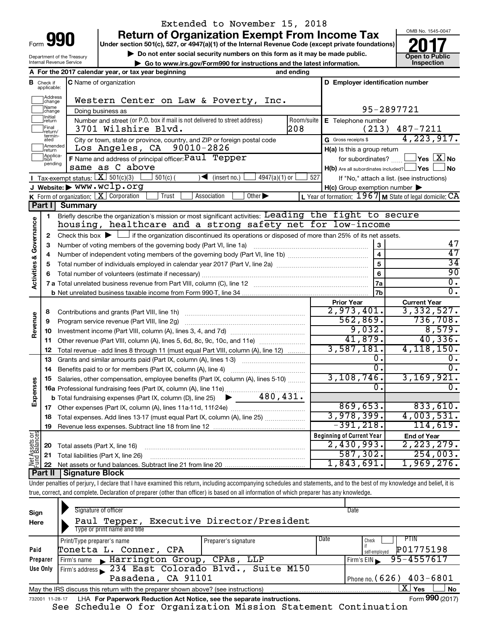Department of the Treasury Internal Revenue Service

# Extended to November 15, 2018

**Under section 501(c), 527, or 4947(a)(1) of the Internal Revenue Code (except private foundations) Return of Organization Exempt From Income Tax**<br>r section 501(c), 527, or 4947(a)(1) of the Internal Revenue Code (except private foundations)

▶ Do not enter social security numbers on this form as it may be made public.<br>
inspection and the latest information. **Dependent in the latest information** and the latest information. **| Go to www.irs.gov/Form990 for instructions and the latest information. Inspection**



|                                    |                               | A For the 2017 calendar year, or tax year beginning                                                                                                | and ending |                                                         |                                                           |
|------------------------------------|-------------------------------|----------------------------------------------------------------------------------------------------------------------------------------------------|------------|---------------------------------------------------------|-----------------------------------------------------------|
|                                    | <b>B</b> Check if applicable: | <b>C</b> Name of organization                                                                                                                      |            | D Employer identification number                        |                                                           |
|                                    | Address<br>change             | Western Center on Law & Poverty, Inc.                                                                                                              |            |                                                         |                                                           |
|                                    | Name<br>]change               | Doing business as                                                                                                                                  |            |                                                         | 95-2897721                                                |
|                                    | Initial<br>Jreturn            | Number and street (or P.O. box if mail is not delivered to street address)                                                                         | Room/suite | E Telephone number                                      |                                                           |
|                                    | Final<br> return/             | 3701 Wilshire Blvd.                                                                                                                                | 208        | (213)                                                   | 487-7211                                                  |
|                                    | termin-<br>ated               | City or town, state or province, country, and ZIP or foreign postal code                                                                           |            | G Gross receipts \$                                     | 4,223,917.                                                |
|                                    | Amended<br><b>return</b>      | Los Angeles, CA<br>90010-2826                                                                                                                      |            | H(a) Is this a group return                             |                                                           |
|                                    | Applica-<br>pending           | F Name and address of principal officer: Paul Tepper                                                                                               |            | for subordinates?                                       | $\sqrt{}$ Yes $\boxed{\text{X}}$ No                       |
|                                    |                               | same as C above                                                                                                                                    |            | $H(b)$ Are all subordinates included? $\Box$ Yes $\Box$ | ⊥No                                                       |
|                                    |                               | <b>I</b> Tax-exempt status: $X \overline{301(c)(3)}$<br>$501(c)$ (<br>$\sqrt{\frac{1}{1}}$ (insert no.)<br>$4947(a)(1)$ or                         | 527        |                                                         | If "No," attach a list. (see instructions)                |
|                                    |                               | J Website: $\triangleright$ WWW.WClp.org                                                                                                           |            | $H(c)$ Group exemption number $\blacktriangleright$     |                                                           |
|                                    |                               | <b>K</b> Form of organization: $\boxed{\mathbf{X}}$ Corporation<br>Trust<br>Association<br>Other $\blacktriangleright$                             |            |                                                         | L Year of formation: $1967$ M State of legal domicile: CA |
|                                    | <b>Part I</b>                 | <b>Summary</b>                                                                                                                                     |            |                                                         |                                                           |
|                                    | 1                             | Briefly describe the organization's mission or most significant activities: Leading the fight to secure                                            |            |                                                         |                                                           |
|                                    |                               | housing, healthcare and a strong safety net for low-income                                                                                         |            |                                                         |                                                           |
| <b>Activities &amp; Governance</b> | 2                             | Check this box $\blacktriangleright$ $\Box$ if the organization discontinued its operations or disposed of more than 25% of its net assets.        |            |                                                         |                                                           |
|                                    | 3                             | Number of voting members of the governing body (Part VI, line 1a)                                                                                  |            | 3                                                       | 47                                                        |
|                                    | 4                             |                                                                                                                                                    |            | $\overline{\mathbf{4}}$                                 | 47                                                        |
|                                    | 5                             |                                                                                                                                                    |            | 5                                                       | $\overline{34}$                                           |
|                                    |                               |                                                                                                                                                    |            | 6                                                       | 90                                                        |
|                                    |                               |                                                                                                                                                    |            | 7a                                                      | $\overline{0}$ .                                          |
|                                    |                               |                                                                                                                                                    |            | 7 <sub>b</sub>                                          | $\overline{0}$ .                                          |
|                                    |                               |                                                                                                                                                    |            | <b>Prior Year</b><br>2,973,401.                         | <b>Current Year</b><br>3,332,527.                         |
|                                    | 8                             |                                                                                                                                                    |            | 562,869.                                                | 736,708.                                                  |
| Revenue                            | 9                             | Program service revenue (Part VIII, line 2g)                                                                                                       |            | 9,032.                                                  | 8,579.                                                    |
|                                    | 10                            |                                                                                                                                                    |            | 41,879.                                                 | 40,336.                                                   |
|                                    | 11                            | Other revenue (Part VIII, column (A), lines 5, 6d, 8c, 9c, 10c, and 11e)                                                                           |            | 3,587,181.                                              | 4, 118, 150.                                              |
|                                    | 12                            | Total revenue - add lines 8 through 11 (must equal Part VIII, column (A), line 12)                                                                 |            | Ο.                                                      | 0.                                                        |
|                                    | 13<br>14                      | Grants and similar amounts paid (Part IX, column (A), lines 1-3)                                                                                   |            | Ο.                                                      | 0.                                                        |
|                                    | 15                            | Benefits paid to or for members (Part IX, column (A), line 4)<br>Salaries, other compensation, employee benefits (Part IX, column (A), lines 5-10) |            | 3, 108, 746.                                            | 3,169,921.                                                |
| Expenses                           |                               | 16a Professional fundraising fees (Part IX, column (A), line 11e)                                                                                  |            | 0.                                                      | 0.                                                        |
|                                    |                               | 480,431.<br><b>b</b> Total fundraising expenses (Part IX, column (D), line 25)                                                                     |            |                                                         |                                                           |
|                                    | 17                            | Other expenses (Part IX, column (A), lines 11a-11d, 11f-24e)                                                                                       |            | 869,653.                                                | 833,610.                                                  |
|                                    | 18                            | Total expenses. Add lines 13-17 (must equal Part IX, column (A), line 25)                                                                          |            | 3,978,399.                                              | 4,003,531.                                                |
|                                    | 19                            |                                                                                                                                                    |            | $-391,218.$                                             | 114,619.                                                  |
|                                    |                               |                                                                                                                                                    |            | <b>Beginning of Current Year</b>                        | <b>End of Year</b>                                        |
|                                    | 20                            | Total assets (Part X, line 16)                                                                                                                     |            | 2,430,993.                                              | 2, 223, 279.                                              |
|                                    | 21                            | Total liabilities (Part X, line 26)                                                                                                                |            | 587, 302.                                               | 254,003.                                                  |
| Net Assets or<br>Fund Balances     | 22                            |                                                                                                                                                    |            | 1,843,691.                                              | 1,969,276.                                                |
|                                    |                               |                                                                                                                                                    |            |                                                         |                                                           |

**Part II Signature Block**

Under penalties of perjury, I declare that I have examined this return, including accompanying schedules and statements, and to the best of my knowledge and belief, it is true, correct, and complete. Declaration of preparer (other than officer) is based on all information of which preparer has any knowledge.

| Sign<br>Here    | Signature of officer<br>Paul Tepper, Executive Director/President                                            |                      |      | Date                         |  |  |  |
|-----------------|--------------------------------------------------------------------------------------------------------------|----------------------|------|------------------------------|--|--|--|
|                 | Type or print name and title                                                                                 |                      |      |                              |  |  |  |
|                 | Print/Type preparer's name                                                                                   | Preparer's signature | Date | PTIN<br>Check                |  |  |  |
| Paid            | Tonetta L. Conner,<br>CPA                                                                                    |                      |      | P01775198<br>self-emploved   |  |  |  |
| Preparer        | Firm's name Marrington Group, CPAs, LLP                                                                      |                      |      | 95-4557617<br>Firm's $EIN$   |  |  |  |
| Use Only        | Firm's address 234 East Colorado Blvd., Suite M150                                                           |                      |      |                              |  |  |  |
|                 | Pasadena, CA 91101                                                                                           |                      |      | Phone no. (626) $403 - 6801$ |  |  |  |
|                 | X  <br>Yes<br><b>No</b><br>May the IRS discuss this return with the preparer shown above? (see instructions) |                      |      |                              |  |  |  |
| 732001 11-28-17 | LHA For Paperwork Reduction Act Notice, see the separate instructions.                                       |                      |      | Form 990 (2017)              |  |  |  |

See Schedule O for Organization Mission Statement Continuation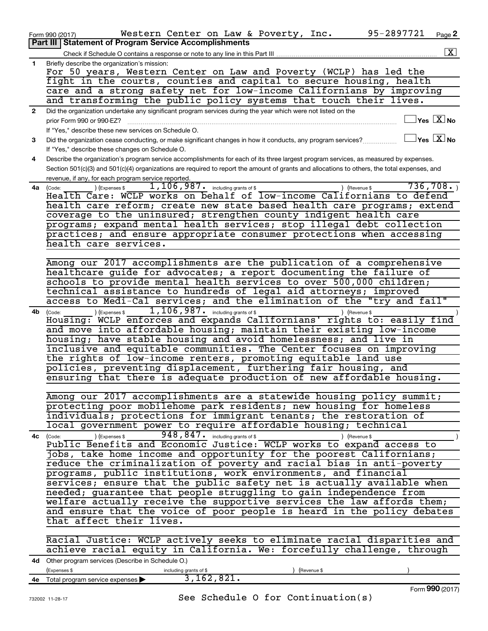| <b>Part III   Statement of Program Service Accomplishments</b><br>$\overline{\mathbf{x}}$<br>Check if Schedule O contains a response or note to any line in this Part III<br>1.<br>Briefly describe the organization's mission:<br>For 50 years, Western Center on Law and Poverty (WCLP) has led the<br>fight in the courts, counties and capital to secure housing, health<br>care and a strong safety net for low-income Californians by improving<br>and transforming the public policy systems that touch their lives.<br>Did the organization undertake any significant program services during the year which were not listed on the<br>$\mathbf{2}$<br>$\Box$ Yes $[\overline{\mathrm{X}}]$ No<br>prior Form 990 or 990-EZ?<br>If "Yes," describe these new services on Schedule O.<br>$\Box$ Yes $~\Box$ X $\Box$ No<br>Did the organization cease conducting, or make significant changes in how it conducts, any program services?<br>3<br>If "Yes," describe these changes on Schedule O.<br>Describe the organization's program service accomplishments for each of its three largest program services, as measured by expenses.<br>4<br>Section 501(c)(3) and 501(c)(4) organizations are required to report the amount of grants and allocations to others, the total expenses, and<br>revenue, if any, for each program service reported.<br>736,708.<br>1, 106, 987. including grants of \$<br>) (Revenue \$<br>4a<br>(Expenses \$<br>(Code:<br>Health Care: WCLP works on behalf of low-income Californians to defend<br>health care reform; create new state based health care programs; extend<br>coverage to the uninsured; strengthen county indigent health care<br>programs; expand mental health services; stop illegal debt collection<br>practices; and ensure appropriate consumer protections when accessing<br>health care services.<br>Among our 2017 accomplishments are the publication of a comprehensive<br>healthcare guide for advocates; a report documenting the failure of<br>schools to provide mental health services to over 500,000 children;<br>technical assistance to hundreds of legal aid attorneys; improved<br>access to Medi-Cal services; and the elimination of the "try and fail"<br>1, 106, 987. including grants of \$<br>) (Expenses \$<br>) (Revenue \$<br>4b<br>(Code:<br>Housing: WCLP enforces and expands Californians' rights to: easily find<br>and move into affordable housing; maintain their existing low-income<br>housing; have stable housing and avoid homelessness; and live in<br>inclusive and equitable communities. The Center focuses on improving<br>the rights of low-income renters, promoting equitable land use<br>policies, preventing displacement, furthering fair housing, and<br>ensuring that there is adequate production of new affordable housing.<br>Among our 2017 accomplishments are a statewide housing policy summit;<br>protecting poor mobilehome park residents; new housing for homeless<br>individuals; protections for immigrant tenants; the restoration of<br>local government power to require affordable housing; technical<br>948, 847. including grants of \$<br>(Expenses \$<br>) (Revenue \$<br>4c<br>(Code:<br>Public Benefits and Economic Justice: WCLP works to expand access to<br>jobs, take home income and opportunity for the poorest Californians;<br>reduce the criminalization of poverty and racial bias in anti-poverty<br>programs, public institutions, work environments, and financial<br>services; ensure that the public safety net is actually available when<br>needed; guarantee that people struggling to gain independence from<br>welfare actually receive the supportive services the law affords them;<br>and ensure that the voice of poor people is heard in the policy debates<br>that affect their lives.<br>Racial Justice: WCLP actively seeks to eliminate racial disparities and<br>achieve racial equity in California. We: forcefully challenge, through<br>4d Other program services (Describe in Schedule O.)<br>(Expenses \$<br>including grants of \$<br>Revenue \$<br>3, 162, 821.<br>4e Total program service expenses ><br>Form 990 (2017) | 95-2897721<br>Western Center on Law & Poverty, Inc.<br>Page 2<br>Form 990 (2017) |
|----------------------------------------------------------------------------------------------------------------------------------------------------------------------------------------------------------------------------------------------------------------------------------------------------------------------------------------------------------------------------------------------------------------------------------------------------------------------------------------------------------------------------------------------------------------------------------------------------------------------------------------------------------------------------------------------------------------------------------------------------------------------------------------------------------------------------------------------------------------------------------------------------------------------------------------------------------------------------------------------------------------------------------------------------------------------------------------------------------------------------------------------------------------------------------------------------------------------------------------------------------------------------------------------------------------------------------------------------------------------------------------------------------------------------------------------------------------------------------------------------------------------------------------------------------------------------------------------------------------------------------------------------------------------------------------------------------------------------------------------------------------------------------------------------------------------------------------------------------------------------------------------------------------------------------------------------------------------------------------------------------------------------------------------------------------------------------------------------------------------------------------------------------------------------------------------------------------------------------------------------------------------------------------------------------------------------------------------------------------------------------------------------------------------------------------------------------------------------------------------------------------------------------------------------------------------------------------------------------------------------------------------------------------------------------------------------------------------------------------------------------------------------------------------------------------------------------------------------------------------------------------------------------------------------------------------------------------------------------------------------------------------------------------------------------------------------------------------------------------------------------------------------------------------------------------------------------------------------------------------------------------------------------------------------------------------------------------------------------------------------------------------------------------------------------------------------------------------------------------------------------------------------------------------------------------------------------------------------------------------------------------------------------------------------------------------------------------------------------------------------------------------------------------------------------------------------------------------------------------------------------------------------------------------------------------------------------------------------------------------------------------------------------------------------------------------------------------------------------------------------------------------------------------------------------------------------------|----------------------------------------------------------------------------------|
|                                                                                                                                                                                                                                                                                                                                                                                                                                                                                                                                                                                                                                                                                                                                                                                                                                                                                                                                                                                                                                                                                                                                                                                                                                                                                                                                                                                                                                                                                                                                                                                                                                                                                                                                                                                                                                                                                                                                                                                                                                                                                                                                                                                                                                                                                                                                                                                                                                                                                                                                                                                                                                                                                                                                                                                                                                                                                                                                                                                                                                                                                                                                                                                                                                                                                                                                                                                                                                                                                                                                                                                                                                                                                                                                                                                                                                                                                                                                                                                                                                                                                                                                                                                                          |                                                                                  |
|                                                                                                                                                                                                                                                                                                                                                                                                                                                                                                                                                                                                                                                                                                                                                                                                                                                                                                                                                                                                                                                                                                                                                                                                                                                                                                                                                                                                                                                                                                                                                                                                                                                                                                                                                                                                                                                                                                                                                                                                                                                                                                                                                                                                                                                                                                                                                                                                                                                                                                                                                                                                                                                                                                                                                                                                                                                                                                                                                                                                                                                                                                                                                                                                                                                                                                                                                                                                                                                                                                                                                                                                                                                                                                                                                                                                                                                                                                                                                                                                                                                                                                                                                                                                          |                                                                                  |
|                                                                                                                                                                                                                                                                                                                                                                                                                                                                                                                                                                                                                                                                                                                                                                                                                                                                                                                                                                                                                                                                                                                                                                                                                                                                                                                                                                                                                                                                                                                                                                                                                                                                                                                                                                                                                                                                                                                                                                                                                                                                                                                                                                                                                                                                                                                                                                                                                                                                                                                                                                                                                                                                                                                                                                                                                                                                                                                                                                                                                                                                                                                                                                                                                                                                                                                                                                                                                                                                                                                                                                                                                                                                                                                                                                                                                                                                                                                                                                                                                                                                                                                                                                                                          |                                                                                  |
|                                                                                                                                                                                                                                                                                                                                                                                                                                                                                                                                                                                                                                                                                                                                                                                                                                                                                                                                                                                                                                                                                                                                                                                                                                                                                                                                                                                                                                                                                                                                                                                                                                                                                                                                                                                                                                                                                                                                                                                                                                                                                                                                                                                                                                                                                                                                                                                                                                                                                                                                                                                                                                                                                                                                                                                                                                                                                                                                                                                                                                                                                                                                                                                                                                                                                                                                                                                                                                                                                                                                                                                                                                                                                                                                                                                                                                                                                                                                                                                                                                                                                                                                                                                                          |                                                                                  |
|                                                                                                                                                                                                                                                                                                                                                                                                                                                                                                                                                                                                                                                                                                                                                                                                                                                                                                                                                                                                                                                                                                                                                                                                                                                                                                                                                                                                                                                                                                                                                                                                                                                                                                                                                                                                                                                                                                                                                                                                                                                                                                                                                                                                                                                                                                                                                                                                                                                                                                                                                                                                                                                                                                                                                                                                                                                                                                                                                                                                                                                                                                                                                                                                                                                                                                                                                                                                                                                                                                                                                                                                                                                                                                                                                                                                                                                                                                                                                                                                                                                                                                                                                                                                          |                                                                                  |
|                                                                                                                                                                                                                                                                                                                                                                                                                                                                                                                                                                                                                                                                                                                                                                                                                                                                                                                                                                                                                                                                                                                                                                                                                                                                                                                                                                                                                                                                                                                                                                                                                                                                                                                                                                                                                                                                                                                                                                                                                                                                                                                                                                                                                                                                                                                                                                                                                                                                                                                                                                                                                                                                                                                                                                                                                                                                                                                                                                                                                                                                                                                                                                                                                                                                                                                                                                                                                                                                                                                                                                                                                                                                                                                                                                                                                                                                                                                                                                                                                                                                                                                                                                                                          |                                                                                  |
|                                                                                                                                                                                                                                                                                                                                                                                                                                                                                                                                                                                                                                                                                                                                                                                                                                                                                                                                                                                                                                                                                                                                                                                                                                                                                                                                                                                                                                                                                                                                                                                                                                                                                                                                                                                                                                                                                                                                                                                                                                                                                                                                                                                                                                                                                                                                                                                                                                                                                                                                                                                                                                                                                                                                                                                                                                                                                                                                                                                                                                                                                                                                                                                                                                                                                                                                                                                                                                                                                                                                                                                                                                                                                                                                                                                                                                                                                                                                                                                                                                                                                                                                                                                                          |                                                                                  |
|                                                                                                                                                                                                                                                                                                                                                                                                                                                                                                                                                                                                                                                                                                                                                                                                                                                                                                                                                                                                                                                                                                                                                                                                                                                                                                                                                                                                                                                                                                                                                                                                                                                                                                                                                                                                                                                                                                                                                                                                                                                                                                                                                                                                                                                                                                                                                                                                                                                                                                                                                                                                                                                                                                                                                                                                                                                                                                                                                                                                                                                                                                                                                                                                                                                                                                                                                                                                                                                                                                                                                                                                                                                                                                                                                                                                                                                                                                                                                                                                                                                                                                                                                                                                          |                                                                                  |
|                                                                                                                                                                                                                                                                                                                                                                                                                                                                                                                                                                                                                                                                                                                                                                                                                                                                                                                                                                                                                                                                                                                                                                                                                                                                                                                                                                                                                                                                                                                                                                                                                                                                                                                                                                                                                                                                                                                                                                                                                                                                                                                                                                                                                                                                                                                                                                                                                                                                                                                                                                                                                                                                                                                                                                                                                                                                                                                                                                                                                                                                                                                                                                                                                                                                                                                                                                                                                                                                                                                                                                                                                                                                                                                                                                                                                                                                                                                                                                                                                                                                                                                                                                                                          |                                                                                  |
|                                                                                                                                                                                                                                                                                                                                                                                                                                                                                                                                                                                                                                                                                                                                                                                                                                                                                                                                                                                                                                                                                                                                                                                                                                                                                                                                                                                                                                                                                                                                                                                                                                                                                                                                                                                                                                                                                                                                                                                                                                                                                                                                                                                                                                                                                                                                                                                                                                                                                                                                                                                                                                                                                                                                                                                                                                                                                                                                                                                                                                                                                                                                                                                                                                                                                                                                                                                                                                                                                                                                                                                                                                                                                                                                                                                                                                                                                                                                                                                                                                                                                                                                                                                                          |                                                                                  |
|                                                                                                                                                                                                                                                                                                                                                                                                                                                                                                                                                                                                                                                                                                                                                                                                                                                                                                                                                                                                                                                                                                                                                                                                                                                                                                                                                                                                                                                                                                                                                                                                                                                                                                                                                                                                                                                                                                                                                                                                                                                                                                                                                                                                                                                                                                                                                                                                                                                                                                                                                                                                                                                                                                                                                                                                                                                                                                                                                                                                                                                                                                                                                                                                                                                                                                                                                                                                                                                                                                                                                                                                                                                                                                                                                                                                                                                                                                                                                                                                                                                                                                                                                                                                          |                                                                                  |
|                                                                                                                                                                                                                                                                                                                                                                                                                                                                                                                                                                                                                                                                                                                                                                                                                                                                                                                                                                                                                                                                                                                                                                                                                                                                                                                                                                                                                                                                                                                                                                                                                                                                                                                                                                                                                                                                                                                                                                                                                                                                                                                                                                                                                                                                                                                                                                                                                                                                                                                                                                                                                                                                                                                                                                                                                                                                                                                                                                                                                                                                                                                                                                                                                                                                                                                                                                                                                                                                                                                                                                                                                                                                                                                                                                                                                                                                                                                                                                                                                                                                                                                                                                                                          |                                                                                  |
|                                                                                                                                                                                                                                                                                                                                                                                                                                                                                                                                                                                                                                                                                                                                                                                                                                                                                                                                                                                                                                                                                                                                                                                                                                                                                                                                                                                                                                                                                                                                                                                                                                                                                                                                                                                                                                                                                                                                                                                                                                                                                                                                                                                                                                                                                                                                                                                                                                                                                                                                                                                                                                                                                                                                                                                                                                                                                                                                                                                                                                                                                                                                                                                                                                                                                                                                                                                                                                                                                                                                                                                                                                                                                                                                                                                                                                                                                                                                                                                                                                                                                                                                                                                                          |                                                                                  |
|                                                                                                                                                                                                                                                                                                                                                                                                                                                                                                                                                                                                                                                                                                                                                                                                                                                                                                                                                                                                                                                                                                                                                                                                                                                                                                                                                                                                                                                                                                                                                                                                                                                                                                                                                                                                                                                                                                                                                                                                                                                                                                                                                                                                                                                                                                                                                                                                                                                                                                                                                                                                                                                                                                                                                                                                                                                                                                                                                                                                                                                                                                                                                                                                                                                                                                                                                                                                                                                                                                                                                                                                                                                                                                                                                                                                                                                                                                                                                                                                                                                                                                                                                                                                          |                                                                                  |
|                                                                                                                                                                                                                                                                                                                                                                                                                                                                                                                                                                                                                                                                                                                                                                                                                                                                                                                                                                                                                                                                                                                                                                                                                                                                                                                                                                                                                                                                                                                                                                                                                                                                                                                                                                                                                                                                                                                                                                                                                                                                                                                                                                                                                                                                                                                                                                                                                                                                                                                                                                                                                                                                                                                                                                                                                                                                                                                                                                                                                                                                                                                                                                                                                                                                                                                                                                                                                                                                                                                                                                                                                                                                                                                                                                                                                                                                                                                                                                                                                                                                                                                                                                                                          |                                                                                  |
|                                                                                                                                                                                                                                                                                                                                                                                                                                                                                                                                                                                                                                                                                                                                                                                                                                                                                                                                                                                                                                                                                                                                                                                                                                                                                                                                                                                                                                                                                                                                                                                                                                                                                                                                                                                                                                                                                                                                                                                                                                                                                                                                                                                                                                                                                                                                                                                                                                                                                                                                                                                                                                                                                                                                                                                                                                                                                                                                                                                                                                                                                                                                                                                                                                                                                                                                                                                                                                                                                                                                                                                                                                                                                                                                                                                                                                                                                                                                                                                                                                                                                                                                                                                                          |                                                                                  |
|                                                                                                                                                                                                                                                                                                                                                                                                                                                                                                                                                                                                                                                                                                                                                                                                                                                                                                                                                                                                                                                                                                                                                                                                                                                                                                                                                                                                                                                                                                                                                                                                                                                                                                                                                                                                                                                                                                                                                                                                                                                                                                                                                                                                                                                                                                                                                                                                                                                                                                                                                                                                                                                                                                                                                                                                                                                                                                                                                                                                                                                                                                                                                                                                                                                                                                                                                                                                                                                                                                                                                                                                                                                                                                                                                                                                                                                                                                                                                                                                                                                                                                                                                                                                          |                                                                                  |
|                                                                                                                                                                                                                                                                                                                                                                                                                                                                                                                                                                                                                                                                                                                                                                                                                                                                                                                                                                                                                                                                                                                                                                                                                                                                                                                                                                                                                                                                                                                                                                                                                                                                                                                                                                                                                                                                                                                                                                                                                                                                                                                                                                                                                                                                                                                                                                                                                                                                                                                                                                                                                                                                                                                                                                                                                                                                                                                                                                                                                                                                                                                                                                                                                                                                                                                                                                                                                                                                                                                                                                                                                                                                                                                                                                                                                                                                                                                                                                                                                                                                                                                                                                                                          |                                                                                  |
|                                                                                                                                                                                                                                                                                                                                                                                                                                                                                                                                                                                                                                                                                                                                                                                                                                                                                                                                                                                                                                                                                                                                                                                                                                                                                                                                                                                                                                                                                                                                                                                                                                                                                                                                                                                                                                                                                                                                                                                                                                                                                                                                                                                                                                                                                                                                                                                                                                                                                                                                                                                                                                                                                                                                                                                                                                                                                                                                                                                                                                                                                                                                                                                                                                                                                                                                                                                                                                                                                                                                                                                                                                                                                                                                                                                                                                                                                                                                                                                                                                                                                                                                                                                                          |                                                                                  |
|                                                                                                                                                                                                                                                                                                                                                                                                                                                                                                                                                                                                                                                                                                                                                                                                                                                                                                                                                                                                                                                                                                                                                                                                                                                                                                                                                                                                                                                                                                                                                                                                                                                                                                                                                                                                                                                                                                                                                                                                                                                                                                                                                                                                                                                                                                                                                                                                                                                                                                                                                                                                                                                                                                                                                                                                                                                                                                                                                                                                                                                                                                                                                                                                                                                                                                                                                                                                                                                                                                                                                                                                                                                                                                                                                                                                                                                                                                                                                                                                                                                                                                                                                                                                          |                                                                                  |
|                                                                                                                                                                                                                                                                                                                                                                                                                                                                                                                                                                                                                                                                                                                                                                                                                                                                                                                                                                                                                                                                                                                                                                                                                                                                                                                                                                                                                                                                                                                                                                                                                                                                                                                                                                                                                                                                                                                                                                                                                                                                                                                                                                                                                                                                                                                                                                                                                                                                                                                                                                                                                                                                                                                                                                                                                                                                                                                                                                                                                                                                                                                                                                                                                                                                                                                                                                                                                                                                                                                                                                                                                                                                                                                                                                                                                                                                                                                                                                                                                                                                                                                                                                                                          |                                                                                  |
|                                                                                                                                                                                                                                                                                                                                                                                                                                                                                                                                                                                                                                                                                                                                                                                                                                                                                                                                                                                                                                                                                                                                                                                                                                                                                                                                                                                                                                                                                                                                                                                                                                                                                                                                                                                                                                                                                                                                                                                                                                                                                                                                                                                                                                                                                                                                                                                                                                                                                                                                                                                                                                                                                                                                                                                                                                                                                                                                                                                                                                                                                                                                                                                                                                                                                                                                                                                                                                                                                                                                                                                                                                                                                                                                                                                                                                                                                                                                                                                                                                                                                                                                                                                                          |                                                                                  |
|                                                                                                                                                                                                                                                                                                                                                                                                                                                                                                                                                                                                                                                                                                                                                                                                                                                                                                                                                                                                                                                                                                                                                                                                                                                                                                                                                                                                                                                                                                                                                                                                                                                                                                                                                                                                                                                                                                                                                                                                                                                                                                                                                                                                                                                                                                                                                                                                                                                                                                                                                                                                                                                                                                                                                                                                                                                                                                                                                                                                                                                                                                                                                                                                                                                                                                                                                                                                                                                                                                                                                                                                                                                                                                                                                                                                                                                                                                                                                                                                                                                                                                                                                                                                          |                                                                                  |
|                                                                                                                                                                                                                                                                                                                                                                                                                                                                                                                                                                                                                                                                                                                                                                                                                                                                                                                                                                                                                                                                                                                                                                                                                                                                                                                                                                                                                                                                                                                                                                                                                                                                                                                                                                                                                                                                                                                                                                                                                                                                                                                                                                                                                                                                                                                                                                                                                                                                                                                                                                                                                                                                                                                                                                                                                                                                                                                                                                                                                                                                                                                                                                                                                                                                                                                                                                                                                                                                                                                                                                                                                                                                                                                                                                                                                                                                                                                                                                                                                                                                                                                                                                                                          |                                                                                  |
|                                                                                                                                                                                                                                                                                                                                                                                                                                                                                                                                                                                                                                                                                                                                                                                                                                                                                                                                                                                                                                                                                                                                                                                                                                                                                                                                                                                                                                                                                                                                                                                                                                                                                                                                                                                                                                                                                                                                                                                                                                                                                                                                                                                                                                                                                                                                                                                                                                                                                                                                                                                                                                                                                                                                                                                                                                                                                                                                                                                                                                                                                                                                                                                                                                                                                                                                                                                                                                                                                                                                                                                                                                                                                                                                                                                                                                                                                                                                                                                                                                                                                                                                                                                                          |                                                                                  |
|                                                                                                                                                                                                                                                                                                                                                                                                                                                                                                                                                                                                                                                                                                                                                                                                                                                                                                                                                                                                                                                                                                                                                                                                                                                                                                                                                                                                                                                                                                                                                                                                                                                                                                                                                                                                                                                                                                                                                                                                                                                                                                                                                                                                                                                                                                                                                                                                                                                                                                                                                                                                                                                                                                                                                                                                                                                                                                                                                                                                                                                                                                                                                                                                                                                                                                                                                                                                                                                                                                                                                                                                                                                                                                                                                                                                                                                                                                                                                                                                                                                                                                                                                                                                          |                                                                                  |
|                                                                                                                                                                                                                                                                                                                                                                                                                                                                                                                                                                                                                                                                                                                                                                                                                                                                                                                                                                                                                                                                                                                                                                                                                                                                                                                                                                                                                                                                                                                                                                                                                                                                                                                                                                                                                                                                                                                                                                                                                                                                                                                                                                                                                                                                                                                                                                                                                                                                                                                                                                                                                                                                                                                                                                                                                                                                                                                                                                                                                                                                                                                                                                                                                                                                                                                                                                                                                                                                                                                                                                                                                                                                                                                                                                                                                                                                                                                                                                                                                                                                                                                                                                                                          |                                                                                  |
|                                                                                                                                                                                                                                                                                                                                                                                                                                                                                                                                                                                                                                                                                                                                                                                                                                                                                                                                                                                                                                                                                                                                                                                                                                                                                                                                                                                                                                                                                                                                                                                                                                                                                                                                                                                                                                                                                                                                                                                                                                                                                                                                                                                                                                                                                                                                                                                                                                                                                                                                                                                                                                                                                                                                                                                                                                                                                                                                                                                                                                                                                                                                                                                                                                                                                                                                                                                                                                                                                                                                                                                                                                                                                                                                                                                                                                                                                                                                                                                                                                                                                                                                                                                                          |                                                                                  |
|                                                                                                                                                                                                                                                                                                                                                                                                                                                                                                                                                                                                                                                                                                                                                                                                                                                                                                                                                                                                                                                                                                                                                                                                                                                                                                                                                                                                                                                                                                                                                                                                                                                                                                                                                                                                                                                                                                                                                                                                                                                                                                                                                                                                                                                                                                                                                                                                                                                                                                                                                                                                                                                                                                                                                                                                                                                                                                                                                                                                                                                                                                                                                                                                                                                                                                                                                                                                                                                                                                                                                                                                                                                                                                                                                                                                                                                                                                                                                                                                                                                                                                                                                                                                          |                                                                                  |
|                                                                                                                                                                                                                                                                                                                                                                                                                                                                                                                                                                                                                                                                                                                                                                                                                                                                                                                                                                                                                                                                                                                                                                                                                                                                                                                                                                                                                                                                                                                                                                                                                                                                                                                                                                                                                                                                                                                                                                                                                                                                                                                                                                                                                                                                                                                                                                                                                                                                                                                                                                                                                                                                                                                                                                                                                                                                                                                                                                                                                                                                                                                                                                                                                                                                                                                                                                                                                                                                                                                                                                                                                                                                                                                                                                                                                                                                                                                                                                                                                                                                                                                                                                                                          |                                                                                  |
|                                                                                                                                                                                                                                                                                                                                                                                                                                                                                                                                                                                                                                                                                                                                                                                                                                                                                                                                                                                                                                                                                                                                                                                                                                                                                                                                                                                                                                                                                                                                                                                                                                                                                                                                                                                                                                                                                                                                                                                                                                                                                                                                                                                                                                                                                                                                                                                                                                                                                                                                                                                                                                                                                                                                                                                                                                                                                                                                                                                                                                                                                                                                                                                                                                                                                                                                                                                                                                                                                                                                                                                                                                                                                                                                                                                                                                                                                                                                                                                                                                                                                                                                                                                                          |                                                                                  |
|                                                                                                                                                                                                                                                                                                                                                                                                                                                                                                                                                                                                                                                                                                                                                                                                                                                                                                                                                                                                                                                                                                                                                                                                                                                                                                                                                                                                                                                                                                                                                                                                                                                                                                                                                                                                                                                                                                                                                                                                                                                                                                                                                                                                                                                                                                                                                                                                                                                                                                                                                                                                                                                                                                                                                                                                                                                                                                                                                                                                                                                                                                                                                                                                                                                                                                                                                                                                                                                                                                                                                                                                                                                                                                                                                                                                                                                                                                                                                                                                                                                                                                                                                                                                          |                                                                                  |
|                                                                                                                                                                                                                                                                                                                                                                                                                                                                                                                                                                                                                                                                                                                                                                                                                                                                                                                                                                                                                                                                                                                                                                                                                                                                                                                                                                                                                                                                                                                                                                                                                                                                                                                                                                                                                                                                                                                                                                                                                                                                                                                                                                                                                                                                                                                                                                                                                                                                                                                                                                                                                                                                                                                                                                                                                                                                                                                                                                                                                                                                                                                                                                                                                                                                                                                                                                                                                                                                                                                                                                                                                                                                                                                                                                                                                                                                                                                                                                                                                                                                                                                                                                                                          |                                                                                  |
|                                                                                                                                                                                                                                                                                                                                                                                                                                                                                                                                                                                                                                                                                                                                                                                                                                                                                                                                                                                                                                                                                                                                                                                                                                                                                                                                                                                                                                                                                                                                                                                                                                                                                                                                                                                                                                                                                                                                                                                                                                                                                                                                                                                                                                                                                                                                                                                                                                                                                                                                                                                                                                                                                                                                                                                                                                                                                                                                                                                                                                                                                                                                                                                                                                                                                                                                                                                                                                                                                                                                                                                                                                                                                                                                                                                                                                                                                                                                                                                                                                                                                                                                                                                                          |                                                                                  |
|                                                                                                                                                                                                                                                                                                                                                                                                                                                                                                                                                                                                                                                                                                                                                                                                                                                                                                                                                                                                                                                                                                                                                                                                                                                                                                                                                                                                                                                                                                                                                                                                                                                                                                                                                                                                                                                                                                                                                                                                                                                                                                                                                                                                                                                                                                                                                                                                                                                                                                                                                                                                                                                                                                                                                                                                                                                                                                                                                                                                                                                                                                                                                                                                                                                                                                                                                                                                                                                                                                                                                                                                                                                                                                                                                                                                                                                                                                                                                                                                                                                                                                                                                                                                          |                                                                                  |
|                                                                                                                                                                                                                                                                                                                                                                                                                                                                                                                                                                                                                                                                                                                                                                                                                                                                                                                                                                                                                                                                                                                                                                                                                                                                                                                                                                                                                                                                                                                                                                                                                                                                                                                                                                                                                                                                                                                                                                                                                                                                                                                                                                                                                                                                                                                                                                                                                                                                                                                                                                                                                                                                                                                                                                                                                                                                                                                                                                                                                                                                                                                                                                                                                                                                                                                                                                                                                                                                                                                                                                                                                                                                                                                                                                                                                                                                                                                                                                                                                                                                                                                                                                                                          |                                                                                  |
|                                                                                                                                                                                                                                                                                                                                                                                                                                                                                                                                                                                                                                                                                                                                                                                                                                                                                                                                                                                                                                                                                                                                                                                                                                                                                                                                                                                                                                                                                                                                                                                                                                                                                                                                                                                                                                                                                                                                                                                                                                                                                                                                                                                                                                                                                                                                                                                                                                                                                                                                                                                                                                                                                                                                                                                                                                                                                                                                                                                                                                                                                                                                                                                                                                                                                                                                                                                                                                                                                                                                                                                                                                                                                                                                                                                                                                                                                                                                                                                                                                                                                                                                                                                                          |                                                                                  |
|                                                                                                                                                                                                                                                                                                                                                                                                                                                                                                                                                                                                                                                                                                                                                                                                                                                                                                                                                                                                                                                                                                                                                                                                                                                                                                                                                                                                                                                                                                                                                                                                                                                                                                                                                                                                                                                                                                                                                                                                                                                                                                                                                                                                                                                                                                                                                                                                                                                                                                                                                                                                                                                                                                                                                                                                                                                                                                                                                                                                                                                                                                                                                                                                                                                                                                                                                                                                                                                                                                                                                                                                                                                                                                                                                                                                                                                                                                                                                                                                                                                                                                                                                                                                          |                                                                                  |
|                                                                                                                                                                                                                                                                                                                                                                                                                                                                                                                                                                                                                                                                                                                                                                                                                                                                                                                                                                                                                                                                                                                                                                                                                                                                                                                                                                                                                                                                                                                                                                                                                                                                                                                                                                                                                                                                                                                                                                                                                                                                                                                                                                                                                                                                                                                                                                                                                                                                                                                                                                                                                                                                                                                                                                                                                                                                                                                                                                                                                                                                                                                                                                                                                                                                                                                                                                                                                                                                                                                                                                                                                                                                                                                                                                                                                                                                                                                                                                                                                                                                                                                                                                                                          |                                                                                  |
|                                                                                                                                                                                                                                                                                                                                                                                                                                                                                                                                                                                                                                                                                                                                                                                                                                                                                                                                                                                                                                                                                                                                                                                                                                                                                                                                                                                                                                                                                                                                                                                                                                                                                                                                                                                                                                                                                                                                                                                                                                                                                                                                                                                                                                                                                                                                                                                                                                                                                                                                                                                                                                                                                                                                                                                                                                                                                                                                                                                                                                                                                                                                                                                                                                                                                                                                                                                                                                                                                                                                                                                                                                                                                                                                                                                                                                                                                                                                                                                                                                                                                                                                                                                                          |                                                                                  |
|                                                                                                                                                                                                                                                                                                                                                                                                                                                                                                                                                                                                                                                                                                                                                                                                                                                                                                                                                                                                                                                                                                                                                                                                                                                                                                                                                                                                                                                                                                                                                                                                                                                                                                                                                                                                                                                                                                                                                                                                                                                                                                                                                                                                                                                                                                                                                                                                                                                                                                                                                                                                                                                                                                                                                                                                                                                                                                                                                                                                                                                                                                                                                                                                                                                                                                                                                                                                                                                                                                                                                                                                                                                                                                                                                                                                                                                                                                                                                                                                                                                                                                                                                                                                          |                                                                                  |
|                                                                                                                                                                                                                                                                                                                                                                                                                                                                                                                                                                                                                                                                                                                                                                                                                                                                                                                                                                                                                                                                                                                                                                                                                                                                                                                                                                                                                                                                                                                                                                                                                                                                                                                                                                                                                                                                                                                                                                                                                                                                                                                                                                                                                                                                                                                                                                                                                                                                                                                                                                                                                                                                                                                                                                                                                                                                                                                                                                                                                                                                                                                                                                                                                                                                                                                                                                                                                                                                                                                                                                                                                                                                                                                                                                                                                                                                                                                                                                                                                                                                                                                                                                                                          |                                                                                  |
|                                                                                                                                                                                                                                                                                                                                                                                                                                                                                                                                                                                                                                                                                                                                                                                                                                                                                                                                                                                                                                                                                                                                                                                                                                                                                                                                                                                                                                                                                                                                                                                                                                                                                                                                                                                                                                                                                                                                                                                                                                                                                                                                                                                                                                                                                                                                                                                                                                                                                                                                                                                                                                                                                                                                                                                                                                                                                                                                                                                                                                                                                                                                                                                                                                                                                                                                                                                                                                                                                                                                                                                                                                                                                                                                                                                                                                                                                                                                                                                                                                                                                                                                                                                                          |                                                                                  |
|                                                                                                                                                                                                                                                                                                                                                                                                                                                                                                                                                                                                                                                                                                                                                                                                                                                                                                                                                                                                                                                                                                                                                                                                                                                                                                                                                                                                                                                                                                                                                                                                                                                                                                                                                                                                                                                                                                                                                                                                                                                                                                                                                                                                                                                                                                                                                                                                                                                                                                                                                                                                                                                                                                                                                                                                                                                                                                                                                                                                                                                                                                                                                                                                                                                                                                                                                                                                                                                                                                                                                                                                                                                                                                                                                                                                                                                                                                                                                                                                                                                                                                                                                                                                          |                                                                                  |
|                                                                                                                                                                                                                                                                                                                                                                                                                                                                                                                                                                                                                                                                                                                                                                                                                                                                                                                                                                                                                                                                                                                                                                                                                                                                                                                                                                                                                                                                                                                                                                                                                                                                                                                                                                                                                                                                                                                                                                                                                                                                                                                                                                                                                                                                                                                                                                                                                                                                                                                                                                                                                                                                                                                                                                                                                                                                                                                                                                                                                                                                                                                                                                                                                                                                                                                                                                                                                                                                                                                                                                                                                                                                                                                                                                                                                                                                                                                                                                                                                                                                                                                                                                                                          |                                                                                  |
|                                                                                                                                                                                                                                                                                                                                                                                                                                                                                                                                                                                                                                                                                                                                                                                                                                                                                                                                                                                                                                                                                                                                                                                                                                                                                                                                                                                                                                                                                                                                                                                                                                                                                                                                                                                                                                                                                                                                                                                                                                                                                                                                                                                                                                                                                                                                                                                                                                                                                                                                                                                                                                                                                                                                                                                                                                                                                                                                                                                                                                                                                                                                                                                                                                                                                                                                                                                                                                                                                                                                                                                                                                                                                                                                                                                                                                                                                                                                                                                                                                                                                                                                                                                                          |                                                                                  |
|                                                                                                                                                                                                                                                                                                                                                                                                                                                                                                                                                                                                                                                                                                                                                                                                                                                                                                                                                                                                                                                                                                                                                                                                                                                                                                                                                                                                                                                                                                                                                                                                                                                                                                                                                                                                                                                                                                                                                                                                                                                                                                                                                                                                                                                                                                                                                                                                                                                                                                                                                                                                                                                                                                                                                                                                                                                                                                                                                                                                                                                                                                                                                                                                                                                                                                                                                                                                                                                                                                                                                                                                                                                                                                                                                                                                                                                                                                                                                                                                                                                                                                                                                                                                          |                                                                                  |
|                                                                                                                                                                                                                                                                                                                                                                                                                                                                                                                                                                                                                                                                                                                                                                                                                                                                                                                                                                                                                                                                                                                                                                                                                                                                                                                                                                                                                                                                                                                                                                                                                                                                                                                                                                                                                                                                                                                                                                                                                                                                                                                                                                                                                                                                                                                                                                                                                                                                                                                                                                                                                                                                                                                                                                                                                                                                                                                                                                                                                                                                                                                                                                                                                                                                                                                                                                                                                                                                                                                                                                                                                                                                                                                                                                                                                                                                                                                                                                                                                                                                                                                                                                                                          |                                                                                  |
|                                                                                                                                                                                                                                                                                                                                                                                                                                                                                                                                                                                                                                                                                                                                                                                                                                                                                                                                                                                                                                                                                                                                                                                                                                                                                                                                                                                                                                                                                                                                                                                                                                                                                                                                                                                                                                                                                                                                                                                                                                                                                                                                                                                                                                                                                                                                                                                                                                                                                                                                                                                                                                                                                                                                                                                                                                                                                                                                                                                                                                                                                                                                                                                                                                                                                                                                                                                                                                                                                                                                                                                                                                                                                                                                                                                                                                                                                                                                                                                                                                                                                                                                                                                                          |                                                                                  |
|                                                                                                                                                                                                                                                                                                                                                                                                                                                                                                                                                                                                                                                                                                                                                                                                                                                                                                                                                                                                                                                                                                                                                                                                                                                                                                                                                                                                                                                                                                                                                                                                                                                                                                                                                                                                                                                                                                                                                                                                                                                                                                                                                                                                                                                                                                                                                                                                                                                                                                                                                                                                                                                                                                                                                                                                                                                                                                                                                                                                                                                                                                                                                                                                                                                                                                                                                                                                                                                                                                                                                                                                                                                                                                                                                                                                                                                                                                                                                                                                                                                                                                                                                                                                          |                                                                                  |
|                                                                                                                                                                                                                                                                                                                                                                                                                                                                                                                                                                                                                                                                                                                                                                                                                                                                                                                                                                                                                                                                                                                                                                                                                                                                                                                                                                                                                                                                                                                                                                                                                                                                                                                                                                                                                                                                                                                                                                                                                                                                                                                                                                                                                                                                                                                                                                                                                                                                                                                                                                                                                                                                                                                                                                                                                                                                                                                                                                                                                                                                                                                                                                                                                                                                                                                                                                                                                                                                                                                                                                                                                                                                                                                                                                                                                                                                                                                                                                                                                                                                                                                                                                                                          |                                                                                  |
|                                                                                                                                                                                                                                                                                                                                                                                                                                                                                                                                                                                                                                                                                                                                                                                                                                                                                                                                                                                                                                                                                                                                                                                                                                                                                                                                                                                                                                                                                                                                                                                                                                                                                                                                                                                                                                                                                                                                                                                                                                                                                                                                                                                                                                                                                                                                                                                                                                                                                                                                                                                                                                                                                                                                                                                                                                                                                                                                                                                                                                                                                                                                                                                                                                                                                                                                                                                                                                                                                                                                                                                                                                                                                                                                                                                                                                                                                                                                                                                                                                                                                                                                                                                                          |                                                                                  |
|                                                                                                                                                                                                                                                                                                                                                                                                                                                                                                                                                                                                                                                                                                                                                                                                                                                                                                                                                                                                                                                                                                                                                                                                                                                                                                                                                                                                                                                                                                                                                                                                                                                                                                                                                                                                                                                                                                                                                                                                                                                                                                                                                                                                                                                                                                                                                                                                                                                                                                                                                                                                                                                                                                                                                                                                                                                                                                                                                                                                                                                                                                                                                                                                                                                                                                                                                                                                                                                                                                                                                                                                                                                                                                                                                                                                                                                                                                                                                                                                                                                                                                                                                                                                          |                                                                                  |
|                                                                                                                                                                                                                                                                                                                                                                                                                                                                                                                                                                                                                                                                                                                                                                                                                                                                                                                                                                                                                                                                                                                                                                                                                                                                                                                                                                                                                                                                                                                                                                                                                                                                                                                                                                                                                                                                                                                                                                                                                                                                                                                                                                                                                                                                                                                                                                                                                                                                                                                                                                                                                                                                                                                                                                                                                                                                                                                                                                                                                                                                                                                                                                                                                                                                                                                                                                                                                                                                                                                                                                                                                                                                                                                                                                                                                                                                                                                                                                                                                                                                                                                                                                                                          |                                                                                  |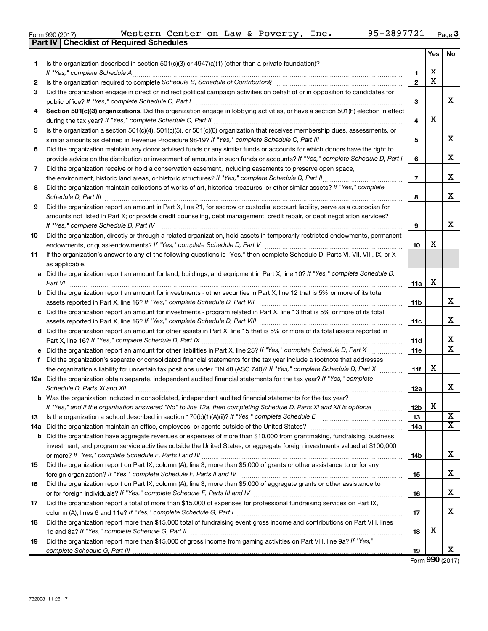**18**

**19**

732003 11-28-17

*complete Schedule G, Part III*

|    | 95-2897721<br>Western Center on Law & Poverty, Inc.<br>Form 990 (2017)                                                                                                                                                                                   |                          |     | Page      |
|----|----------------------------------------------------------------------------------------------------------------------------------------------------------------------------------------------------------------------------------------------------------|--------------------------|-----|-----------|
|    | <b>Checklist of Required Schedules</b><br>Part IV                                                                                                                                                                                                        |                          |     |           |
|    |                                                                                                                                                                                                                                                          |                          | Yes | <b>No</b> |
| 1. | Is the organization described in section $501(c)(3)$ or $4947(a)(1)$ (other than a private foundation)?                                                                                                                                                  |                          | x   |           |
| 2  |                                                                                                                                                                                                                                                          | 1<br>$\overline{2}$      | X   |           |
| 3  | Did the organization engage in direct or indirect political campaign activities on behalf of or in opposition to candidates for                                                                                                                          |                          |     |           |
|    |                                                                                                                                                                                                                                                          | 3                        |     | х         |
| 4  | Section 501(c)(3) organizations. Did the organization engage in lobbying activities, or have a section 501(h) election in effect                                                                                                                         |                          |     |           |
|    |                                                                                                                                                                                                                                                          | 4                        | x   |           |
| 5  | Is the organization a section 501(c)(4), 501(c)(5), or 501(c)(6) organization that receives membership dues, assessments, or                                                                                                                             |                          |     |           |
|    |                                                                                                                                                                                                                                                          | 5                        |     | х         |
| 6  | Did the organization maintain any donor advised funds or any similar funds or accounts for which donors have the right to                                                                                                                                |                          |     |           |
|    | provide advice on the distribution or investment of amounts in such funds or accounts? If "Yes," complete Schedule D, Part I                                                                                                                             | 6                        |     | х         |
| 7  | Did the organization receive or hold a conservation easement, including easements to preserve open space,                                                                                                                                                |                          |     |           |
|    | the environment, historic land areas, or historic structures? If "Yes," complete Schedule D, Part II                                                                                                                                                     | $\overline{\phantom{a}}$ |     | х         |
| 8  | Did the organization maintain collections of works of art, historical treasures, or other similar assets? If "Yes," complete                                                                                                                             | 8                        |     | х         |
| 9  | Schedule D, Part III <b>Process Construction Construction Construction</b> Construction Construction Construction Const<br>Did the organization report an amount in Part X, line 21, for escrow or custodial account liability, serve as a custodian for |                          |     |           |
|    | amounts not listed in Part X; or provide credit counseling, debt management, credit repair, or debt negotiation services?                                                                                                                                |                          |     |           |
|    | If "Yes," complete Schedule D, Part IV                                                                                                                                                                                                                   | 9                        |     | х         |
| 10 | Did the organization, directly or through a related organization, hold assets in temporarily restricted endowments, permanent                                                                                                                            |                          |     |           |
|    |                                                                                                                                                                                                                                                          | 10                       | x   |           |
| 11 | If the organization's answer to any of the following questions is "Yes," then complete Schedule D, Parts VI, VII, VIII, IX, or X                                                                                                                         |                          |     |           |
|    | as applicable.                                                                                                                                                                                                                                           |                          |     |           |
|    | a Did the organization report an amount for land, buildings, and equipment in Part X, line 10? If "Yes," complete Schedule D,<br>Part VI                                                                                                                 | 11a                      | х   |           |
|    | <b>b</b> Did the organization report an amount for investments - other securities in Part X, line 12 that is 5% or more of its total                                                                                                                     |                          |     |           |
|    |                                                                                                                                                                                                                                                          | 11b                      |     | х         |
|    | c Did the organization report an amount for investments - program related in Part X, line 13 that is 5% or more of its total                                                                                                                             |                          |     |           |
|    |                                                                                                                                                                                                                                                          | 11c                      |     | X         |
|    | d Did the organization report an amount for other assets in Part X, line 15 that is 5% or more of its total assets reported in                                                                                                                           |                          |     |           |
|    |                                                                                                                                                                                                                                                          | 11d                      |     | х         |
| е  |                                                                                                                                                                                                                                                          | 11e                      |     | х         |
| f  | Did the organization's separate or consolidated financial statements for the tax year include a footnote that addresses                                                                                                                                  |                          | х   |           |
|    | the organization's liability for uncertain tax positions under FIN 48 (ASC 740)? If "Yes," complete Schedule D, Part X<br>12a Did the organization obtain separate, independent audited financial statements for the tax year? If "Yes," complete        | 11f                      |     |           |
|    | Schedule D, Parts XI and XII                                                                                                                                                                                                                             | 12a                      |     | х         |
|    | <b>b</b> Was the organization included in consolidated, independent audited financial statements for the tax year?                                                                                                                                       |                          |     |           |
|    | If "Yes," and if the organization answered "No" to line 12a, then completing Schedule D, Parts XI and XII is optional                                                                                                                                    | 12 <sub>b</sub>          | X   |           |
| 13 | Is the organization a school described in section 170(b)(1)(A)(ii)? If "Yes," complete Schedule E manufaction and school described in section 170(b)(1)(A)(ii)? If "Yes," complete Schedule E                                                            | 13                       |     | X         |
|    |                                                                                                                                                                                                                                                          | 14a                      |     | х         |
|    | <b>b</b> Did the organization have aggregate revenues or expenses of more than \$10,000 from grantmaking, fundraising, business,                                                                                                                         |                          |     |           |
|    | investment, and program service activities outside the United States, or aggregate foreign investments valued at \$100,000                                                                                                                               |                          |     | X         |
|    |                                                                                                                                                                                                                                                          | 14b                      |     |           |
| 15 | Did the organization report on Part IX, column (A), line 3, more than \$5,000 of grants or other assistance to or for any<br>foreign organization? If "Yes," complete Schedule F, Parts II and IV                                                        | 15                       |     | X         |
| 16 | Did the organization report on Part IX, column (A), line 3, more than \$5,000 of aggregate grants or other assistance to                                                                                                                                 |                          |     |           |
|    |                                                                                                                                                                                                                                                          | 16                       |     | X         |
| 17 | Did the organization report a total of more than \$15,000 of expenses for professional fundraising services on Part IX,                                                                                                                                  |                          |     |           |
|    |                                                                                                                                                                                                                                                          | 17                       |     | X         |

1c and 8a? If "Yes," complete Schedule G, Part II **mature complete out and the set of the set of the set of the s** 

Did the organization report more than \$15,000 total of fundraising event gross income and contributions on Part VIII, lines

Did the organization report more than \$15,000 of gross income from gaming activities on Part VIII, line 9a? If "Yes,"

**18**

**19**

**Yes No**

X

X

X

X

X

X

X

X

X X

X

X X

X

X

X

X

X

Form (2017) **990**

X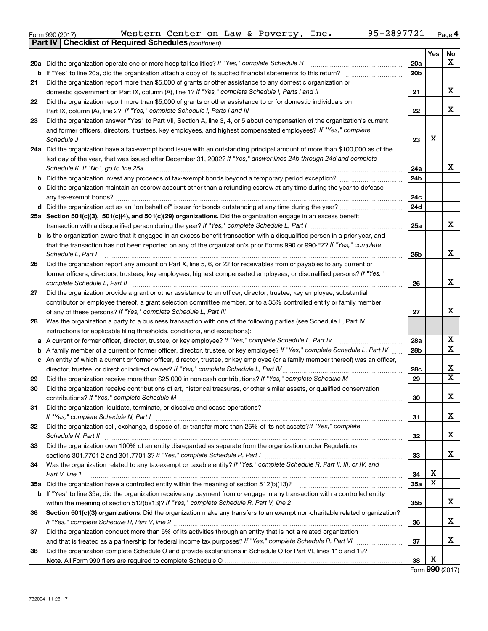| Form 990 (2017) |                                                              |  |  | Western Center on Law & Poverty, Inc. | 95-2897721 | Page |
|-----------------|--------------------------------------------------------------|--|--|---------------------------------------|------------|------|
|                 | <b>Part IV   Checklist of Required Schedules (continued)</b> |  |  |                                       |            |      |

|    |                                                                                                                                                                                                                                             |                 | Yes | No                      |
|----|---------------------------------------------------------------------------------------------------------------------------------------------------------------------------------------------------------------------------------------------|-----------------|-----|-------------------------|
|    | 20a Did the organization operate one or more hospital facilities? If "Yes," complete Schedule H                                                                                                                                             | 20a             |     | X                       |
|    | <b>b</b> If "Yes" to line 20a, did the organization attach a copy of its audited financial statements to this return?                                                                                                                       | 20 <sub>b</sub> |     |                         |
| 21 | Did the organization report more than \$5,000 of grants or other assistance to any domestic organization or                                                                                                                                 |                 |     |                         |
|    |                                                                                                                                                                                                                                             | 21              |     | x                       |
| 22 | Did the organization report more than \$5,000 of grants or other assistance to or for domestic individuals on                                                                                                                               |                 |     |                         |
|    |                                                                                                                                                                                                                                             | 22              |     | x                       |
| 23 | Did the organization answer "Yes" to Part VII, Section A, line 3, 4, or 5 about compensation of the organization's current                                                                                                                  |                 |     |                         |
|    | and former officers, directors, trustees, key employees, and highest compensated employees? If "Yes," complete                                                                                                                              |                 |     |                         |
|    | Schedule J <b>Martin Communication Contract Contract Contract Contract Contract Contract Contract Contract Contract Contract Contract Contract Contract Contract Contract Contract Contract Contract Contract Contract Contract </b>        | 23              | х   |                         |
|    | 24a Did the organization have a tax-exempt bond issue with an outstanding principal amount of more than \$100,000 as of the                                                                                                                 |                 |     |                         |
|    | last day of the year, that was issued after December 31, 2002? If "Yes," answer lines 24b through 24d and complete                                                                                                                          |                 |     |                         |
|    | Schedule K. If "No", go to line 25a [11] Schedule K. If "No", go to line 25a                                                                                                                                                                | 24a             |     | x                       |
|    |                                                                                                                                                                                                                                             | 24b             |     |                         |
|    | c Did the organization maintain an escrow account other than a refunding escrow at any time during the year to defease                                                                                                                      | 24c             |     |                         |
|    |                                                                                                                                                                                                                                             | 24d             |     |                         |
|    | 25a Section 501(c)(3), 501(c)(4), and 501(c)(29) organizations. Did the organization engage in an excess benefit                                                                                                                            |                 |     |                         |
|    |                                                                                                                                                                                                                                             | 25a             |     | x                       |
|    | b Is the organization aware that it engaged in an excess benefit transaction with a disqualified person in a prior year, and                                                                                                                |                 |     |                         |
|    | that the transaction has not been reported on any of the organization's prior Forms 990 or 990-EZ? If "Yes," complete                                                                                                                       |                 |     |                         |
|    | Schedule L, Part I                                                                                                                                                                                                                          | 25b             |     | x                       |
| 26 | Did the organization report any amount on Part X, line 5, 6, or 22 for receivables from or payables to any current or                                                                                                                       |                 |     |                         |
|    | former officers, directors, trustees, key employees, highest compensated employees, or disqualified persons? If "Yes,"                                                                                                                      |                 |     | x                       |
|    | complete Schedule L, Part II                                                                                                                                                                                                                | 26              |     |                         |
| 27 | Did the organization provide a grant or other assistance to an officer, director, trustee, key employee, substantial<br>contributor or employee thereof, a grant selection committee member, or to a 35% controlled entity or family member |                 |     |                         |
|    |                                                                                                                                                                                                                                             | 27              |     | x                       |
| 28 | Was the organization a party to a business transaction with one of the following parties (see Schedule L, Part IV                                                                                                                           |                 |     |                         |
|    | instructions for applicable filing thresholds, conditions, and exceptions):                                                                                                                                                                 |                 |     |                         |
|    | a A current or former officer, director, trustee, or key employee? If "Yes," complete Schedule L, Part IV                                                                                                                                   | 28a             |     | x                       |
|    | <b>b</b> A family member of a current or former officer, director, trustee, or key employee? If "Yes," complete Schedule L, Part IV                                                                                                         | 28 <sub>b</sub> |     | $\overline{\texttt{x}}$ |
|    | c An entity of which a current or former officer, director, trustee, or key employee (or a family member thereof) was an officer,                                                                                                           |                 |     |                         |
|    |                                                                                                                                                                                                                                             | 28c             |     | х                       |
| 29 |                                                                                                                                                                                                                                             | 29              |     | $\overline{\texttt{x}}$ |
| 30 | Did the organization receive contributions of art, historical treasures, or other similar assets, or qualified conservation                                                                                                                 |                 |     |                         |
|    |                                                                                                                                                                                                                                             | 30              |     | х                       |
| 31 | Did the organization liquidate, terminate, or dissolve and cease operations?                                                                                                                                                                |                 |     |                         |
|    |                                                                                                                                                                                                                                             | 31              |     | x                       |
| 32 | Did the organization sell, exchange, dispose of, or transfer more than 25% of its net assets? If "Yes," complete                                                                                                                            | 32              |     | х                       |
| 33 | Schedule N, Part II<br>Did the organization own 100% of an entity disregarded as separate from the organization under Regulations                                                                                                           |                 |     |                         |
|    |                                                                                                                                                                                                                                             | 33              |     | х                       |
| 34 | Was the organization related to any tax-exempt or taxable entity? If "Yes," complete Schedule R, Part II, III, or IV, and                                                                                                                   |                 |     |                         |
|    | Part V, line 1                                                                                                                                                                                                                              | 34              | х   |                         |
|    |                                                                                                                                                                                                                                             | 35a             | х   |                         |
|    | b If "Yes" to line 35a, did the organization receive any payment from or engage in any transaction with a controlled entity                                                                                                                 |                 |     |                         |
|    |                                                                                                                                                                                                                                             | 35 <sub>b</sub> |     | x                       |
| 36 | Section 501(c)(3) organizations. Did the organization make any transfers to an exempt non-charitable related organization?                                                                                                                  |                 |     |                         |
|    |                                                                                                                                                                                                                                             | 36              |     | x                       |
| 37 | Did the organization conduct more than 5% of its activities through an entity that is not a related organization                                                                                                                            |                 |     |                         |
|    |                                                                                                                                                                                                                                             | 37              |     | x                       |
| 38 | Did the organization complete Schedule O and provide explanations in Schedule O for Part VI, lines 11b and 19?                                                                                                                              |                 |     |                         |
|    |                                                                                                                                                                                                                                             | 38              | х   |                         |

Form (2017) **990**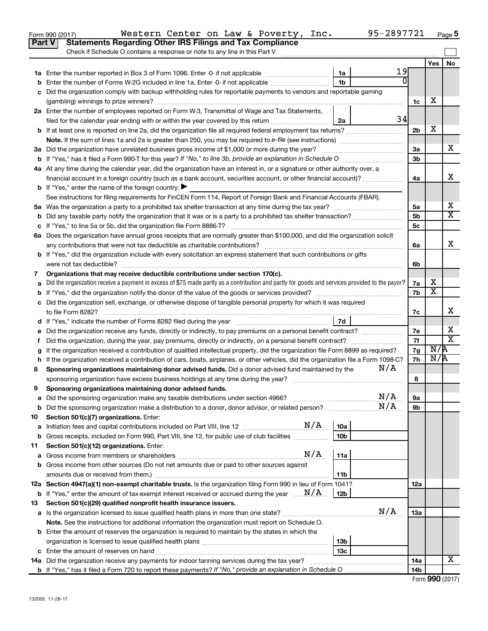|               | Western Center on Law & Poverty, Inc.<br>Form 990 (2017)                                                                                                                                                                              |                 | 95-2897721 |                |     | Page 5                  |
|---------------|---------------------------------------------------------------------------------------------------------------------------------------------------------------------------------------------------------------------------------------|-----------------|------------|----------------|-----|-------------------------|
| <b>Part V</b> | <b>Statements Regarding Other IRS Filings and Tax Compliance</b>                                                                                                                                                                      |                 |            |                |     |                         |
|               | Check if Schedule O contains a response or note to any line in this Part V                                                                                                                                                            |                 |            |                |     |                         |
|               |                                                                                                                                                                                                                                       |                 |            |                | Yes | No                      |
|               |                                                                                                                                                                                                                                       | 1a              | 19         |                |     |                         |
|               | <b>b</b> Enter the number of Forms W-2G included in line 1a. Enter -0- if not applicable                                                                                                                                              | 1 <sub>b</sub>  | U          |                |     |                         |
|               | c Did the organization comply with backup withholding rules for reportable payments to vendors and reportable gaming                                                                                                                  |                 |            |                |     |                         |
|               |                                                                                                                                                                                                                                       |                 |            | 1c             | х   |                         |
|               | 2a Enter the number of employees reported on Form W-3, Transmittal of Wage and Tax Statements,                                                                                                                                        |                 |            |                |     |                         |
|               | filed for the calendar year ending with or within the year covered by this return                                                                                                                                                     | 2a              | 34         |                |     |                         |
|               |                                                                                                                                                                                                                                       |                 |            | 2 <sub>b</sub> | X   |                         |
|               |                                                                                                                                                                                                                                       |                 |            |                |     |                         |
|               | 3a Did the organization have unrelated business gross income of \$1,000 or more during the year?                                                                                                                                      |                 |            | За             |     | x                       |
|               | <b>b</b> If "Yes," has it filed a Form 990-T for this year? If "No," to line 3b, provide an explanation in Schedule O                                                                                                                 |                 |            | 3 <sub>b</sub> |     |                         |
|               | 4a At any time during the calendar year, did the organization have an interest in, or a signature or other authority over, a                                                                                                          |                 |            |                |     |                         |
|               | financial account in a foreign country (such as a bank account, securities account, or other financial account)?                                                                                                                      |                 |            | 4a             |     | х                       |
|               | <b>b</b> If "Yes," enter the name of the foreign country: $\blacktriangleright$                                                                                                                                                       |                 |            |                |     |                         |
|               | See instructions for filing requirements for FinCEN Form 114, Report of Foreign Bank and Financial Accounts (FBAR).                                                                                                                   |                 |            |                |     |                         |
|               |                                                                                                                                                                                                                                       |                 |            | 5a             |     | х                       |
|               |                                                                                                                                                                                                                                       |                 |            | 5 <sub>b</sub> |     | $\overline{\texttt{x}}$ |
|               |                                                                                                                                                                                                                                       |                 |            | 5 <sub>c</sub> |     |                         |
|               | 6a Does the organization have annual gross receipts that are normally greater than \$100,000, and did the organization solicit                                                                                                        |                 |            |                |     |                         |
|               |                                                                                                                                                                                                                                       |                 |            | 6a             |     | x                       |
|               | <b>b</b> If "Yes," did the organization include with every solicitation an express statement that such contributions or gifts                                                                                                         |                 |            |                |     |                         |
|               | were not tax deductible?                                                                                                                                                                                                              |                 |            | 6b             |     |                         |
| 7             | Organizations that may receive deductible contributions under section 170(c).                                                                                                                                                         |                 |            |                |     |                         |
| a             | Did the organization receive a payment in excess of \$75 made partly as a contribution and partly for goods and services provided to the payor?                                                                                       |                 |            | 7a             | х   |                         |
|               |                                                                                                                                                                                                                                       |                 |            | 7b             | х   |                         |
|               | c Did the organization sell, exchange, or otherwise dispose of tangible personal property for which it was required                                                                                                                   |                 |            |                |     |                         |
|               |                                                                                                                                                                                                                                       |                 |            | 7с             |     | х                       |
|               |                                                                                                                                                                                                                                       | 7d              |            |                |     |                         |
| е             |                                                                                                                                                                                                                                       |                 |            | 7е             |     | х                       |
| Ť.            | Did the organization, during the year, pay premiums, directly or indirectly, on a personal benefit contract?                                                                                                                          |                 |            | 7f             |     | $\overline{\mathtt{x}}$ |
|               | If the organization received a contribution of qualified intellectual property, did the organization file Form 8899 as required?                                                                                                      |                 |            | 7g             | N/R |                         |
|               | h If the organization received a contribution of cars, boats, airplanes, or other vehicles, did the organization file a Form 1098-C?                                                                                                  |                 |            | 7h             | N/R |                         |
| 8             | Sponsoring organizations maintaining donor advised funds. Did a donor advised fund maintained by the                                                                                                                                  |                 | N/A        |                |     |                         |
|               | sponsoring organization have excess business holdings at any time during the year?                                                                                                                                                    |                 |            | 8              |     |                         |
|               | Sponsoring organizations maintaining donor advised funds.                                                                                                                                                                             |                 |            |                |     |                         |
| а             | Did the sponsoring organization make any taxable distributions under section 4966?                                                                                                                                                    |                 | N/A        | 9а             |     |                         |
| b             |                                                                                                                                                                                                                                       |                 | N/A        | 9b             |     |                         |
| 10            | Section 501(c)(7) organizations. Enter:                                                                                                                                                                                               |                 |            |                |     |                         |
| a             |                                                                                                                                                                                                                                       | 10a             |            |                |     |                         |
| b             | Gross receipts, included on Form 990, Part VIII, line 12, for public use of club facilities                                                                                                                                           | 10 <sub>b</sub> |            |                |     |                         |
| 11            | Section 501(c)(12) organizations. Enter:                                                                                                                                                                                              |                 |            |                |     |                         |
| а             | N/A<br>Gross income from members or shareholders [111] [12] contain the from the members or shareholders [11] [12] contain the from members or shareholders [12] [12] contain the from the from the from the from the from the from t | 11a             |            |                |     |                         |
|               | b Gross income from other sources (Do not net amounts due or paid to other sources against                                                                                                                                            |                 |            |                |     |                         |
|               |                                                                                                                                                                                                                                       | 11b             |            |                |     |                         |
|               | 12a Section 4947(a)(1) non-exempt charitable trusts. Is the organization filing Form 990 in lieu of Form 1041?                                                                                                                        |                 |            | 12a            |     |                         |
|               | <b>b</b> If "Yes," enter the amount of tax-exempt interest received or accrued during the year $\ldots$ $M/A$ .                                                                                                                       | 12b             |            |                |     |                         |
| 13            | Section 501(c)(29) qualified nonprofit health insurance issuers.                                                                                                                                                                      |                 |            |                |     |                         |
|               |                                                                                                                                                                                                                                       |                 | N/A        | 13a            |     |                         |
|               | Note. See the instructions for additional information the organization must report on Schedule O.                                                                                                                                     |                 |            |                |     |                         |
|               | <b>b</b> Enter the amount of reserves the organization is required to maintain by the states in which the                                                                                                                             |                 |            |                |     |                         |
|               |                                                                                                                                                                                                                                       | 13b             |            |                |     |                         |
|               |                                                                                                                                                                                                                                       | 13 <sub>c</sub> |            |                |     | X                       |
|               | 14a Did the organization receive any payments for indoor tanning services during the tax year?                                                                                                                                        |                 |            | 14a            |     |                         |
|               |                                                                                                                                                                                                                                       |                 |            | 14b            |     |                         |

| Form 990 (2017) |  |
|-----------------|--|
|-----------------|--|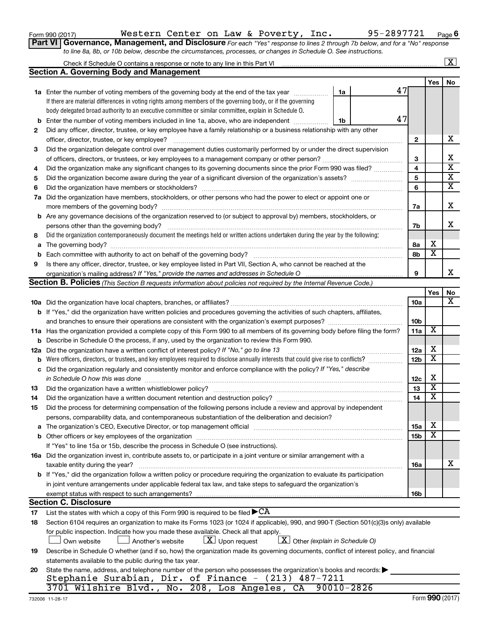| Form 990 (2017) |  |
|-----------------|--|
|-----------------|--|

Form 990 (2017) Page Western Center on Law & Poverty, Inc. 95-2897721

**Part VI** Governance, Management, and Disclosure For each "Yes" response to lines 2 through 7b below, and for a "No" response *to line 8a, 8b, or 10b below, describe the circumstances, processes, or changes in Schedule O. See instructions.*

|     |                                                                                                                                                                                                                                                           |                 |                         | $\mathbf{x}$            |
|-----|-----------------------------------------------------------------------------------------------------------------------------------------------------------------------------------------------------------------------------------------------------------|-----------------|-------------------------|-------------------------|
|     | <b>Section A. Governing Body and Management</b>                                                                                                                                                                                                           |                 |                         |                         |
|     |                                                                                                                                                                                                                                                           |                 | Yes                     | No                      |
|     | 47<br><b>1a</b> Enter the number of voting members of the governing body at the end of the tax year<br>1a                                                                                                                                                 |                 |                         |                         |
|     | If there are material differences in voting rights among members of the governing body, or if the governing                                                                                                                                               |                 |                         |                         |
|     | body delegated broad authority to an executive committee or similar committee, explain in Schedule O.                                                                                                                                                     |                 |                         |                         |
| b   | 47<br>Enter the number of voting members included in line 1a, above, who are independent <i>manum</i><br>1b                                                                                                                                               |                 |                         |                         |
| 2   | Did any officer, director, trustee, or key employee have a family relationship or a business relationship with any other                                                                                                                                  |                 |                         |                         |
|     | officer, director, trustee, or key employee?                                                                                                                                                                                                              | 2               |                         | х                       |
| 3   | Did the organization delegate control over management duties customarily performed by or under the direct supervision                                                                                                                                     |                 |                         |                         |
|     |                                                                                                                                                                                                                                                           | З               |                         | х                       |
| 4   | Did the organization make any significant changes to its governing documents since the prior Form 990 was filed?                                                                                                                                          | 4               |                         | $\overline{\mathbf{x}}$ |
| 5   |                                                                                                                                                                                                                                                           | 5               |                         | $\overline{\mathbf{x}}$ |
| 6   | Did the organization have members or stockholders?                                                                                                                                                                                                        | 6               |                         | $\overline{\textbf{X}}$ |
| 7a  | Did the organization have members, stockholders, or other persons who had the power to elect or appoint one or                                                                                                                                            |                 |                         |                         |
|     |                                                                                                                                                                                                                                                           | 7a              |                         | х                       |
|     | b Are any governance decisions of the organization reserved to (or subject to approval by) members, stockholders, or                                                                                                                                      |                 |                         |                         |
|     | persons other than the governing body?                                                                                                                                                                                                                    | 7b              |                         | x.                      |
| 8   | Did the organization contemporaneously document the meetings held or written actions undertaken during the year by the following:                                                                                                                         |                 |                         |                         |
| a   |                                                                                                                                                                                                                                                           | 8а              | х                       |                         |
| b   |                                                                                                                                                                                                                                                           | 8b              | $\overline{\textbf{x}}$ |                         |
| 9   | Is there any officer, director, trustee, or key employee listed in Part VII, Section A, who cannot be reached at the                                                                                                                                      |                 |                         |                         |
|     |                                                                                                                                                                                                                                                           | 9               |                         | x                       |
|     | <b>Section B. Policies</b> (This Section B requests information about policies not required by the Internal Revenue Code.)                                                                                                                                |                 |                         |                         |
|     |                                                                                                                                                                                                                                                           |                 | Yes                     | No                      |
|     |                                                                                                                                                                                                                                                           | 10a             |                         | x                       |
|     |                                                                                                                                                                                                                                                           |                 |                         |                         |
|     | b If "Yes," did the organization have written policies and procedures governing the activities of such chapters, affiliates,                                                                                                                              | 10 <sub>b</sub> |                         |                         |
|     |                                                                                                                                                                                                                                                           | 11a             | X                       |                         |
|     | 11a Has the organization provided a complete copy of this Form 990 to all members of its governing body before filing the form?<br>Describe in Schedule O the process, if any, used by the organization to review this Form 990.                          |                 |                         |                         |
| b   |                                                                                                                                                                                                                                                           | 12a             | х                       |                         |
| 12a | Did the organization have a written conflict of interest policy? If "No," go to line 13                                                                                                                                                                   | 12 <sub>b</sub> | $\overline{\textbf{x}}$ |                         |
| b   | Were officers, directors, or trustees, and key employees required to disclose annually interests that could give rise to conflicts?<br>Did the organization regularly and consistently monitor and enforce compliance with the policy? If "Yes," describe |                 |                         |                         |
| с   |                                                                                                                                                                                                                                                           |                 | X                       |                         |
|     | in Schedule O how this was done                                                                                                                                                                                                                           | 12c             | х                       |                         |
| 13  | Did the organization have a written whistleblower policy?                                                                                                                                                                                                 | 13              | $\overline{\textbf{x}}$ |                         |
| 14  |                                                                                                                                                                                                                                                           | 14              |                         |                         |
| 15  | Did the process for determining compensation of the following persons include a review and approval by independent                                                                                                                                        |                 |                         |                         |
|     | persons, comparability data, and contemporaneous substantiation of the deliberation and decision?                                                                                                                                                         |                 | х                       |                         |
| а   | The organization's CEO, Executive Director, or top management official manufactured content of the organization's CEO, Executive Director, or top management official manufactured content of the state of the state of the st                            | <b>15a</b>      | X                       |                         |
| b   |                                                                                                                                                                                                                                                           | 15 <sub>b</sub> |                         |                         |
|     | If "Yes" to line 15a or 15b, describe the process in Schedule O (see instructions).                                                                                                                                                                       |                 |                         |                         |
|     | 16a Did the organization invest in, contribute assets to, or participate in a joint venture or similar arrangement with a                                                                                                                                 |                 |                         |                         |
|     | taxable entity during the year?                                                                                                                                                                                                                           | 16a             |                         | х                       |
|     | b If "Yes," did the organization follow a written policy or procedure requiring the organization to evaluate its participation                                                                                                                            |                 |                         |                         |
|     | in joint venture arrangements under applicable federal tax law, and take steps to safeguard the organization's                                                                                                                                            |                 |                         |                         |
|     | exempt status with respect to such arrangements?                                                                                                                                                                                                          | 16b             |                         |                         |
|     | <b>Section C. Disclosure</b>                                                                                                                                                                                                                              |                 |                         |                         |
| 17  | List the states with which a copy of this Form 990 is required to be filed $\blacktriangleright$ CA                                                                                                                                                       |                 |                         |                         |
| 18  | Section 6104 requires an organization to make its Forms 1023 (or 1024 if applicable), 990, and 990-T (Section 501(c)(3)s only) available                                                                                                                  |                 |                         |                         |
|     | for public inspection. Indicate how you made these available. Check all that apply.                                                                                                                                                                       |                 |                         |                         |
|     | $X$ Other (explain in Schedule O)<br>$\lfloor x \rfloor$ Upon request<br>Own website<br>Another's website                                                                                                                                                 |                 |                         |                         |
| 19  | Describe in Schedule O whether (and if so, how) the organization made its governing documents, conflict of interest policy, and financial                                                                                                                 |                 |                         |                         |
|     | statements available to the public during the tax year.                                                                                                                                                                                                   |                 |                         |                         |
| 20  | State the name, address, and telephone number of the person who possesses the organization's books and records:                                                                                                                                           |                 |                         |                         |
|     | Stephanie Surabian, Dir. of Finance - (213) 487-7211                                                                                                                                                                                                      |                 |                         |                         |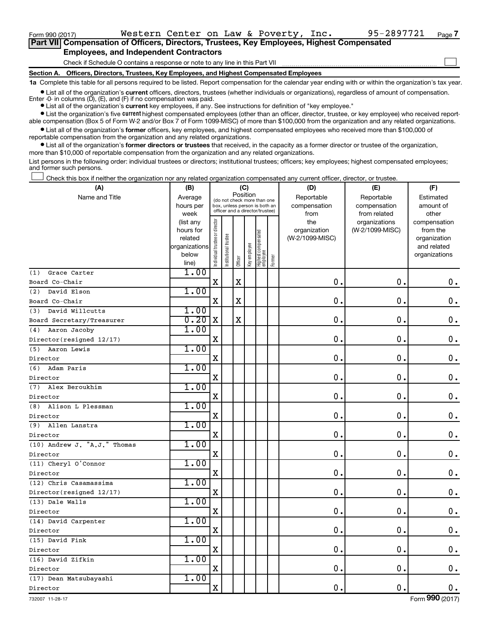Form 990 (2017) Page Western Center on Law & Poverty, Inc. 95-2897721

 $\Box$ 

| Part VII Compensation of Officers, Directors, Trustees, Key Employees, Highest Compensated |
|--------------------------------------------------------------------------------------------|
| <b>Employees, and Independent Contractors</b>                                              |

Check if Schedule O contains a response or note to any line in this Part VII

**Section A. Officers, Directors, Trustees, Key Employees, and Highest Compensated Employees**

**1a**  Complete this table for all persons required to be listed. Report compensation for the calendar year ending with or within the organization's tax year.

**•** List all of the organization's current officers, directors, trustees (whether individuals or organizations), regardless of amount of compensation. Enter -0- in columns  $(D)$ ,  $(E)$ , and  $(F)$  if no compensation was paid.

**•** List all of the organization's **current** key employees, if any. See instructions for definition of "key employee."

**•** List the organization's five current highest compensated employees (other than an officer, director, trustee, or key employee) who received reportable compensation (Box 5 of Form W-2 and/or Box 7 of Form 1099-MISC) of more than \$100,000 from the organization and any related organizations.

**•** List all of the organization's former officers, key employees, and highest compensated employees who received more than \$100,000 of reportable compensation from the organization and any related organizations.

**•** List all of the organization's former directors or trustees that received, in the capacity as a former director or trustee of the organization, more than \$10,000 of reportable compensation from the organization and any related organizations.

List persons in the following order: individual trustees or directors; institutional trustees; officers; key employees; highest compensated employees; and former such persons.

Check this box if neither the organization nor any related organization compensated any current officer, director, or trustee.  $\Box$ 

| (A)                                         | (B)               |                                |                                                                  | (C)         |              |                                 |        | (D)             | (E)                           | (F)                   |
|---------------------------------------------|-------------------|--------------------------------|------------------------------------------------------------------|-------------|--------------|---------------------------------|--------|-----------------|-------------------------------|-----------------------|
| Name and Title                              | Average           |                                | (do not check more than one                                      | Position    |              |                                 |        | Reportable      | Reportable                    | Estimated             |
|                                             | hours per         |                                | box, unless person is both an<br>officer and a director/trustee) |             |              |                                 |        | compensation    | compensation                  | amount of             |
|                                             | week<br>(list any |                                |                                                                  |             |              |                                 |        | from<br>the     | from related<br>organizations | other<br>compensation |
|                                             | hours for         |                                |                                                                  |             |              |                                 |        | organization    | (W-2/1099-MISC)               | from the              |
|                                             | related           |                                |                                                                  |             |              |                                 |        | (W-2/1099-MISC) |                               | organization          |
|                                             | organizations     |                                |                                                                  |             |              |                                 |        |                 |                               | and related           |
|                                             | below             | Individual trustee or director | Institutional trustee                                            | Officer     | Key employee | Highest compensated<br>employee | Former |                 |                               | organizations         |
| Grace Carter                                | line)<br>1.00     |                                |                                                                  |             |              |                                 |        |                 |                               |                       |
| (1)<br>Board Co-Chair                       |                   | $\mathbf X$                    |                                                                  | $\mathbf X$ |              |                                 |        | 0.              | 0.                            | $\mathbf 0$ .         |
| (2)<br>David Elson                          | 1.00              |                                |                                                                  |             |              |                                 |        |                 |                               |                       |
| Board Co-Chair                              |                   | $\mathbf X$                    |                                                                  | $\rm X$     |              |                                 |        | $\mathbf 0$ .   | $\mathbf 0$ .                 | $\mathbf 0$ .         |
| (3) David Willcutts                         | 1.00              |                                |                                                                  |             |              |                                 |        |                 |                               |                       |
|                                             | 0.20              | X                              |                                                                  | $\mathbf X$ |              |                                 |        | $\mathbf 0$ .   | $\mathbf 0$ .                 | $\mathbf 0$ .         |
| Board Secretary/Treasurer                   | 1.00              |                                |                                                                  |             |              |                                 |        |                 |                               |                       |
| (4) Aaron Jacoby                            |                   | X                              |                                                                  |             |              |                                 |        | $\mathbf 0$ .   | $\mathbf 0$ .                 | $\mathbf 0$ .         |
| Director(resigned 12/17)<br>(5) Aaron Lewis | 1.00              |                                |                                                                  |             |              |                                 |        |                 |                               |                       |
| Director                                    |                   | $\mathbf X$                    |                                                                  |             |              |                                 |        | $\mathbf 0$ .   | $\mathbf 0$ .                 | $\mathbf 0$ .         |
| (6)<br>Adam Paris                           | 1.00              |                                |                                                                  |             |              |                                 |        |                 |                               |                       |
| Director                                    |                   | $\mathbf X$                    |                                                                  |             |              |                                 |        | $\mathbf 0$     | $\mathbf 0$ .                 | $\mathbf 0$ .         |
| (7)<br>Alex Beroukhim                       | 1.00              |                                |                                                                  |             |              |                                 |        |                 |                               |                       |
| Director                                    |                   | X                              |                                                                  |             |              |                                 |        | $\mathbf 0$     | $\mathbf 0$ .                 | $\mathbf 0$ .         |
| (8)<br>Alison L Plessman                    | 1.00              |                                |                                                                  |             |              |                                 |        |                 |                               |                       |
| Director                                    |                   | $\mathbf X$                    |                                                                  |             |              |                                 |        | $\mathbf 0$ .   | $\mathbf 0$ .                 | 0.                    |
| Allen Lanstra<br>(9)                        | 1.00              |                                |                                                                  |             |              |                                 |        |                 |                               |                       |
| Director                                    |                   | $\mathbf X$                    |                                                                  |             |              |                                 |        | $\mathbf 0$     | $\mathbf 0$ .                 | $\mathbf 0$ .         |
| $(10)$ Andrew J. $"A.J."$<br>Thomas         | 1.00              |                                |                                                                  |             |              |                                 |        |                 |                               |                       |
| Director                                    |                   | X                              |                                                                  |             |              |                                 |        | $\mathbf 0$     | $\mathbf 0$ .                 | 0.                    |
| (11) Cheryl O'Connor                        | 1.00              |                                |                                                                  |             |              |                                 |        |                 |                               |                       |
| Director                                    |                   | $\mathbf X$                    |                                                                  |             |              |                                 |        | $\mathbf 0$     | $\mathbf 0$ .                 | $\mathbf 0$ .         |
| (12) Chris Casamassima                      | 1.00              |                                |                                                                  |             |              |                                 |        |                 |                               |                       |
| Director(resigned 12/17)                    |                   | $\mathbf X$                    |                                                                  |             |              |                                 |        | 0.              | $\mathbf 0$ .                 | $\mathbf 0$ .         |
| (13) Dale Walls                             | 1.00              |                                |                                                                  |             |              |                                 |        |                 |                               |                       |
| Director                                    |                   | $\mathbf X$                    |                                                                  |             |              |                                 |        | $\mathbf 0$     | $\mathbf 0$ .                 | $\mathbf 0$ .         |
| (14) David Carpenter                        | 1.00              |                                |                                                                  |             |              |                                 |        |                 |                               |                       |
| Director                                    |                   | $\mathbf X$                    |                                                                  |             |              |                                 |        | $\mathbf 0$ .   | $\mathbf 0$ .                 | $0$ .                 |
| (15) David Fink                             | 1.00              |                                |                                                                  |             |              |                                 |        |                 |                               |                       |
| Director                                    |                   | $\mathbf X$                    |                                                                  |             |              |                                 |        | 0.              | $\mathbf 0$ .                 | $\mathbf 0$ .         |
| (16) David Zifkin                           | 1.00              |                                |                                                                  |             |              |                                 |        |                 |                               |                       |
| Director                                    |                   | $\mathbf X$                    |                                                                  |             |              |                                 |        | 0.              | $\mathbf 0$ .                 | 0.                    |
| (17) Dean Matsubayashi                      | 1.00              |                                |                                                                  |             |              |                                 |        |                 |                               |                       |
| Director                                    |                   | $\mathbf X$                    |                                                                  |             |              |                                 |        | 0.              | $\mathbf 0$ .                 | 0.                    |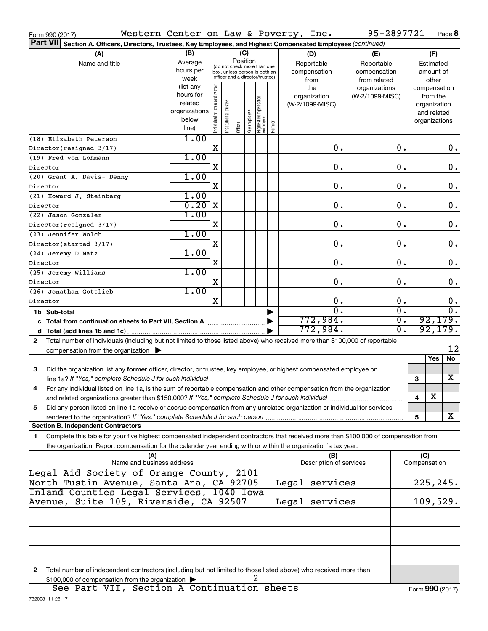| Western Center on Law & Poverty, Inc.<br>Form 990 (2017)                                                                                   |                        |                               |                      |                                         |              |                                  |        |                                | 95-2897721      |               |              | Page 8           |
|--------------------------------------------------------------------------------------------------------------------------------------------|------------------------|-------------------------------|----------------------|-----------------------------------------|--------------|----------------------------------|--------|--------------------------------|-----------------|---------------|--------------|------------------|
| <b>Part VII</b><br>Section A. Officers, Directors, Trustees, Key Employees, and Highest Compensated Employees (continued)                  |                        |                               |                      |                                         |              |                                  |        |                                |                 |               |              |                  |
| (A)                                                                                                                                        | (B)                    |                               |                      | (C)                                     |              |                                  |        | (D)                            | (E)             |               | (F)          |                  |
| Name and title                                                                                                                             | Average                |                               |                      | Position<br>(do not check more than one |              |                                  |        | Reportable                     | Reportable      |               | Estimated    |                  |
|                                                                                                                                            | hours per              |                               |                      | box, unless person is both an           |              |                                  |        | compensation                   | compensation    |               | amount of    |                  |
|                                                                                                                                            | week                   |                               |                      | officer and a director/trustee)         |              |                                  |        | from                           | from related    |               | other        |                  |
|                                                                                                                                            | (list any              |                               |                      |                                         |              |                                  |        | the                            | organizations   |               |              | compensation     |
|                                                                                                                                            | hours for              |                               |                      |                                         |              |                                  |        | organization                   | (W-2/1099-MISC) |               | from the     |                  |
|                                                                                                                                            | related                |                               |                      |                                         |              |                                  |        | (W-2/1099-MISC)                |                 |               | organization |                  |
|                                                                                                                                            | organizations<br>below |                               |                      |                                         |              |                                  |        |                                |                 |               | and related  |                  |
|                                                                                                                                            | line)                  | ndividual trustee or director | nstitutional trustee | Officer                                 | Key employee | Highest compensated<br> employee | Former |                                |                 |               |              | organizations    |
|                                                                                                                                            | 1.00                   |                               |                      |                                         |              |                                  |        |                                |                 |               |              |                  |
| (18) Elizabeth Peterson<br>Director(resigned 3/17)                                                                                         |                        | X                             |                      |                                         |              |                                  |        | 0.                             |                 | 0.            |              | $0$ .            |
| (19) Fred von Lohmann                                                                                                                      | 1.00                   |                               |                      |                                         |              |                                  |        |                                |                 |               |              |                  |
| Director                                                                                                                                   |                        | X                             |                      |                                         |              |                                  |        | 0.                             |                 | 0.            |              | $\mathbf 0$ .    |
| (20) Grant A. Davis- Denny                                                                                                                 | 1.00                   |                               |                      |                                         |              |                                  |        |                                |                 |               |              |                  |
| Director                                                                                                                                   |                        | X                             |                      |                                         |              |                                  |        | 0.                             |                 | 0.            |              | $\mathbf 0$ .    |
| (21) Howard J. Steinberg                                                                                                                   | 1.00                   |                               |                      |                                         |              |                                  |        |                                |                 |               |              |                  |
| Director                                                                                                                                   | 0.20                   | X                             |                      |                                         |              |                                  |        | 0.                             |                 | 0.            |              | $\mathbf 0$ .    |
| (22) Jason Gonzalez                                                                                                                        | 1.00                   |                               |                      |                                         |              |                                  |        |                                |                 |               |              |                  |
| Director(resigned 3/17)                                                                                                                    |                        | X                             |                      |                                         |              |                                  |        | 0.                             |                 | 0.            |              | $\mathbf 0$ .    |
| (23) Jennifer Wolch                                                                                                                        | 1.00                   |                               |                      |                                         |              |                                  |        |                                |                 |               |              |                  |
| Director(started 3/17)                                                                                                                     |                        | X                             |                      |                                         |              |                                  |        | 0.                             |                 | 0.            |              | $\mathbf 0$ .    |
| (24) Jeremy D Matz                                                                                                                         | 1.00                   |                               |                      |                                         |              |                                  |        |                                |                 |               |              |                  |
| Director                                                                                                                                   |                        | X                             |                      |                                         |              |                                  |        | 0.                             |                 | 0.            |              | $\mathbf 0$ .    |
| (25) Jeremy Williams                                                                                                                       | 1.00                   |                               |                      |                                         |              |                                  |        |                                |                 |               |              |                  |
| Director                                                                                                                                   |                        | X                             |                      |                                         |              |                                  |        | 0.                             |                 | $\mathbf 0$ . |              | 0.               |
| (26) Jonathan Gottlieb                                                                                                                     | 1.00                   |                               |                      |                                         |              |                                  |        |                                |                 |               |              |                  |
| Director                                                                                                                                   |                        | X                             |                      |                                         |              |                                  |        | $\mathbf 0$ .                  |                 | 0.            |              | 0.               |
| 1b Sub-total                                                                                                                               |                        |                               |                      |                                         |              |                                  |        | $\overline{0}$ .               |                 | σ.            |              | $\overline{0}$ . |
| c Total from continuation sheets to Part VII, Section A                                                                                    |                        |                               |                      |                                         |              |                                  |        | 772,984.                       |                 | σ.            |              | 92, 179.         |
|                                                                                                                                            |                        |                               |                      |                                         |              |                                  |        | 772,984.                       |                 | σ.            |              | 92, 179.         |
| Total number of individuals (including but not limited to those listed above) who received more than \$100,000 of reportable<br>2          |                        |                               |                      |                                         |              |                                  |        |                                |                 |               |              |                  |
| compensation from the organization                                                                                                         |                        |                               |                      |                                         |              |                                  |        |                                |                 |               |              | 12               |
|                                                                                                                                            |                        |                               |                      |                                         |              |                                  |        |                                |                 |               | Yes          | No               |
| 3<br>Did the organization list any former officer, director, or trustee, key employee, or highest compensated employee on                  |                        |                               |                      |                                         |              |                                  |        |                                |                 |               |              |                  |
| line 1a? If "Yes," complete Schedule J for such individual manufacture content to the settlement of the settle                             |                        |                               |                      |                                         |              |                                  |        |                                |                 | 3             |              | x                |
| For any individual listed on line 1a, is the sum of reportable compensation and other compensation from the organization                   |                        |                               |                      |                                         |              |                                  |        |                                |                 |               |              |                  |
| and related organizations greater than \$150,000? If "Yes," complete Schedule J for such individual                                        |                        |                               |                      |                                         |              |                                  |        |                                |                 | 4             | х            |                  |
| Did any person listed on line 1a receive or accrue compensation from any unrelated organization or individual for services<br>5            |                        |                               |                      |                                         |              |                                  |        |                                |                 |               |              |                  |
|                                                                                                                                            |                        |                               |                      |                                         |              |                                  |        |                                |                 | 5             |              | x                |
| <b>Section B. Independent Contractors</b>                                                                                                  |                        |                               |                      |                                         |              |                                  |        |                                |                 |               |              |                  |
| Complete this table for your five highest compensated independent contractors that received more than \$100,000 of compensation from<br>1. |                        |                               |                      |                                         |              |                                  |        |                                |                 |               |              |                  |
| the organization. Report compensation for the calendar year ending with or within the organization's tax year.                             |                        |                               |                      |                                         |              |                                  |        |                                |                 |               |              |                  |
| (A)<br>Name and business address                                                                                                           |                        |                               |                      |                                         |              |                                  |        | (B)<br>Description of services |                 | Compensation  | (C)          |                  |
| Legal Aid Society of Orange County, 2101                                                                                                   |                        |                               |                      |                                         |              |                                  |        |                                |                 |               |              |                  |
| North Tustin Avenue, Santa Ana, CA 92705                                                                                                   |                        |                               |                      |                                         |              |                                  |        | Legal services                 |                 |               |              | 225,245.         |
| Inland Counties Legal Services, 1040 Iowa                                                                                                  |                        |                               |                      |                                         |              |                                  |        |                                |                 |               |              |                  |
| Avenue, Suite 109, Riverside, CA 92507                                                                                                     |                        |                               |                      |                                         |              |                                  |        | Legal services                 |                 |               |              | 109,529.         |
|                                                                                                                                            |                        |                               |                      |                                         |              |                                  |        |                                |                 |               |              |                  |
|                                                                                                                                            |                        |                               |                      |                                         |              |                                  |        |                                |                 |               |              |                  |
|                                                                                                                                            |                        |                               |                      |                                         |              |                                  |        |                                |                 |               |              |                  |
|                                                                                                                                            |                        |                               |                      |                                         |              |                                  |        |                                |                 |               |              |                  |
|                                                                                                                                            |                        |                               |                      |                                         |              |                                  |        |                                |                 |               |              |                  |
| Total number of independent contractors (including but not limited to those listed above) who received more than<br>2                      |                        |                               |                      |                                         |              |                                  |        |                                |                 |               |              |                  |
| \$100,000 of compensation from the organization                                                                                            |                        |                               |                      |                                         |              | 2                                |        |                                |                 |               |              |                  |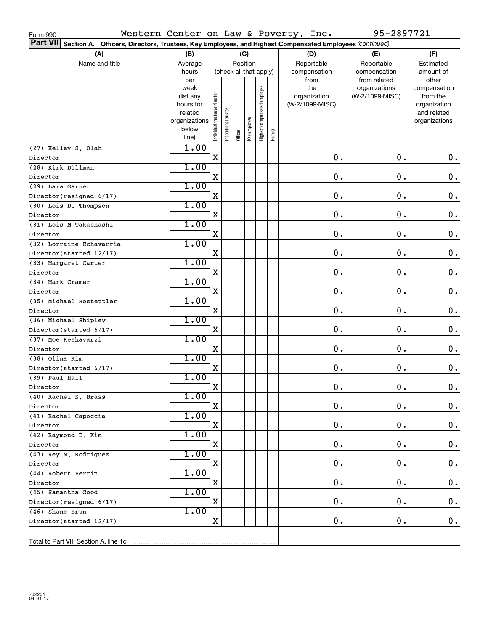| Western Center on Law & Poverty, Inc.<br>Form 990                                                               |                                                                            |                               |                      |                        |              |                              |        |                                                | 95-2897721                                       |                                                                                   |
|-----------------------------------------------------------------------------------------------------------------|----------------------------------------------------------------------------|-------------------------------|----------------------|------------------------|--------------|------------------------------|--------|------------------------------------------------|--------------------------------------------------|-----------------------------------------------------------------------------------|
| Part VII Section A. Officers, Directors, Trustees, Key Employees, and Highest Compensated Employees (continued) |                                                                            |                               |                      |                        |              |                              |        |                                                |                                                  |                                                                                   |
| (A)<br>(B)<br>(C)                                                                                               |                                                                            |                               |                      |                        |              |                              | (D)    | (E)                                            | (F)                                              |                                                                                   |
| Name and title                                                                                                  | Average                                                                    |                               |                      | Position               |              |                              |        | Reportable                                     | Reportable                                       | Estimated                                                                         |
|                                                                                                                 | hours                                                                      |                               |                      | (check all that apply) |              |                              |        | compensation                                   | compensation                                     | amount of                                                                         |
|                                                                                                                 | per<br>week<br>(list any<br>hours for<br>related<br>organizations<br>below | ndividual trustee or director | nstitutional trustee |                        | Key employee | Highest compensated employee |        | from<br>the<br>organization<br>(W-2/1099-MISC) | from related<br>organizations<br>(W-2/1099-MISC) | other<br>compensation<br>from the<br>organization<br>and related<br>organizations |
|                                                                                                                 | line)                                                                      |                               |                      | Officer                |              |                              | Former |                                                |                                                  |                                                                                   |
| (27) Kelley S. Olah                                                                                             | 1.00                                                                       |                               |                      |                        |              |                              |        |                                                |                                                  |                                                                                   |
| Director                                                                                                        |                                                                            | X                             |                      |                        |              |                              |        | 0.                                             | 0.                                               | 0.                                                                                |
| (28) Kirk Dillman                                                                                               | 1.00                                                                       |                               |                      |                        |              |                              |        |                                                |                                                  |                                                                                   |
| Director                                                                                                        |                                                                            | X                             |                      |                        |              |                              |        | 0.                                             | 0.                                               | $\mathbf 0$ .                                                                     |
| (29) Lara Garner                                                                                                | 1.00                                                                       |                               |                      |                        |              |                              |        |                                                |                                                  |                                                                                   |
| Director(resigned 6/17)                                                                                         |                                                                            | X                             |                      |                        |              |                              |        | 0.                                             | 0.                                               | $\mathbf 0$ .                                                                     |
| (30) Lois D. Thompson                                                                                           | 1.00                                                                       |                               |                      |                        |              |                              |        |                                                |                                                  |                                                                                   |
| Director                                                                                                        |                                                                            | X                             |                      |                        |              |                              |        | 0.                                             | 0.                                               | $\mathbf 0$ .                                                                     |
| (31) Lois M Takashashi                                                                                          | 1.00                                                                       |                               |                      |                        |              |                              |        |                                                |                                                  |                                                                                   |
| Director                                                                                                        |                                                                            | X                             |                      |                        |              |                              |        | 0.                                             | 0.                                               | 0.                                                                                |
| (32) Lorraine Echavarria                                                                                        | 1.00                                                                       |                               |                      |                        |              |                              |        |                                                |                                                  |                                                                                   |
| Director(started 12/17)                                                                                         |                                                                            | X                             |                      |                        |              |                              |        | 0.                                             | 0.                                               | 0.                                                                                |
| (33) Margaret Carter                                                                                            | 1.00                                                                       |                               |                      |                        |              |                              |        |                                                |                                                  |                                                                                   |
| Director                                                                                                        |                                                                            | X                             |                      |                        |              |                              |        | 0.                                             | 0.                                               | 0.                                                                                |
| (34) Mark Cramer                                                                                                | 1.00                                                                       |                               |                      |                        |              |                              |        |                                                |                                                  |                                                                                   |
| Director                                                                                                        |                                                                            | X                             |                      |                        |              |                              |        | 0.                                             | 0.                                               | $\mathbf 0$ .                                                                     |
| (35) Michael Hostettler                                                                                         | 1.00                                                                       |                               |                      |                        |              |                              |        |                                                |                                                  |                                                                                   |
| Director                                                                                                        |                                                                            | X                             |                      |                        |              |                              |        | 0.                                             | 0.                                               | $\mathbf 0$ .                                                                     |
| (36) Michael Shipley                                                                                            | 1.00                                                                       |                               |                      |                        |              |                              |        |                                                |                                                  |                                                                                   |
| Director(started 6/17)                                                                                          |                                                                            | X                             |                      |                        |              |                              |        | 0.                                             | 0.                                               | $\mathbf 0$ .                                                                     |
| (37) Moe Keshavarzi                                                                                             | 1.00                                                                       |                               |                      |                        |              |                              |        |                                                |                                                  |                                                                                   |
| Director                                                                                                        |                                                                            | X                             |                      |                        |              |                              |        | 0.                                             | 0.                                               | 0.                                                                                |
| (38) Olina Kim                                                                                                  | 1.00                                                                       |                               |                      |                        |              |                              |        |                                                |                                                  |                                                                                   |
| Director(started 6/17)                                                                                          |                                                                            | X                             |                      |                        |              |                              |        | 0.                                             | 0.                                               | 0.                                                                                |
| (39) Paul Hall                                                                                                  | 1.00                                                                       |                               |                      |                        |              |                              |        |                                                |                                                  |                                                                                   |
| Director                                                                                                        |                                                                            | X                             |                      |                        |              |                              |        | $\mathbf 0$ .                                  | $\mathbf 0$ .                                    | $0$ .                                                                             |
| (40) Rachel S. Brass                                                                                            | 1.00                                                                       |                               |                      |                        |              |                              |        |                                                |                                                  |                                                                                   |
| Director                                                                                                        |                                                                            | х                             |                      |                        |              |                              |        | 0.                                             | 0.                                               | $0$ .                                                                             |
| (41) Rachel Capoccia                                                                                            | 1.00                                                                       |                               |                      |                        |              |                              |        |                                                |                                                  |                                                                                   |
| Director                                                                                                        |                                                                            | х                             |                      |                        |              |                              |        | 0.                                             | 0.                                               | $0\cdot$                                                                          |
| (42) Raymond B. Kim                                                                                             | 1.00                                                                       |                               |                      |                        |              |                              |        |                                                |                                                  |                                                                                   |
| Director                                                                                                        |                                                                            | х                             |                      |                        |              |                              |        | 0.                                             | 0.                                               | $0\cdot$                                                                          |
| (43) Rey M. Rodriguez                                                                                           | 1.00                                                                       |                               |                      |                        |              |                              |        |                                                |                                                  |                                                                                   |
| Director                                                                                                        |                                                                            | X                             |                      |                        |              |                              |        | 0.                                             | 0.                                               | $0\cdot$                                                                          |
| (44) Robert Perrin                                                                                              | 1.00                                                                       |                               |                      |                        |              |                              |        |                                                |                                                  |                                                                                   |
| Director                                                                                                        |                                                                            | X                             |                      |                        |              |                              |        | 0.                                             | 0.                                               | $0\cdot$                                                                          |
| (45) Samantha Good                                                                                              | 1.00                                                                       |                               |                      |                        |              |                              |        |                                                |                                                  |                                                                                   |
| Director(resigned 6/17)                                                                                         |                                                                            | X                             |                      |                        |              |                              |        | 0.                                             | 0.                                               | 0.                                                                                |
| (46) Shane Brun                                                                                                 | 1.00                                                                       |                               |                      |                        |              |                              |        |                                                |                                                  |                                                                                   |
| Director(started 12/17)                                                                                         |                                                                            | X                             |                      |                        |              |                              |        | 0.                                             | 0.                                               | $0$ .                                                                             |
|                                                                                                                 |                                                                            |                               |                      |                        |              |                              |        |                                                |                                                  |                                                                                   |
|                                                                                                                 |                                                                            |                               |                      |                        |              |                              |        |                                                |                                                  |                                                                                   |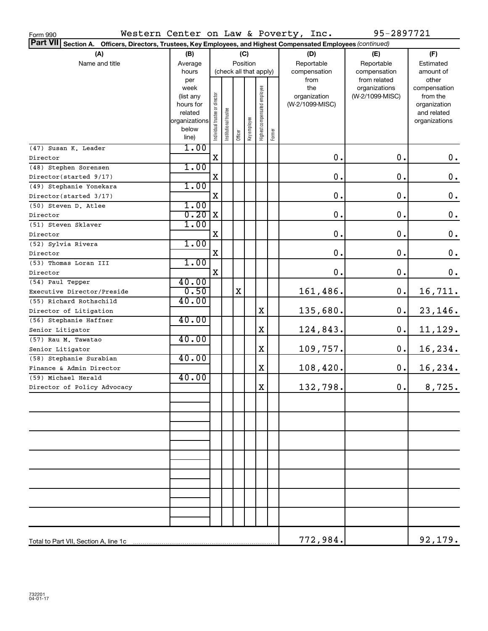| Western Center on Law & Poverty, Inc.<br>Form 990                                                               |                   |                                |                      |             |              |                              |        |                     | 95-2897721                       |                          |
|-----------------------------------------------------------------------------------------------------------------|-------------------|--------------------------------|----------------------|-------------|--------------|------------------------------|--------|---------------------|----------------------------------|--------------------------|
| Part VII Section A. Officers, Directors, Trustees, Key Employees, and Highest Compensated Employees (continued) |                   |                                |                      |             |              |                              |        |                     |                                  |                          |
| (A)                                                                                                             | (B)               |                                |                      |             | (C)          |                              |        | (D)                 | (E)                              | (F)                      |
| Name and title                                                                                                  | Average           |                                | Position             |             |              |                              |        | Reportable          | Reportable                       | Estimated                |
|                                                                                                                 | hours             |                                |                      |             |              | (check all that apply)       |        | compensation        | compensation                     | amount of                |
|                                                                                                                 | per               |                                |                      |             |              |                              |        | from                | from related                     | other                    |
|                                                                                                                 | week<br>(list any |                                |                      |             |              |                              |        | the<br>organization | organizations<br>(W-2/1099-MISC) | compensation<br>from the |
|                                                                                                                 | hours for         |                                |                      |             |              |                              |        | (W-2/1099-MISC)     |                                  | organization             |
|                                                                                                                 | related           |                                |                      |             |              |                              |        |                     |                                  | and related              |
|                                                                                                                 | organizations     |                                |                      |             |              |                              |        |                     |                                  | organizations            |
|                                                                                                                 | below             | Individual trustee or director | nstitutional trustee | Officer     | Key employee | Highest compensated employee | Former |                     |                                  |                          |
|                                                                                                                 | line)             |                                |                      |             |              |                              |        |                     |                                  |                          |
| (47) Susan K. Leader                                                                                            | 1.00              |                                |                      |             |              |                              |        |                     |                                  |                          |
| Director                                                                                                        |                   | $\mathbf X$                    |                      |             |              |                              |        | 0.                  | 0.                               | $0$ .                    |
| (48) Stephen Sorensen                                                                                           | 1.00              |                                |                      |             |              |                              |        |                     |                                  |                          |
| Director(started 9/17)                                                                                          |                   | X                              |                      |             |              |                              |        | 0.                  | 0.                               | $\boldsymbol{0}$ .       |
| (49) Stephanie Yonekara                                                                                         | 1.00              |                                |                      |             |              |                              |        |                     |                                  |                          |
| Director(started 3/17)                                                                                          |                   | X                              |                      |             |              |                              |        | 0.                  | 0.                               | $\boldsymbol{0}$ .       |
| (50) Steven D. Atlee                                                                                            | 1.00              |                                |                      |             |              |                              |        |                     |                                  |                          |
| Director                                                                                                        | 0.20              | X                              |                      |             |              |                              |        | 0.                  | 0.                               | $\boldsymbol{0}$ .       |
| (51) Steven Sklaver                                                                                             | 1.00              |                                |                      |             |              |                              |        |                     |                                  |                          |
| Director                                                                                                        |                   | X                              |                      |             |              |                              |        | 0.                  | 0.                               | $\boldsymbol{0}$ .       |
| (52) Sylvia Rivera                                                                                              | 1.00              |                                |                      |             |              |                              |        |                     |                                  |                          |
| Director                                                                                                        |                   | X                              |                      |             |              |                              |        | 0.                  | 0.                               | $\boldsymbol{0}$ .       |
| (53) Thomas Loran III                                                                                           | 1.00              | $\mathbf X$                    |                      |             |              |                              |        |                     | 0.                               |                          |
| Director                                                                                                        | 40.00             |                                |                      |             |              |                              |        | 0.                  |                                  | $\mathbf 0$ .            |
| (54) Paul Tepper                                                                                                | 0.50              |                                |                      | $\mathbf X$ |              |                              |        |                     | 0.                               |                          |
| Executive Director/Preside                                                                                      | 40.00             |                                |                      |             |              |                              |        | 161,486.            |                                  | 16,711.                  |
| (55) Richard Rothschild                                                                                         |                   |                                |                      |             |              | X                            |        | 135,680.            | 0.                               | 23,146.                  |
| Director of Litigation<br>(56) Stephanie Haffner                                                                | 40.00             |                                |                      |             |              |                              |        |                     |                                  |                          |
| Senior Litigator                                                                                                |                   |                                |                      |             |              | X                            |        | 124,843.            | 0.                               | 11,129.                  |
| (57) Rau M. Tawatao                                                                                             | 40.00             |                                |                      |             |              |                              |        |                     |                                  |                          |
| Senior Litigator                                                                                                |                   |                                |                      |             |              | X                            |        | 109,757.            | 0.                               | 16,234.                  |
| (58) Stephanie Surabian                                                                                         | 40.00             |                                |                      |             |              |                              |        |                     |                                  |                          |
| Finance & Admin Director                                                                                        |                   |                                |                      |             |              | X                            |        | 108,420.            | 0.                               | 16,234.                  |
| (59) Michael Herald                                                                                             | 40.00             |                                |                      |             |              |                              |        |                     |                                  |                          |
| Director of Policy Advocacy                                                                                     |                   |                                |                      |             |              | X                            |        | 132,798.            | 0.                               | 8,725.                   |
|                                                                                                                 |                   |                                |                      |             |              |                              |        |                     |                                  |                          |
|                                                                                                                 |                   |                                |                      |             |              |                              |        |                     |                                  |                          |
|                                                                                                                 |                   |                                |                      |             |              |                              |        |                     |                                  |                          |
|                                                                                                                 |                   |                                |                      |             |              |                              |        |                     |                                  |                          |
|                                                                                                                 |                   |                                |                      |             |              |                              |        |                     |                                  |                          |
|                                                                                                                 |                   |                                |                      |             |              |                              |        |                     |                                  |                          |
|                                                                                                                 |                   |                                |                      |             |              |                              |        |                     |                                  |                          |
|                                                                                                                 |                   |                                |                      |             |              |                              |        |                     |                                  |                          |
|                                                                                                                 |                   |                                |                      |             |              |                              |        |                     |                                  |                          |
|                                                                                                                 |                   |                                |                      |             |              |                              |        |                     |                                  |                          |
|                                                                                                                 |                   |                                |                      |             |              |                              |        |                     |                                  |                          |
|                                                                                                                 |                   |                                |                      |             |              |                              |        |                     |                                  |                          |
|                                                                                                                 |                   |                                |                      |             |              |                              |        |                     |                                  |                          |
|                                                                                                                 |                   |                                |                      |             |              |                              |        |                     |                                  |                          |
|                                                                                                                 |                   |                                |                      |             |              |                              |        |                     |                                  |                          |
|                                                                                                                 |                   |                                |                      |             |              |                              |        | 772,984.            |                                  | 92,179.                  |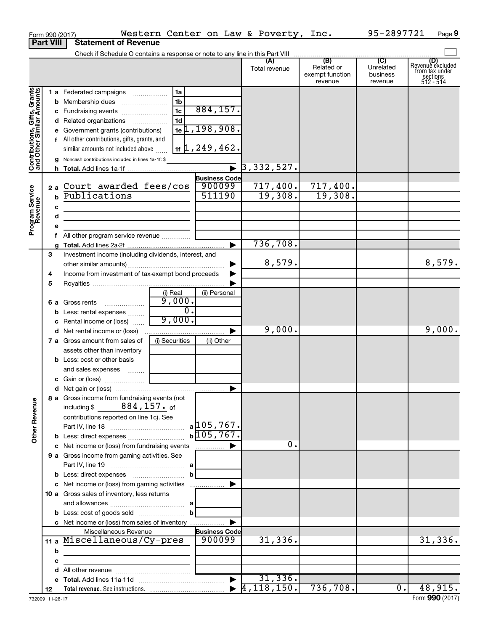|                                                           | Form 990 (2017)       |                                                                                                                                                                                                                                                               |                                                  |                                                                                                          | Western Center on Law & Poverty, Inc. |                                                 | 95-2897721                                         | Page 9                                                             |
|-----------------------------------------------------------|-----------------------|---------------------------------------------------------------------------------------------------------------------------------------------------------------------------------------------------------------------------------------------------------------|--------------------------------------------------|----------------------------------------------------------------------------------------------------------|---------------------------------------|-------------------------------------------------|----------------------------------------------------|--------------------------------------------------------------------|
|                                                           | <b>Part VIII</b>      | <b>Statement of Revenue</b>                                                                                                                                                                                                                                   |                                                  |                                                                                                          |                                       |                                                 |                                                    |                                                                    |
|                                                           |                       |                                                                                                                                                                                                                                                               |                                                  |                                                                                                          |                                       |                                                 |                                                    |                                                                    |
|                                                           |                       |                                                                                                                                                                                                                                                               |                                                  |                                                                                                          | (A)<br>Total revenue                  | (B)<br>Related or<br>exempt function<br>revenue | $\overline{C}$<br>Unrelated<br>business<br>revenue | (D)<br>Revenue excluded<br>from tax under<br>sections<br>512 - 514 |
| Contributions, Gifts, Grants<br>and Other Similar Amounts |                       | 1 a Federated campaigns<br>c Fundraising events<br>d Related organizations<br>e Government grants (contributions)<br>f All other contributions, gifts, grants, and<br>similar amounts not included above<br>Noncash contributions included in lines 1a-1f: \$ | 1a<br>1 <sub>b</sub><br>1c<br>1 <sub>d</sub>     | 884, 157.<br>$1e$ [1, 198, 908.<br>$1$ <sub>1f</sub> $\left 1, 249, 462.\right $<br><b>Business Code</b> |                                       |                                                 |                                                    |                                                                    |
| Program Service<br>Revenue                                | $\mathbf b$<br>c<br>d | 2a Court awarded fees/cos<br>Publications<br><u> 1990 - Johann Barbara, martin a</u>                                                                                                                                                                          |                                                  | 900099<br>511190                                                                                         | 717,400.<br>19,308.                   | 717,400.<br>19,308.                             |                                                    |                                                                    |
|                                                           | е<br>f.               | All other program service revenue                                                                                                                                                                                                                             |                                                  |                                                                                                          | 736,708.                              |                                                 |                                                    |                                                                    |
|                                                           | 3                     | Investment income (including dividends, interest, and<br>Income from investment of tax-exempt bond proceeds                                                                                                                                                   |                                                  |                                                                                                          | 8,579.                                |                                                 |                                                    | 8,579.                                                             |
|                                                           | 4<br>5<br>b           | <b>6 a</b> Gross rents<br>Less: rental expenses                                                                                                                                                                                                               | (i) Real<br>9,000.<br>$\overline{0}$ .<br>9,000. | (ii) Personal                                                                                            |                                       |                                                 |                                                    |                                                                    |
|                                                           | c                     | Rental income or (loss)<br>7 a Gross amount from sales of                                                                                                                                                                                                     | (i) Securities                                   | ▶<br>(ii) Other                                                                                          | 9,000.                                |                                                 |                                                    | 9,000.                                                             |
|                                                           |                       | assets other than inventory<br><b>b</b> Less: cost or other basis<br>and sales expenses                                                                                                                                                                       |                                                  |                                                                                                          |                                       |                                                 |                                                    |                                                                    |
| <b>Other Revenue</b>                                      |                       | 8 a Gross income from fundraising events (not<br>including \$ $884, 157$ . of<br>contributions reported on line 1c). See                                                                                                                                      |                                                  | $b\sqrt{105, 767}$ .                                                                                     |                                       |                                                 |                                                    |                                                                    |
|                                                           |                       | 9 a Gross income from gaming activities. See                                                                                                                                                                                                                  | b                                                |                                                                                                          | 0.                                    |                                                 |                                                    |                                                                    |
|                                                           |                       | 10 a Gross sales of inventory, less returns<br>c Net income or (loss) from sales of inventory                                                                                                                                                                 |                                                  |                                                                                                          |                                       |                                                 |                                                    |                                                                    |
|                                                           | b<br>с                | Miscellaneous Revenue<br>11 a Miscellaneous/Cy-pres<br><u> 1989 - John Harry Harry Harry Harry Harry Harry Harry Harry Harry Harry Harry Harry Harry Harry Harry Harry</u>                                                                                    |                                                  | <b>Business Code</b><br>900099                                                                           | 31,336.                               |                                                 |                                                    | 31,336.                                                            |
|                                                           | d<br>12               |                                                                                                                                                                                                                                                               |                                                  |                                                                                                          | 31,336.                               | 736,708.                                        | $\overline{0}$ .                                   | 48,915.                                                            |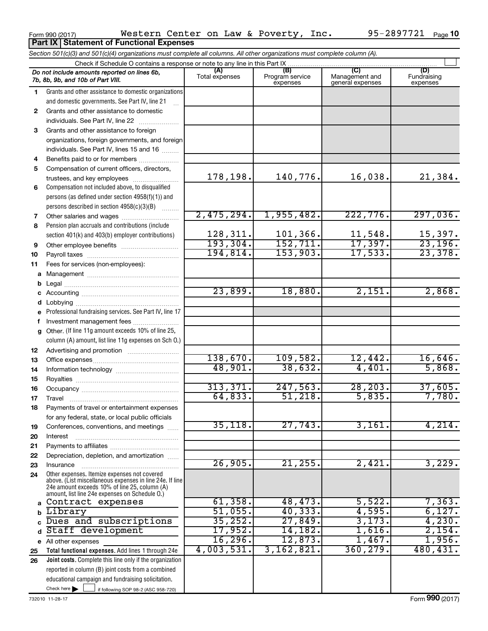|              | Check if Schedule O contains a response or note to any line in this Part IX                                                                                                                                 |                       |                                    |                                           |                                |
|--------------|-------------------------------------------------------------------------------------------------------------------------------------------------------------------------------------------------------------|-----------------------|------------------------------------|-------------------------------------------|--------------------------------|
|              | Do not include amounts reported on lines 6b,<br>7b, 8b, 9b, and 10b of Part VIII.                                                                                                                           | (A)<br>Total expenses | (B)<br>Program service<br>expenses | (C)<br>Management and<br>general expenses | (D)<br>Fundraising<br>expenses |
| 1            | Grants and other assistance to domestic organizations                                                                                                                                                       |                       |                                    |                                           |                                |
|              | and domestic governments. See Part IV, line 21                                                                                                                                                              |                       |                                    |                                           |                                |
| $\mathbf{2}$ | Grants and other assistance to domestic                                                                                                                                                                     |                       |                                    |                                           |                                |
|              | individuals. See Part IV, line 22                                                                                                                                                                           |                       |                                    |                                           |                                |
| 3            | Grants and other assistance to foreign                                                                                                                                                                      |                       |                                    |                                           |                                |
|              | organizations, foreign governments, and foreign                                                                                                                                                             |                       |                                    |                                           |                                |
|              | individuals. See Part IV, lines 15 and 16                                                                                                                                                                   |                       |                                    |                                           |                                |
| 4            |                                                                                                                                                                                                             |                       |                                    |                                           |                                |
| 5            | Compensation of current officers, directors,                                                                                                                                                                |                       |                                    |                                           |                                |
|              | trustees, and key employees                                                                                                                                                                                 | 178,198.              | 140,776.                           | 16,038.                                   | 21,384.                        |
| 6            | Compensation not included above, to disqualified                                                                                                                                                            |                       |                                    |                                           |                                |
|              | persons (as defined under section 4958(f)(1)) and<br>persons described in section 4958(c)(3)(B)                                                                                                             |                       |                                    |                                           |                                |
|              |                                                                                                                                                                                                             | 2,475,294.            | 1,955,482.                         | 222,776.                                  | 297,036.                       |
| 7<br>8       | Other salaries and wages<br>Pension plan accruals and contributions (include                                                                                                                                |                       |                                    |                                           |                                |
|              | section 401(k) and 403(b) employer contributions)                                                                                                                                                           | 128,311.              | 101,366.                           | 11,548.                                   | 15,397.                        |
| 9            |                                                                                                                                                                                                             | 193, 304.             | 152,711.                           | 17,397.                                   | 23,196.                        |
| 10           |                                                                                                                                                                                                             | 194,814.              | 153,903.                           | 17,533.                                   | 23,378.                        |
| 11           | Fees for services (non-employees):                                                                                                                                                                          |                       |                                    |                                           |                                |
| a            |                                                                                                                                                                                                             |                       |                                    |                                           |                                |
| b            |                                                                                                                                                                                                             |                       |                                    |                                           |                                |
|              |                                                                                                                                                                                                             | 23,899.               | 18,880.                            | 2,151.                                    | 2,868.                         |
| d            |                                                                                                                                                                                                             |                       |                                    |                                           |                                |
|              | Professional fundraising services. See Part IV, line 17                                                                                                                                                     |                       |                                    |                                           |                                |
| f            | Investment management fees                                                                                                                                                                                  |                       |                                    |                                           |                                |
| g            | Other. (If line 11g amount exceeds 10% of line 25,                                                                                                                                                          |                       |                                    |                                           |                                |
|              | column (A) amount, list line 11g expenses on Sch O.)                                                                                                                                                        |                       |                                    |                                           |                                |
| 12           |                                                                                                                                                                                                             |                       |                                    |                                           |                                |
| 13           |                                                                                                                                                                                                             | 138,670.              | 109,582.                           | 12,442.                                   | 16,646.                        |
| 14           |                                                                                                                                                                                                             | 48,901.               | 38,632.                            | 4,401.                                    | 5,868.                         |
| 15           |                                                                                                                                                                                                             |                       |                                    |                                           |                                |
| 16           |                                                                                                                                                                                                             | 313, 371.             | 247,563                            | 28, 203.                                  | 37,605.                        |
| 17           |                                                                                                                                                                                                             | 64,833.               | 51,218.                            | 5,835.                                    | 7,780.                         |
| 18           | Payments of travel or entertainment expenses                                                                                                                                                                |                       |                                    |                                           |                                |
|              | for any federal, state, or local public officials                                                                                                                                                           |                       |                                    |                                           |                                |
| 19           | Conferences, conventions, and meetings                                                                                                                                                                      | 35, 118.              | 27,743.                            | 3,161.                                    | 4,214.                         |
| 20           | Interest                                                                                                                                                                                                    |                       |                                    |                                           |                                |
| 21           |                                                                                                                                                                                                             |                       |                                    |                                           |                                |
| 22           | Depreciation, depletion, and amortization                                                                                                                                                                   |                       |                                    |                                           |                                |
| 23           | Insurance                                                                                                                                                                                                   | 26,905.               | 21, 255                            | 2,421.                                    | 3,229.                         |
| 24           | Other expenses. Itemize expenses not covered<br>above. (List miscellaneous expenses in line 24e. If line<br>24e amount exceeds 10% of line 25, column (A)<br>amount, list line 24e expenses on Schedule O.) |                       |                                    |                                           |                                |
|              | a Contract expenses                                                                                                                                                                                         | 61,358.               | 48,473.                            | 5,522.                                    | 7,363.                         |
|              | b Library                                                                                                                                                                                                   | 51,055.               | 40,333.                            | 4,595.                                    | 6,127.                         |
|              | Dues and subscriptions                                                                                                                                                                                      | 35, 252.              | 27,849.                            | 3,173.                                    | 4,230.                         |
| d            | Staff development                                                                                                                                                                                           | 17,952.               | 14,182.                            | 1,616.                                    | 2,154.                         |
|              | e All other expenses                                                                                                                                                                                        | 16,296.               | 12,873.                            | 1,467.                                    | 1,956.                         |
| 25           | Total functional expenses. Add lines 1 through 24e                                                                                                                                                          | 4,003,531.            | 3,162,821.                         | 360, 279.                                 | 480, 431.                      |
| 26           | <b>Joint costs.</b> Complete this line only if the organization                                                                                                                                             |                       |                                    |                                           |                                |
|              | reported in column (B) joint costs from a combined                                                                                                                                                          |                       |                                    |                                           |                                |
|              | educational campaign and fundraising solicitation.                                                                                                                                                          |                       |                                    |                                           |                                |

*Section 501(c)(3) and 501(c)(4) organizations must complete all columns. All other organizations must complete column (A).*

Check here

Check here  $\begin{array}{c} \begin{array}{|c} \hline \end{array} \end{array}$  if following SOP 98-2 (ASC 958-720)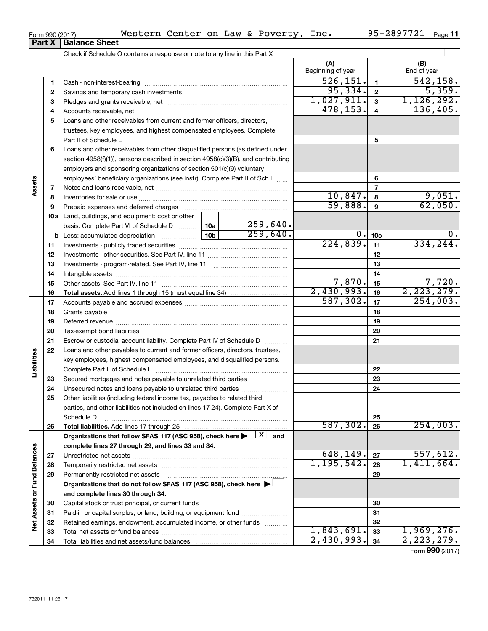| Form 990 (2017) | Western | Center | on<br>Law | $\alpha$ | Poverty | Inc. | $\blacksquare$<br>ΩL<br>$\lambda$ $\Omega$<br>$\boldsymbol{\mathcal{L}}$ | Page |
|-----------------|---------|--------|-----------|----------|---------|------|--------------------------------------------------------------------------|------|
|                 |         |        |           |          |         |      |                                                                          |      |

|                             |          |                                                                                                                         |                 |          | (A)<br>Beginning of year |                 | (B)<br>End of year |
|-----------------------------|----------|-------------------------------------------------------------------------------------------------------------------------|-----------------|----------|--------------------------|-----------------|--------------------|
|                             | 1        |                                                                                                                         |                 |          | 526, 151.                | $\mathbf{1}$    | 542, 158.          |
|                             | 2        |                                                                                                                         |                 |          | 95,334.                  | $\mathbf{2}$    | 5,359.             |
|                             | 3        |                                                                                                                         |                 |          | 1,027,911.               | 3               | 1,126,292.         |
|                             | 4        |                                                                                                                         |                 |          | 478, 153.                | $\overline{4}$  | 136,405.           |
|                             | 5        | Loans and other receivables from current and former officers, directors,                                                |                 |          |                          |                 |                    |
|                             |          | trustees, key employees, and highest compensated employees. Complete                                                    |                 |          |                          |                 |                    |
|                             |          | Part II of Schedule Latin and Communication of Schedule Latin and Communication of Schedule Latin and Schedule          |                 |          |                          | 5               |                    |
|                             | 6        | Loans and other receivables from other disqualified persons (as defined under                                           |                 |          |                          |                 |                    |
|                             |          | section 4958(f)(1)), persons described in section 4958(c)(3)(B), and contributing                                       |                 |          |                          |                 |                    |
|                             |          | employers and sponsoring organizations of section 501(c)(9) voluntary                                                   |                 |          |                          |                 |                    |
|                             |          | employees' beneficiary organizations (see instr). Complete Part II of Sch L                                             |                 |          |                          | 6               |                    |
| Assets                      | 7        |                                                                                                                         |                 |          |                          | $\overline{7}$  |                    |
|                             | 8        |                                                                                                                         |                 |          | 10,847.                  | 8               | 9,051.             |
|                             | 9        |                                                                                                                         |                 |          | 59,888.                  | 9               | 62,050.            |
|                             |          | 10a Land, buildings, and equipment: cost or other                                                                       |                 |          |                          |                 |                    |
|                             |          | basis. Complete Part VI of Schedule D                                                                                   | 10a             | 259,640. |                          |                 |                    |
|                             |          | <b>b</b> Less: accumulated depreciation                                                                                 | 10 <sub>b</sub> | 259,640. | 0.                       | 10 <sub>c</sub> | 0.                 |
|                             | 11       |                                                                                                                         |                 |          | 224,839.                 | 11              | 334, 244.          |
|                             | 12       |                                                                                                                         |                 |          |                          | 12              |                    |
|                             | 13       |                                                                                                                         |                 |          |                          | 13              |                    |
|                             | 14       |                                                                                                                         |                 | 14       |                          |                 |                    |
|                             | 15       |                                                                                                                         |                 |          | 7,870.                   | 15              | 7,720.             |
|                             | 16       |                                                                                                                         |                 |          | 2,430,993.               | 16              | 2, 223, 279.       |
|                             | 17       |                                                                                                                         |                 |          | 587, 302.                | 17              | 254,003.           |
|                             | 18       |                                                                                                                         |                 |          |                          | 18              |                    |
|                             | 19       |                                                                                                                         |                 |          |                          | 19              |                    |
|                             | 20       |                                                                                                                         |                 |          | 20                       |                 |                    |
|                             | 21       | Escrow or custodial account liability. Complete Part IV of Schedule D                                                   |                 |          |                          | 21              |                    |
|                             | 22       | Loans and other payables to current and former officers, directors, trustees,                                           |                 |          |                          |                 |                    |
|                             |          | key employees, highest compensated employees, and disqualified persons.                                                 |                 |          |                          |                 |                    |
| Liabilities                 |          |                                                                                                                         |                 |          |                          | 22              |                    |
|                             | 23       | Secured mortgages and notes payable to unrelated third parties                                                          |                 |          |                          | 23              |                    |
|                             | 24       | Unsecured notes and loans payable to unrelated third parties                                                            |                 |          |                          | 24              |                    |
|                             | 25       | Other liabilities (including federal income tax, payables to related third                                              |                 |          |                          |                 |                    |
|                             |          | parties, and other liabilities not included on lines 17-24). Complete Part X of                                         |                 |          |                          |                 |                    |
|                             |          | Schedule D                                                                                                              |                 |          |                          | 25              |                    |
|                             | 26       |                                                                                                                         |                 |          | 587, 302.                | 26              | 254,003.           |
|                             |          | Organizations that follow SFAS 117 (ASC 958), check here $\blacktriangleright \begin{array}{c} \perp X \end{array}$ and |                 |          |                          |                 |                    |
|                             |          | complete lines 27 through 29, and lines 33 and 34.                                                                      |                 |          | 648, 149.                |                 | 557,612.           |
|                             | 27       |                                                                                                                         |                 |          | 1, 195, 542.             | 27              | 1,411,664.         |
|                             | 28       |                                                                                                                         |                 |          |                          | 28              |                    |
|                             | 29       | Permanently restricted net assets                                                                                       |                 |          |                          | 29              |                    |
|                             |          | Organizations that do not follow SFAS 117 (ASC 958), check here $\blacktriangleright$                                   |                 |          |                          |                 |                    |
|                             |          | and complete lines 30 through 34.                                                                                       |                 |          |                          | 30              |                    |
|                             | 30       | Paid-in or capital surplus, or land, building, or equipment fund                                                        |                 |          |                          | 31              |                    |
| Net Assets or Fund Balances | 31<br>32 | Retained earnings, endowment, accumulated income, or other funds                                                        |                 |          |                          | 32              |                    |
|                             | 33       |                                                                                                                         |                 |          | 1,843,691.               | 33              | 1,969,276.         |
|                             | 34       |                                                                                                                         |                 |          | 2,430,993.               | 34              | 2, 223, 279.       |
|                             |          |                                                                                                                         |                 |          |                          |                 |                    |

Form (2017) **990**

# **Part X Balance Sheet**

|  | Form 990 (2017) |
|--|-----------------|
|  |                 |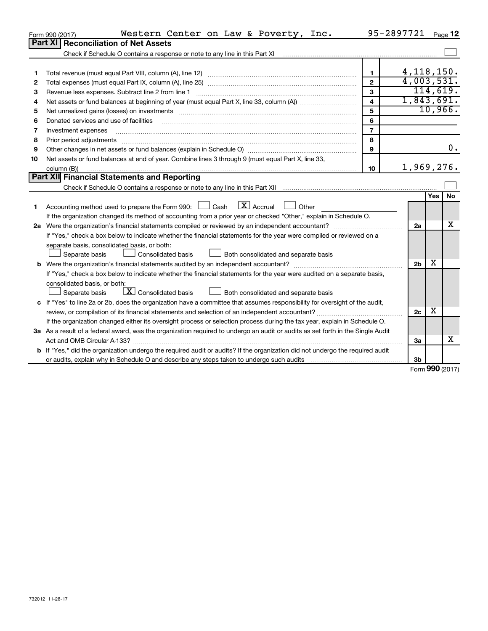|    | Western Center on Law & Poverty, Inc.<br>Form 990 (2017)                                                                        | 95-2897721 Page 12      |                |     |                  |
|----|---------------------------------------------------------------------------------------------------------------------------------|-------------------------|----------------|-----|------------------|
|    | <b>Part XI</b><br><b>Reconciliation of Net Assets</b>                                                                           |                         |                |     |                  |
|    | Check if Schedule O contains a response or note to any line in this Part XI                                                     |                         |                |     |                  |
|    |                                                                                                                                 |                         |                |     |                  |
| 1  |                                                                                                                                 | $\mathbf{1}$            | 4, 118, 150.   |     |                  |
| 2  |                                                                                                                                 | $\overline{2}$          | 4,003,531.     |     |                  |
| 3  | Revenue less expenses. Subtract line 2 from line 1                                                                              | 3                       |                |     | 114,619.         |
| 4  |                                                                                                                                 | $\overline{\mathbf{4}}$ | 1,843,691.     |     |                  |
| 5  |                                                                                                                                 | 5                       |                |     | 10,966.          |
| 6  | Donated services and use of facilities                                                                                          | 6                       |                |     |                  |
| 7  | Investment expenses                                                                                                             | $\overline{7}$          |                |     |                  |
| 8  | Prior period adjustments                                                                                                        | 8                       |                |     |                  |
| 9  |                                                                                                                                 | $\mathbf{Q}$            |                |     | $\overline{0}$ . |
| 10 | Net assets or fund balances at end of year. Combine lines 3 through 9 (must equal Part X, line 33,                              |                         |                |     |                  |
|    | column (B))                                                                                                                     | 10                      | 1,969,276.     |     |                  |
|    | Part XII Financial Statements and Reporting                                                                                     |                         |                |     |                  |
|    |                                                                                                                                 |                         |                |     |                  |
|    |                                                                                                                                 |                         |                | Yes | No               |
| 1  | $\boxed{\text{X}}$ Accrual<br>Accounting method used to prepare the Form 990: [130] Cash<br>Other                               |                         |                |     |                  |
|    | If the organization changed its method of accounting from a prior year or checked "Other," explain in Schedule O.               |                         |                |     |                  |
|    |                                                                                                                                 |                         | 2a             |     | x                |
|    | If "Yes," check a box below to indicate whether the financial statements for the year were compiled or reviewed on a            |                         |                |     |                  |
|    | separate basis, consolidated basis, or both:                                                                                    |                         |                |     |                  |
|    | Separate basis<br>Consolidated basis<br>Both consolidated and separate basis                                                    |                         |                |     |                  |
|    |                                                                                                                                 |                         | 2 <sub>b</sub> | X   |                  |
|    | If "Yes," check a box below to indicate whether the financial statements for the year were audited on a separate basis,         |                         |                |     |                  |
|    | consolidated basis, or both:                                                                                                    |                         |                |     |                  |
|    | $\boxed{\textbf{X}}$ Consolidated basis<br>Both consolidated and separate basis<br>Separate basis                               |                         |                |     |                  |
|    | c If "Yes" to line 2a or 2b, does the organization have a committee that assumes responsibility for oversight of the audit,     |                         |                |     |                  |
|    |                                                                                                                                 |                         | 2c             | х   |                  |
|    | If the organization changed either its oversight process or selection process during the tax year, explain in Schedule O.       |                         |                |     |                  |
|    | 3a As a result of a federal award, was the organization required to undergo an audit or audits as set forth in the Single Audit |                         |                |     |                  |
|    |                                                                                                                                 |                         | За             |     | x                |
|    | b If "Yes," did the organization undergo the required audit or audits? If the organization did not undergo the required audit   |                         |                |     |                  |
|    |                                                                                                                                 |                         | 3b             |     |                  |

Form (2017) **990**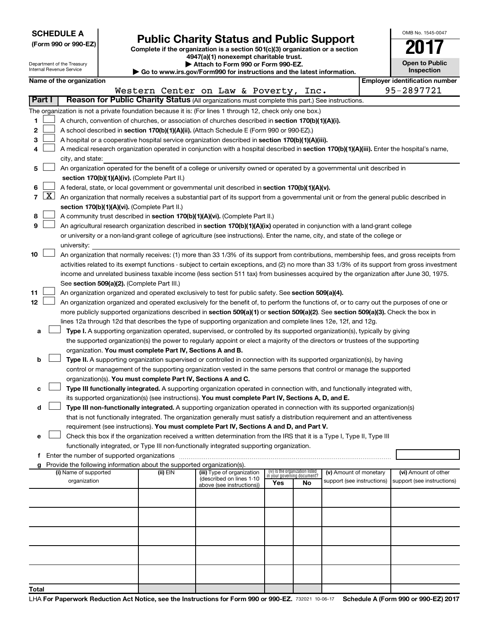|  | <b>SCHEDULE A</b> |
|--|-------------------|
|--|-------------------|

|  |  | (Form 990 or 990-EZ) |
|--|--|----------------------|
|  |  |                      |

# Form 990 or 990-EZ)<br>
Complete if the organization is a section 501(c)(3) organization or a section<br> **Public Charity Status and Public Support**

**4947(a)(1) nonexempt charitable trust.**

| OMB No. 1545-0047     |
|-----------------------|
| 201                   |
| <b>Open to Public</b> |

| Department of the Treasury<br>Attach to Form 990 or Form 990-EZ.<br>Internal Revenue Service<br>$\blacktriangleright$ Go to www.irs.gov/Form990 for instructions and the latest information. |        |                          |  |                                                                        |                                                                                                                                                                                                                                                                                        | <b>Open to Public</b><br>Inspection |                             |                            |  |                                       |
|----------------------------------------------------------------------------------------------------------------------------------------------------------------------------------------------|--------|--------------------------|--|------------------------------------------------------------------------|----------------------------------------------------------------------------------------------------------------------------------------------------------------------------------------------------------------------------------------------------------------------------------------|-------------------------------------|-----------------------------|----------------------------|--|---------------------------------------|
|                                                                                                                                                                                              |        | Name of the organization |  |                                                                        |                                                                                                                                                                                                                                                                                        |                                     |                             |                            |  | <b>Employer identification number</b> |
|                                                                                                                                                                                              |        |                          |  |                                                                        | Western Center on Law & Poverty, Inc.                                                                                                                                                                                                                                                  |                                     |                             |                            |  | 95-2897721                            |
|                                                                                                                                                                                              | Part I |                          |  |                                                                        | Reason for Public Charity Status (All organizations must complete this part.) See instructions.                                                                                                                                                                                        |                                     |                             |                            |  |                                       |
|                                                                                                                                                                                              |        |                          |  |                                                                        | The organization is not a private foundation because it is: (For lines 1 through 12, check only one box.)                                                                                                                                                                              |                                     |                             |                            |  |                                       |
| 1                                                                                                                                                                                            |        |                          |  |                                                                        | A church, convention of churches, or association of churches described in section 170(b)(1)(A)(i).                                                                                                                                                                                     |                                     |                             |                            |  |                                       |
| 2                                                                                                                                                                                            |        |                          |  |                                                                        | A school described in section 170(b)(1)(A)(ii). (Attach Schedule E (Form 990 or 990-EZ).)                                                                                                                                                                                              |                                     |                             |                            |  |                                       |
| 3                                                                                                                                                                                            |        |                          |  |                                                                        | A hospital or a cooperative hospital service organization described in section 170(b)(1)(A)(iii).                                                                                                                                                                                      |                                     |                             |                            |  |                                       |
| 4                                                                                                                                                                                            |        |                          |  |                                                                        | A medical research organization operated in conjunction with a hospital described in section 170(b)(1)(A)(iii). Enter the hospital's name,                                                                                                                                             |                                     |                             |                            |  |                                       |
|                                                                                                                                                                                              |        | city, and state:         |  |                                                                        |                                                                                                                                                                                                                                                                                        |                                     |                             |                            |  |                                       |
| 5                                                                                                                                                                                            |        |                          |  |                                                                        | An organization operated for the benefit of a college or university owned or operated by a governmental unit described in                                                                                                                                                              |                                     |                             |                            |  |                                       |
|                                                                                                                                                                                              |        |                          |  | section 170(b)(1)(A)(iv). (Complete Part II.)                          |                                                                                                                                                                                                                                                                                        |                                     |                             |                            |  |                                       |
| 6                                                                                                                                                                                            |        |                          |  |                                                                        | A federal, state, or local government or governmental unit described in section 170(b)(1)(A)(v).                                                                                                                                                                                       |                                     |                             |                            |  |                                       |
|                                                                                                                                                                                              | 7   X  |                          |  |                                                                        | An organization that normally receives a substantial part of its support from a governmental unit or from the general public described in                                                                                                                                              |                                     |                             |                            |  |                                       |
|                                                                                                                                                                                              |        |                          |  | section 170(b)(1)(A)(vi). (Complete Part II.)                          |                                                                                                                                                                                                                                                                                        |                                     |                             |                            |  |                                       |
| 8                                                                                                                                                                                            |        |                          |  |                                                                        | A community trust described in section 170(b)(1)(A)(vi). (Complete Part II.)                                                                                                                                                                                                           |                                     |                             |                            |  |                                       |
| 9                                                                                                                                                                                            |        |                          |  |                                                                        | An agricultural research organization described in section 170(b)(1)(A)(ix) operated in conjunction with a land-grant college                                                                                                                                                          |                                     |                             |                            |  |                                       |
|                                                                                                                                                                                              |        |                          |  |                                                                        |                                                                                                                                                                                                                                                                                        |                                     |                             |                            |  |                                       |
|                                                                                                                                                                                              |        | university:              |  |                                                                        | or university or a non-land-grant college of agriculture (see instructions). Enter the name, city, and state of the college or                                                                                                                                                         |                                     |                             |                            |  |                                       |
| 10                                                                                                                                                                                           |        |                          |  |                                                                        |                                                                                                                                                                                                                                                                                        |                                     |                             |                            |  |                                       |
|                                                                                                                                                                                              |        |                          |  |                                                                        | An organization that normally receives: (1) more than 33 1/3% of its support from contributions, membership fees, and gross receipts from                                                                                                                                              |                                     |                             |                            |  |                                       |
|                                                                                                                                                                                              |        |                          |  |                                                                        | activities related to its exempt functions - subject to certain exceptions, and (2) no more than 33 1/3% of its support from gross investment<br>income and unrelated business taxable income (less section 511 tax) from businesses acquired by the organization after June 30, 1975. |                                     |                             |                            |  |                                       |
|                                                                                                                                                                                              |        |                          |  | See section 509(a)(2). (Complete Part III.)                            |                                                                                                                                                                                                                                                                                        |                                     |                             |                            |  |                                       |
| 11                                                                                                                                                                                           |        |                          |  |                                                                        | An organization organized and operated exclusively to test for public safety. See section 509(a)(4).                                                                                                                                                                                   |                                     |                             |                            |  |                                       |
| 12                                                                                                                                                                                           |        |                          |  |                                                                        | An organization organized and operated exclusively for the benefit of, to perform the functions of, or to carry out the purposes of one or                                                                                                                                             |                                     |                             |                            |  |                                       |
|                                                                                                                                                                                              |        |                          |  |                                                                        | more publicly supported organizations described in section 509(a)(1) or section 509(a)(2). See section 509(a)(3). Check the box in                                                                                                                                                     |                                     |                             |                            |  |                                       |
|                                                                                                                                                                                              |        |                          |  |                                                                        | lines 12a through 12d that describes the type of supporting organization and complete lines 12e, 12f, and 12g.                                                                                                                                                                         |                                     |                             |                            |  |                                       |
| а                                                                                                                                                                                            |        |                          |  |                                                                        | Type I. A supporting organization operated, supervised, or controlled by its supported organization(s), typically by giving                                                                                                                                                            |                                     |                             |                            |  |                                       |
|                                                                                                                                                                                              |        |                          |  |                                                                        | the supported organization(s) the power to regularly appoint or elect a majority of the directors or trustees of the supporting                                                                                                                                                        |                                     |                             |                            |  |                                       |
|                                                                                                                                                                                              |        |                          |  | organization. You must complete Part IV, Sections A and B.             |                                                                                                                                                                                                                                                                                        |                                     |                             |                            |  |                                       |
| b                                                                                                                                                                                            |        |                          |  |                                                                        | Type II. A supporting organization supervised or controlled in connection with its supported organization(s), by having                                                                                                                                                                |                                     |                             |                            |  |                                       |
|                                                                                                                                                                                              |        |                          |  |                                                                        | control or management of the supporting organization vested in the same persons that control or manage the supported                                                                                                                                                                   |                                     |                             |                            |  |                                       |
|                                                                                                                                                                                              |        |                          |  | organization(s). You must complete Part IV, Sections A and C.          |                                                                                                                                                                                                                                                                                        |                                     |                             |                            |  |                                       |
| с                                                                                                                                                                                            |        |                          |  |                                                                        | Type III functionally integrated. A supporting organization operated in connection with, and functionally integrated with,                                                                                                                                                             |                                     |                             |                            |  |                                       |
|                                                                                                                                                                                              |        |                          |  |                                                                        | its supported organization(s) (see instructions). You must complete Part IV, Sections A, D, and E.                                                                                                                                                                                     |                                     |                             |                            |  |                                       |
| d                                                                                                                                                                                            |        |                          |  |                                                                        | Type III non-functionally integrated. A supporting organization operated in connection with its supported organization(s)                                                                                                                                                              |                                     |                             |                            |  |                                       |
|                                                                                                                                                                                              |        |                          |  |                                                                        | that is not functionally integrated. The organization generally must satisfy a distribution requirement and an attentiveness                                                                                                                                                           |                                     |                             |                            |  |                                       |
|                                                                                                                                                                                              |        |                          |  |                                                                        | requirement (see instructions). You must complete Part IV, Sections A and D, and Part V.                                                                                                                                                                                               |                                     |                             |                            |  |                                       |
| е                                                                                                                                                                                            |        |                          |  |                                                                        | Check this box if the organization received a written determination from the IRS that it is a Type I, Type II, Type III                                                                                                                                                                |                                     |                             |                            |  |                                       |
|                                                                                                                                                                                              |        |                          |  |                                                                        | functionally integrated, or Type III non-functionally integrated supporting organization.                                                                                                                                                                                              |                                     |                             |                            |  |                                       |
|                                                                                                                                                                                              |        |                          |  |                                                                        |                                                                                                                                                                                                                                                                                        |                                     |                             |                            |  |                                       |
|                                                                                                                                                                                              |        |                          |  | Provide the following information about the supported organization(s). |                                                                                                                                                                                                                                                                                        |                                     |                             |                            |  |                                       |
|                                                                                                                                                                                              |        | (i) Name of supported    |  | (ii) EIN                                                               | (iii) Type of organization<br>(described on lines 1-10                                                                                                                                                                                                                                 | (iv) Is the organization listed     | in your governing document? | (v) Amount of monetary     |  | (vi) Amount of other                  |
|                                                                                                                                                                                              |        | organization             |  |                                                                        | above (see instructions))                                                                                                                                                                                                                                                              | Yes                                 | No                          | support (see instructions) |  | support (see instructions)            |
|                                                                                                                                                                                              |        |                          |  |                                                                        |                                                                                                                                                                                                                                                                                        |                                     |                             |                            |  |                                       |
|                                                                                                                                                                                              |        |                          |  |                                                                        |                                                                                                                                                                                                                                                                                        |                                     |                             |                            |  |                                       |
|                                                                                                                                                                                              |        |                          |  |                                                                        |                                                                                                                                                                                                                                                                                        |                                     |                             |                            |  |                                       |
|                                                                                                                                                                                              |        |                          |  |                                                                        |                                                                                                                                                                                                                                                                                        |                                     |                             |                            |  |                                       |
|                                                                                                                                                                                              |        |                          |  |                                                                        |                                                                                                                                                                                                                                                                                        |                                     |                             |                            |  |                                       |
|                                                                                                                                                                                              |        |                          |  |                                                                        |                                                                                                                                                                                                                                                                                        |                                     |                             |                            |  |                                       |
|                                                                                                                                                                                              |        |                          |  |                                                                        |                                                                                                                                                                                                                                                                                        |                                     |                             |                            |  |                                       |
|                                                                                                                                                                                              |        |                          |  |                                                                        |                                                                                                                                                                                                                                                                                        |                                     |                             |                            |  |                                       |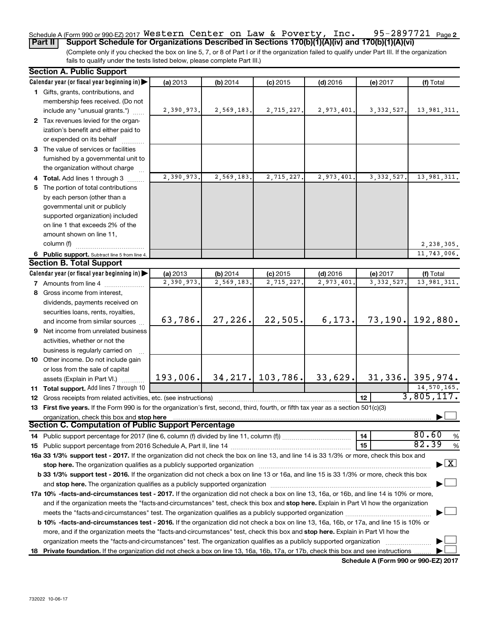#### 95-2897721 Page 2 Schedule A (Form 990 or 990-EZ) 2017 WESTETN CENTET ON LAW & POVETTY, INC.  $95-289$  / /  $21$  Page **Part II Support Schedule for Organizations Described in Sections 170(b)(1)(A)(iv) and 170(b)(1)(A)(vi)** Western Center on Law & Poverty, Inc. 95-2897721

(Complete only if you checked the box on line 5, 7, or 8 of Part I or if the organization failed to qualify under Part III. If the organization fails to qualify under the tests listed below, please complete Part III.)

| <b>Section A. Public Support</b>                                                                                                           |            |            |                      |            |              |                                          |
|--------------------------------------------------------------------------------------------------------------------------------------------|------------|------------|----------------------|------------|--------------|------------------------------------------|
| Calendar year (or fiscal year beginning in)                                                                                                | (a) 2013   | (b) 2014   | $(c)$ 2015           | $(d)$ 2016 | (e) 2017     | (f) Total                                |
| 1 Gifts, grants, contributions, and                                                                                                        |            |            |                      |            |              |                                          |
| membership fees received. (Do not                                                                                                          |            |            |                      |            |              |                                          |
| include any "unusual grants.")                                                                                                             | 2,390,973. | 2,569,183. | 2,715,227.           | 2,973,401. | 3, 332, 527. | 13,981,311.                              |
| 2 Tax revenues levied for the organ-                                                                                                       |            |            |                      |            |              |                                          |
| ization's benefit and either paid to                                                                                                       |            |            |                      |            |              |                                          |
| or expended on its behalf                                                                                                                  |            |            |                      |            |              |                                          |
| 3 The value of services or facilities                                                                                                      |            |            |                      |            |              |                                          |
| furnished by a governmental unit to                                                                                                        |            |            |                      |            |              |                                          |
| the organization without charge                                                                                                            |            |            |                      |            |              |                                          |
| 4 Total. Add lines 1 through 3                                                                                                             | 2,390,973. | 2,569,183. | 2,715,227            | 2,973,401. | 3, 332, 527. | 13,981,311.                              |
| 5 The portion of total contributions                                                                                                       |            |            |                      |            |              |                                          |
| by each person (other than a                                                                                                               |            |            |                      |            |              |                                          |
| governmental unit or publicly                                                                                                              |            |            |                      |            |              |                                          |
| supported organization) included                                                                                                           |            |            |                      |            |              |                                          |
| on line 1 that exceeds 2% of the                                                                                                           |            |            |                      |            |              |                                          |
| amount shown on line 11,                                                                                                                   |            |            |                      |            |              |                                          |
| column (f)                                                                                                                                 |            |            |                      |            |              | 2,238,305.                               |
| 6 Public support. Subtract line 5 from line 4.                                                                                             |            |            |                      |            |              | 11,743,006.                              |
| <b>Section B. Total Support</b>                                                                                                            |            |            |                      |            |              |                                          |
| Calendar year (or fiscal year beginning in)                                                                                                | (a) 2013   | (b) 2014   | $(c)$ 2015           | $(d)$ 2016 | (e) 2017     | (f) Total                                |
| <b>7</b> Amounts from line 4                                                                                                               | 2,390,973. | 2,569,183  | 2,715,227            | 2,973,401  | 3, 332, 527  | 13,981,311.                              |
| 8 Gross income from interest,                                                                                                              |            |            |                      |            |              |                                          |
| dividends, payments received on                                                                                                            |            |            |                      |            |              |                                          |
| securities loans, rents, royalties,                                                                                                        |            |            |                      |            |              |                                          |
| and income from similar sources                                                                                                            | 63,786.    | 27,226.    | 22,505.              | 6, 173.    | 73, 190.     | 192,880.                                 |
| 9 Net income from unrelated business                                                                                                       |            |            |                      |            |              |                                          |
| activities, whether or not the                                                                                                             |            |            |                      |            |              |                                          |
| business is regularly carried on                                                                                                           |            |            |                      |            |              |                                          |
| 10 Other income. Do not include gain                                                                                                       |            |            |                      |            |              |                                          |
| or loss from the sale of capital                                                                                                           |            |            |                      |            |              |                                          |
| assets (Explain in Part VI.).                                                                                                              | 193,006.   |            | $34, 217.$ 103, 786. | 33,629.    |              | $31,336$ . 395,974.                      |
| 11 Total support. Add lines 7 through 10                                                                                                   |            |            |                      |            |              | 14,570,165.                              |
| <b>12</b> Gross receipts from related activities, etc. (see instructions)                                                                  |            |            |                      |            | 12           | 3,805,117.                               |
| 13 First five years. If the Form 990 is for the organization's first, second, third, fourth, or fifth tax year as a section 501(c)(3)      |            |            |                      |            |              |                                          |
| organization, check this box and stop here                                                                                                 |            |            |                      |            |              |                                          |
| <b>Section C. Computation of Public Support Percentage</b>                                                                                 |            |            |                      |            |              |                                          |
|                                                                                                                                            |            |            |                      |            | 14           | 80.60<br>%                               |
|                                                                                                                                            |            |            |                      |            | 15           | 82.39<br>%                               |
| 16a 33 1/3% support test - 2017. If the organization did not check the box on line 13, and line 14 is 33 1/3% or more, check this box and  |            |            |                      |            |              |                                          |
| stop here. The organization qualifies as a publicly supported organization                                                                 |            |            |                      |            |              | $\blacktriangleright$ $\boxed{\text{X}}$ |
| b 33 1/3% support test - 2016. If the organization did not check a box on line 13 or 16a, and line 15 is 33 1/3% or more, check this box   |            |            |                      |            |              |                                          |
|                                                                                                                                            |            |            |                      |            |              |                                          |
| 17a 10% -facts-and-circumstances test - 2017. If the organization did not check a box on line 13, 16a, or 16b, and line 14 is 10% or more, |            |            |                      |            |              |                                          |
| and if the organization meets the "facts-and-circumstances" test, check this box and stop here. Explain in Part VI how the organization    |            |            |                      |            |              |                                          |
| meets the "facts-and-circumstances" test. The organization qualifies as a publicly supported organization <i>manumumumumum</i>             |            |            |                      |            |              |                                          |
| b 10% -facts-and-circumstances test - 2016. If the organization did not check a box on line 13, 16a, 16b, or 17a, and line 15 is 10% or    |            |            |                      |            |              |                                          |
| more, and if the organization meets the "facts-and-circumstances" test, check this box and stop here. Explain in Part VI how the           |            |            |                      |            |              |                                          |
| organization meets the "facts-and-circumstances" test. The organization qualifies as a publicly supported organization                     |            |            |                      |            |              |                                          |
| 18 Private foundation. If the organization did not check a box on line 13, 16a, 16b, 17a, or 17b, check this box and see instructions      |            |            |                      |            |              |                                          |

**Schedule A (Form 990 or 990-EZ) 2017**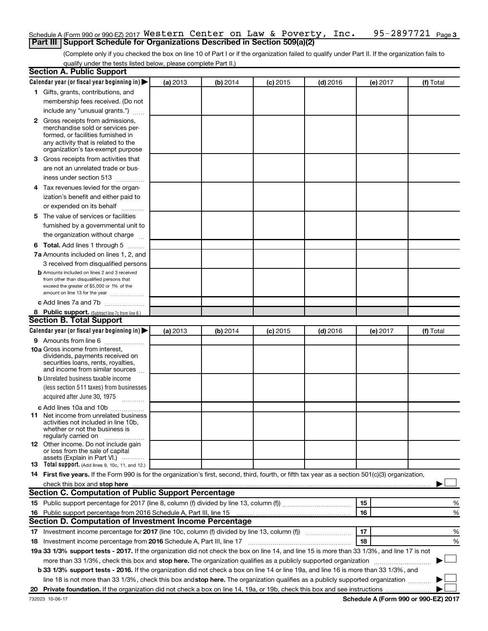### 95-2897721 Page 3 Schedule A (Form 990 or 990-EZ) 2017  $\,$  <code>Western Center</code> on <code>Law & Poverty</code> , <code>Inc. 95-2897721</code> <code>Page</code> **Part III | Support Schedule for Organizations Described in Section 509(a)(2)**

(Complete only if you checked the box on line 10 of Part I or if the organization failed to qualify under Part II. If the organization fails to qualify under the tests listed below, please complete Part II.)

| <b>Section A. Public Support</b>                                                                                                                                                                                                                                                                                           |          |          |          |            |          |           |
|----------------------------------------------------------------------------------------------------------------------------------------------------------------------------------------------------------------------------------------------------------------------------------------------------------------------------|----------|----------|----------|------------|----------|-----------|
| Calendar year (or fiscal year beginning in)                                                                                                                                                                                                                                                                                | (a) 2013 | (b) 2014 | (c) 2015 | $(d)$ 2016 | (e) 2017 | (f) Total |
| 1 Gifts, grants, contributions, and                                                                                                                                                                                                                                                                                        |          |          |          |            |          |           |
| membership fees received. (Do not                                                                                                                                                                                                                                                                                          |          |          |          |            |          |           |
| include any "unusual grants.")                                                                                                                                                                                                                                                                                             |          |          |          |            |          |           |
| <b>2</b> Gross receipts from admissions,                                                                                                                                                                                                                                                                                   |          |          |          |            |          |           |
| merchandise sold or services per-                                                                                                                                                                                                                                                                                          |          |          |          |            |          |           |
| formed, or facilities furnished in                                                                                                                                                                                                                                                                                         |          |          |          |            |          |           |
| any activity that is related to the<br>organization's tax-exempt purpose                                                                                                                                                                                                                                                   |          |          |          |            |          |           |
| 3 Gross receipts from activities that                                                                                                                                                                                                                                                                                      |          |          |          |            |          |           |
| are not an unrelated trade or bus-                                                                                                                                                                                                                                                                                         |          |          |          |            |          |           |
| iness under section 513                                                                                                                                                                                                                                                                                                    |          |          |          |            |          |           |
| 4 Tax revenues levied for the organ-                                                                                                                                                                                                                                                                                       |          |          |          |            |          |           |
| ization's benefit and either paid to                                                                                                                                                                                                                                                                                       |          |          |          |            |          |           |
| or expended on its behalf                                                                                                                                                                                                                                                                                                  |          |          |          |            |          |           |
| .<br>5 The value of services or facilities                                                                                                                                                                                                                                                                                 |          |          |          |            |          |           |
|                                                                                                                                                                                                                                                                                                                            |          |          |          |            |          |           |
| furnished by a governmental unit to                                                                                                                                                                                                                                                                                        |          |          |          |            |          |           |
| the organization without charge                                                                                                                                                                                                                                                                                            |          |          |          |            |          |           |
| <b>6 Total.</b> Add lines 1 through 5                                                                                                                                                                                                                                                                                      |          |          |          |            |          |           |
| 7a Amounts included on lines 1, 2, and                                                                                                                                                                                                                                                                                     |          |          |          |            |          |           |
| 3 received from disqualified persons                                                                                                                                                                                                                                                                                       |          |          |          |            |          |           |
| <b>b</b> Amounts included on lines 2 and 3 received<br>from other than disqualified persons that                                                                                                                                                                                                                           |          |          |          |            |          |           |
| exceed the greater of \$5,000 or 1% of the                                                                                                                                                                                                                                                                                 |          |          |          |            |          |           |
| amount on line 13 for the year                                                                                                                                                                                                                                                                                             |          |          |          |            |          |           |
| c Add lines 7a and 7b                                                                                                                                                                                                                                                                                                      |          |          |          |            |          |           |
| 8 Public support. (Subtract line 7c from line 6.)                                                                                                                                                                                                                                                                          |          |          |          |            |          |           |
| <b>Section B. Total Support</b>                                                                                                                                                                                                                                                                                            |          |          |          |            |          |           |
| Calendar year (or fiscal year beginning in)                                                                                                                                                                                                                                                                                | (a) 2013 | (b) 2014 | (c) 2015 | $(d)$ 2016 | (e) 2017 | (f) Total |
| <b>9</b> Amounts from line 6                                                                                                                                                                                                                                                                                               |          |          |          |            |          |           |
| <b>10a</b> Gross income from interest,                                                                                                                                                                                                                                                                                     |          |          |          |            |          |           |
| dividends, payments received on<br>securities loans, rents, royalties,                                                                                                                                                                                                                                                     |          |          |          |            |          |           |
| and income from similar sources                                                                                                                                                                                                                                                                                            |          |          |          |            |          |           |
| <b>b</b> Unrelated business taxable income                                                                                                                                                                                                                                                                                 |          |          |          |            |          |           |
| (less section 511 taxes) from businesses                                                                                                                                                                                                                                                                                   |          |          |          |            |          |           |
| acquired after June 30, 1975                                                                                                                                                                                                                                                                                               |          |          |          |            |          |           |
| c Add lines 10a and 10b                                                                                                                                                                                                                                                                                                    |          |          |          |            |          |           |
| <b>11</b> Net income from unrelated business                                                                                                                                                                                                                                                                               |          |          |          |            |          |           |
| activities not included in line 10b.                                                                                                                                                                                                                                                                                       |          |          |          |            |          |           |
| whether or not the business is<br>regularly carried on                                                                                                                                                                                                                                                                     |          |          |          |            |          |           |
| 12 Other income. Do not include gain                                                                                                                                                                                                                                                                                       |          |          |          |            |          |           |
| or loss from the sale of capital                                                                                                                                                                                                                                                                                           |          |          |          |            |          |           |
| assets (Explain in Part VI.)<br><b>13</b> Total support. (Add lines 9, 10c, 11, and 12.)                                                                                                                                                                                                                                   |          |          |          |            |          |           |
| 14 First five years. If the Form 990 is for the organization's first, second, third, fourth, or fifth tax year as a section 501(c)(3) organization,                                                                                                                                                                        |          |          |          |            |          |           |
|                                                                                                                                                                                                                                                                                                                            |          |          |          |            |          |           |
| check this box and stop here <b>construction and construction</b> and stop here <b>constructed</b> and stop here <b>constructed</b> and <b>stop here construction</b> and <b>stop here construction</b> and <b>stop here constructed</b> and <b>stop her</b><br><b>Section C. Computation of Public Support Percentage</b> |          |          |          |            |          |           |
|                                                                                                                                                                                                                                                                                                                            |          |          |          |            | 15       | %         |
| 16 Public support percentage from 2016 Schedule A, Part III, line 15                                                                                                                                                                                                                                                       |          |          |          |            | 16       | %         |
| Section D. Computation of Investment Income Percentage                                                                                                                                                                                                                                                                     |          |          |          |            |          |           |
| 17 Investment income percentage for 2017 (line 10c, column (f) divided by line 13, column (f))                                                                                                                                                                                                                             |          |          |          |            | 17       | %         |
|                                                                                                                                                                                                                                                                                                                            |          |          |          |            | 18       | %         |
| 18 Investment income percentage from 2016 Schedule A, Part III, line 17<br>19a 33 1/3% support tests - 2017. If the organization did not check the box on line 14, and line 15 is more than 33 1/3%, and line 17 is not                                                                                                    |          |          |          |            |          |           |
|                                                                                                                                                                                                                                                                                                                            |          |          |          |            |          |           |
| more than 33 1/3%, check this box and stop here. The organization qualifies as a publicly supported organization                                                                                                                                                                                                           |          |          |          |            |          |           |
| b 33 1/3% support tests - 2016. If the organization did not check a box on line 14 or line 19a, and line 16 is more than 33 1/3%, and                                                                                                                                                                                      |          |          |          |            |          |           |
| line 18 is not more than 33 1/3%, check this box and stop here. The organization qualifies as a publicly supported organization                                                                                                                                                                                            |          |          |          |            |          |           |
|                                                                                                                                                                                                                                                                                                                            |          |          |          |            |          |           |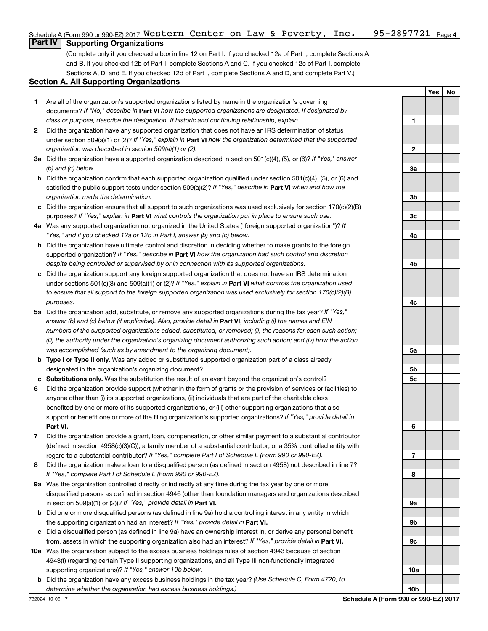### 95-2897721 <sub>Page 4</sub> Schedule A (Form 990 or 990-EZ) 2017  $\,$  <code>Western Center</code> on <code>Law & Poverty</code> , <code>Inc. 95-2897721</code> <code>Page</code> **Part IV Supporting Organizations**

(Complete only if you checked a box in line 12 on Part I. If you checked 12a of Part I, complete Sections A and B. If you checked 12b of Part I, complete Sections A and C. If you checked 12c of Part I, complete

## Sections A, D, and E. If you checked 12d of Part I, complete Sections A and D, and complete Part V.)

## **Section A. All Supporting Organizations**

- **1** Are all of the organization's supported organizations listed by name in the organization's governing documents? If "No," describe in Part VI how the supported organizations are designated. If designated by *class or purpose, describe the designation. If historic and continuing relationship, explain.*
- **2** Did the organization have any supported organization that does not have an IRS determination of status under section 509(a)(1) or (2)? If "Yes," explain in Part **VI** how the organization determined that the supported *organization was described in section 509(a)(1) or (2).*
- **3a** Did the organization have a supported organization described in section 501(c)(4), (5), or (6)? If "Yes," answer *(b) and (c) below.*
- **b** Did the organization confirm that each supported organization qualified under section 501(c)(4), (5), or (6) and satisfied the public support tests under section 509(a)(2)? If "Yes," describe in Part VI when and how the *organization made the determination.*
- **c** Did the organization ensure that all support to such organizations was used exclusively for section 170(c)(2)(B) purposes? If "Yes," explain in Part VI what controls the organization put in place to ensure such use.
- **4 a** *If* Was any supported organization not organized in the United States ("foreign supported organization")? *"Yes," and if you checked 12a or 12b in Part I, answer (b) and (c) below.*
- **b** Did the organization have ultimate control and discretion in deciding whether to make grants to the foreign supported organization? If "Yes," describe in Part VI how the organization had such control and discretion *despite being controlled or supervised by or in connection with its supported organizations.*
- **c** Did the organization support any foreign supported organization that does not have an IRS determination under sections 501(c)(3) and 509(a)(1) or (2)? If "Yes," explain in Part VI what controls the organization used *to ensure that all support to the foreign supported organization was used exclusively for section 170(c)(2)(B) purposes.*
- **5a** Did the organization add, substitute, or remove any supported organizations during the tax year? If "Yes," answer (b) and (c) below (if applicable). Also, provide detail in **Part VI,** including (i) the names and EIN *numbers of the supported organizations added, substituted, or removed; (ii) the reasons for each such action; (iii) the authority under the organization's organizing document authorizing such action; and (iv) how the action was accomplished (such as by amendment to the organizing document).*
- **b** Type I or Type II only. Was any added or substituted supported organization part of a class already designated in the organization's organizing document?
- **c Substitutions only.**  Was the substitution the result of an event beyond the organization's control?
- **6** Did the organization provide support (whether in the form of grants or the provision of services or facilities) to **Part VI.** support or benefit one or more of the filing organization's supported organizations? If "Yes," provide detail in anyone other than (i) its supported organizations, (ii) individuals that are part of the charitable class benefited by one or more of its supported organizations, or (iii) other supporting organizations that also
- **7** Did the organization provide a grant, loan, compensation, or other similar payment to a substantial contributor regard to a substantial contributor? If "Yes," complete Part I of Schedule L (Form 990 or 990-EZ). (defined in section 4958(c)(3)(C)), a family member of a substantial contributor, or a 35% controlled entity with
- **8** Did the organization make a loan to a disqualified person (as defined in section 4958) not described in line 7? *If "Yes," complete Part I of Schedule L (Form 990 or 990-EZ).*
- **9 a** Was the organization controlled directly or indirectly at any time during the tax year by one or more in section 509(a)(1) or (2))? If "Yes," provide detail in **Part VI.** disqualified persons as defined in section 4946 (other than foundation managers and organizations described
- **b** Did one or more disqualified persons (as defined in line 9a) hold a controlling interest in any entity in which the supporting organization had an interest? If "Yes," provide detail in Part VI.
- **c** Did a disqualified person (as defined in line 9a) have an ownership interest in, or derive any personal benefit from, assets in which the supporting organization also had an interest? If "Yes," provide detail in Part VI.
- **10 a** Was the organization subject to the excess business holdings rules of section 4943 because of section supporting organizations)? If "Yes," answer 10b below. 4943(f) (regarding certain Type II supporting organizations, and all Type III non-functionally integrated
- **b** Did the organization have any excess business holdings in the tax year? (Use Schedule C, Form 4720, to *determine whether the organization had excess business holdings.)*

**Yes No 1 2 3a 3b 3c 4a 4b 4c 5a 5b 5c 6 7 8 9a 9b 9c 10a**

**10b**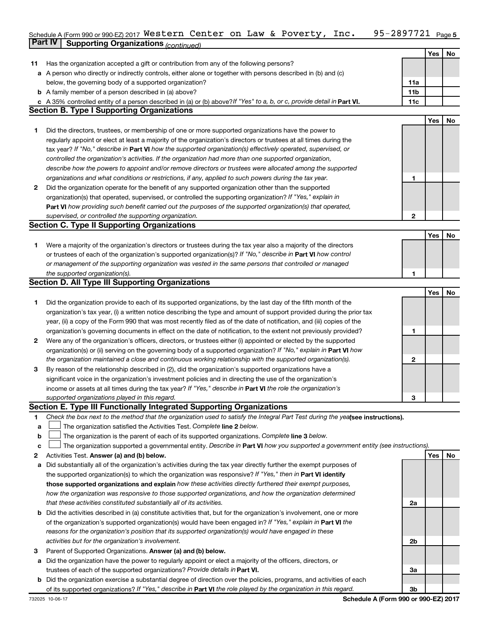### 95-2897721 Page 5 Schedule A (Form 990 or 990-EZ) 2017 WESTETN CENTET ON LAW & POVETTY, INC.  $95-289$  / /  $21$  Page **Part IV Supporting Organizations** *(continued)* Western Center on Law & Poverty, Inc. 95-2897721

|    |                                                                                                                                                                            |                | Yes | No |
|----|----------------------------------------------------------------------------------------------------------------------------------------------------------------------------|----------------|-----|----|
| 11 | Has the organization accepted a gift or contribution from any of the following persons?                                                                                    |                |     |    |
|    | a A person who directly or indirectly controls, either alone or together with persons described in (b) and (c)                                                             |                |     |    |
|    | below, the governing body of a supported organization?                                                                                                                     | 11a            |     |    |
|    | <b>b</b> A family member of a person described in (a) above?                                                                                                               | 11b<br>11c     |     |    |
|    | A 35% controlled entity of a person described in (a) or (b) above? If "Yes" to a, b, or c, provide detail in Part VI.<br><b>Section B. Type I Supporting Organizations</b> |                |     |    |
|    |                                                                                                                                                                            |                | Yes | No |
| 1. | Did the directors, trustees, or membership of one or more supported organizations have the power to                                                                        |                |     |    |
|    | regularly appoint or elect at least a majority of the organization's directors or trustees at all times during the                                                         |                |     |    |
|    | tax year? If "No," describe in Part VI how the supported organization(s) effectively operated, supervised, or                                                              |                |     |    |
|    | controlled the organization's activities. If the organization had more than one supported organization,                                                                    |                |     |    |
|    | describe how the powers to appoint and/or remove directors or trustees were allocated among the supported                                                                  |                |     |    |
|    | organizations and what conditions or restrictions, if any, applied to such powers during the tax year.                                                                     | 1              |     |    |
| 2  | Did the organization operate for the benefit of any supported organization other than the supported                                                                        |                |     |    |
|    | organization(s) that operated, supervised, or controlled the supporting organization? If "Yes," explain in                                                                 |                |     |    |
|    | Part VI how providing such benefit carried out the purposes of the supported organization(s) that operated,                                                                |                |     |    |
|    | supervised, or controlled the supporting organization.                                                                                                                     | $\mathbf{2}$   |     |    |
|    | <b>Section C. Type II Supporting Organizations</b>                                                                                                                         |                |     |    |
|    |                                                                                                                                                                            |                | Yes | No |
| 1. | Were a majority of the organization's directors or trustees during the tax year also a majority of the directors                                                           |                |     |    |
|    | or trustees of each of the organization's supported organization(s)? If "No," describe in Part VI how control                                                              |                |     |    |
|    | or management of the supporting organization was vested in the same persons that controlled or managed                                                                     |                |     |    |
|    | the supported organization(s).                                                                                                                                             | 1              |     |    |
|    | <b>Section D. All Type III Supporting Organizations</b>                                                                                                                    |                |     |    |
|    |                                                                                                                                                                            |                | Yes | No |
| 1  | Did the organization provide to each of its supported organizations, by the last day of the fifth month of the                                                             |                |     |    |
|    | organization's tax year, (i) a written notice describing the type and amount of support provided during the prior tax                                                      |                |     |    |
|    | year, (ii) a copy of the Form 990 that was most recently filed as of the date of notification, and (iii) copies of the                                                     |                |     |    |
|    | organization's governing documents in effect on the date of notification, to the extent not previously provided?                                                           | 1              |     |    |
| 2  | Were any of the organization's officers, directors, or trustees either (i) appointed or elected by the supported                                                           |                |     |    |
|    | organization(s) or (ii) serving on the governing body of a supported organization? If "No," explain in <b>Part VI</b> how                                                  |                |     |    |
|    | the organization maintained a close and continuous working relationship with the supported organization(s).                                                                | $\mathbf{2}$   |     |    |
| З  | By reason of the relationship described in (2), did the organization's supported organizations have a                                                                      |                |     |    |
|    | significant voice in the organization's investment policies and in directing the use of the organization's                                                                 |                |     |    |
|    | income or assets at all times during the tax year? If "Yes," describe in Part VI the role the organization's                                                               |                |     |    |
|    | supported organizations played in this regard.                                                                                                                             | 3              |     |    |
|    | Section E. Type III Functionally Integrated Supporting Organizations                                                                                                       |                |     |    |
| 1  | Check the box next to the method that the organization used to satisfy the Integral Part Test during the yealsee instructions).                                            |                |     |    |
| a  | The organization satisfied the Activities Test. Complete line 2 below.                                                                                                     |                |     |    |
| b  | The organization is the parent of each of its supported organizations. Complete line 3 below.                                                                              |                |     |    |
| с  | The organization supported a governmental entity. Describe in Part VI how you supported a government entity (see instructions).                                            |                |     |    |
| 2  | Activities Test. Answer (a) and (b) below.                                                                                                                                 |                | Yes | No |
| а  | Did substantially all of the organization's activities during the tax year directly further the exempt purposes of                                                         |                |     |    |
|    | the supported organization(s) to which the organization was responsive? If "Yes," then in Part VI identify                                                                 |                |     |    |
|    | those supported organizations and explain how these activities directly furthered their exempt purposes,                                                                   |                |     |    |
|    | how the organization was responsive to those supported organizations, and how the organization determined                                                                  |                |     |    |
|    | that these activities constituted substantially all of its activities.                                                                                                     | 2a             |     |    |
| b  | Did the activities described in (a) constitute activities that, but for the organization's involvement, one or more                                                        |                |     |    |
|    | of the organization's supported organization(s) would have been engaged in? If "Yes," explain in Part VI the                                                               |                |     |    |
|    | reasons for the organization's position that its supported organization(s) would have engaged in these                                                                     |                |     |    |
|    | activities but for the organization's involvement.                                                                                                                         | 2b             |     |    |
| З  | Parent of Supported Organizations. Answer (a) and (b) below.                                                                                                               |                |     |    |
| а  | Did the organization have the power to regularly appoint or elect a majority of the officers, directors, or                                                                |                |     |    |
|    | trustees of each of the supported organizations? Provide details in Part VI.                                                                                               | За             |     |    |
| b  | Did the organization exercise a substantial degree of direction over the policies, programs, and activities of each                                                        |                |     |    |
|    | of its supported organizations? If "Yes," describe in Part VI the role played by the organization in this regard.                                                          | 3 <sub>b</sub> |     |    |

**Schedule A (Form 990 or 990-EZ) 2017**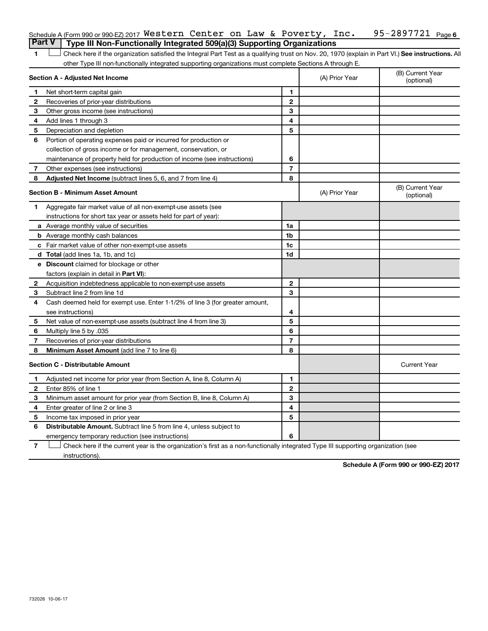|              | Schedule A (Form 990 or 990-EZ) 2017 Western Center on Law & Poverty, Inc.                                                                         |                |                | 95-2897721 Page 6              |
|--------------|----------------------------------------------------------------------------------------------------------------------------------------------------|----------------|----------------|--------------------------------|
|              | <b>Part V</b><br>Type III Non-Functionally Integrated 509(a)(3) Supporting Organizations                                                           |                |                |                                |
| 1.           | Check here if the organization satisfied the Integral Part Test as a qualifying trust on Nov. 20, 1970 (explain in Part VI.) See instructions. All |                |                |                                |
|              | other Type III non-functionally integrated supporting organizations must complete Sections A through E.                                            |                |                |                                |
|              | Section A - Adjusted Net Income                                                                                                                    |                | (A) Prior Year | (B) Current Year<br>(optional) |
| 1.           | Net short-term capital gain                                                                                                                        | 1              |                |                                |
| $\mathbf{2}$ | Recoveries of prior-year distributions                                                                                                             | $\mathbf{2}$   |                |                                |
| З            | Other gross income (see instructions)                                                                                                              | 3              |                |                                |
| 4            | Add lines 1 through 3                                                                                                                              | 4              |                |                                |
| 5            | Depreciation and depletion                                                                                                                         | 5              |                |                                |
| 6            | Portion of operating expenses paid or incurred for production or                                                                                   |                |                |                                |
|              | collection of gross income or for management, conservation, or                                                                                     |                |                |                                |
|              | maintenance of property held for production of income (see instructions)                                                                           | 6              |                |                                |
| 7            | Other expenses (see instructions)                                                                                                                  | $\overline{7}$ |                |                                |
| 8            | <b>Adjusted Net Income</b> (subtract lines 5, 6, and 7 from line 4)                                                                                | 8              |                |                                |
|              | <b>Section B - Minimum Asset Amount</b>                                                                                                            |                | (A) Prior Year | (B) Current Year<br>(optional) |
| 1.           | Aggregate fair market value of all non-exempt-use assets (see                                                                                      |                |                |                                |
|              | instructions for short tax year or assets held for part of year):                                                                                  |                |                |                                |
|              | a Average monthly value of securities                                                                                                              | 1a             |                |                                |
|              | <b>b</b> Average monthly cash balances                                                                                                             | 1b             |                |                                |
|              | c Fair market value of other non-exempt-use assets                                                                                                 | 1c             |                |                                |
|              | d Total (add lines 1a, 1b, and 1c)                                                                                                                 | 1d             |                |                                |
|              | e Discount claimed for blockage or other                                                                                                           |                |                |                                |
|              | factors (explain in detail in <b>Part VI</b> ):                                                                                                    |                |                |                                |
| 2            | Acquisition indebtedness applicable to non-exempt-use assets                                                                                       | $\mathbf{2}$   |                |                                |
| 3            | Subtract line 2 from line 1d                                                                                                                       | 3              |                |                                |
| 4            | Cash deemed held for exempt use. Enter 1-1/2% of line 3 (for greater amount,                                                                       |                |                |                                |
|              | see instructions)                                                                                                                                  | 4              |                |                                |
| 5            | Net value of non-exempt-use assets (subtract line 4 from line 3)                                                                                   | 5              |                |                                |
| 6            | Multiply line 5 by .035                                                                                                                            | 6              |                |                                |
| 7            | Recoveries of prior-year distributions                                                                                                             | $\overline{7}$ |                |                                |
| 8            | Minimum Asset Amount (add line 7 to line 6)                                                                                                        | 8              |                |                                |
|              | <b>Section C - Distributable Amount</b>                                                                                                            |                |                | <b>Current Year</b>            |
| 1            | Adjusted net income for prior year (from Section A, line 8, Column A)                                                                              | $\mathbf{1}$   |                |                                |
| 2            | Enter 85% of line 1                                                                                                                                | $\mathbf{2}$   |                |                                |
| 3            | Minimum asset amount for prior year (from Section B, line 8, Column A)                                                                             | 3              |                |                                |
| 4            | Enter greater of line 2 or line 3                                                                                                                  | 4              |                |                                |
| 5            | Income tax imposed in prior year                                                                                                                   | 5              |                |                                |
| 6            | <b>Distributable Amount.</b> Subtract line 5 from line 4, unless subject to                                                                        |                |                |                                |
|              | emergency temporary reduction (see instructions)                                                                                                   | 6              |                |                                |
|              |                                                                                                                                                    |                |                |                                |

**7** Let Check here if the current year is the organization's first as a non-functionally integrated Type III supporting organization (see instructions).

**Schedule A (Form 990 or 990-EZ) 2017**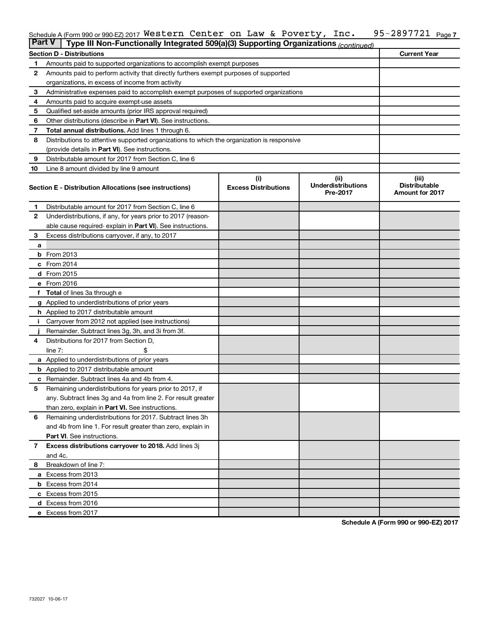#### 95-2897721 Page 7 Schedule A (Form 990 or 990-EZ) 2017 WESTETN CENTET ON LAW & POVETTY, INC.  $95-289$  / /  $21$  Page Western Center on Law & Poverty, Inc. 95-2897721

| ∣Part V      | Type III Non-Functionally Integrated 509(a)(3) Supporting Organizations (continued)        |                             |                                       |                                                |  |  |  |  |  |
|--------------|--------------------------------------------------------------------------------------------|-----------------------------|---------------------------------------|------------------------------------------------|--|--|--|--|--|
|              | <b>Section D - Distributions</b>                                                           |                             |                                       | <b>Current Year</b>                            |  |  |  |  |  |
| 1            | Amounts paid to supported organizations to accomplish exempt purposes                      |                             |                                       |                                                |  |  |  |  |  |
| $\mathbf{2}$ | Amounts paid to perform activity that directly furthers exempt purposes of supported       |                             |                                       |                                                |  |  |  |  |  |
|              | organizations, in excess of income from activity                                           |                             |                                       |                                                |  |  |  |  |  |
| 3            | Administrative expenses paid to accomplish exempt purposes of supported organizations      |                             |                                       |                                                |  |  |  |  |  |
| 4            | Amounts paid to acquire exempt-use assets                                                  |                             |                                       |                                                |  |  |  |  |  |
| 5            | Qualified set-aside amounts (prior IRS approval required)                                  |                             |                                       |                                                |  |  |  |  |  |
| 6            | Other distributions (describe in Part VI). See instructions.                               |                             |                                       |                                                |  |  |  |  |  |
| 7            | <b>Total annual distributions.</b> Add lines 1 through 6.                                  |                             |                                       |                                                |  |  |  |  |  |
| 8            | Distributions to attentive supported organizations to which the organization is responsive |                             |                                       |                                                |  |  |  |  |  |
|              | (provide details in Part VI). See instructions.                                            |                             |                                       |                                                |  |  |  |  |  |
| 9            | Distributable amount for 2017 from Section C, line 6                                       |                             |                                       |                                                |  |  |  |  |  |
| 10           | Line 8 amount divided by line 9 amount                                                     |                             |                                       |                                                |  |  |  |  |  |
|              |                                                                                            | (i)                         | (ii)                                  | (iii)                                          |  |  |  |  |  |
|              | Section E - Distribution Allocations (see instructions)                                    | <b>Excess Distributions</b> | <b>Underdistributions</b><br>Pre-2017 | <b>Distributable</b><br><b>Amount for 2017</b> |  |  |  |  |  |
| 1.           | Distributable amount for 2017 from Section C, line 6                                       |                             |                                       |                                                |  |  |  |  |  |
| $\mathbf{2}$ | Underdistributions, if any, for years prior to 2017 (reason-                               |                             |                                       |                                                |  |  |  |  |  |
|              | able cause required- explain in Part VI). See instructions.                                |                             |                                       |                                                |  |  |  |  |  |
| 3            | Excess distributions carryover, if any, to 2017                                            |                             |                                       |                                                |  |  |  |  |  |
| a            |                                                                                            |                             |                                       |                                                |  |  |  |  |  |
| b            | From 2013                                                                                  |                             |                                       |                                                |  |  |  |  |  |
|              | c From 2014                                                                                |                             |                                       |                                                |  |  |  |  |  |
|              | d From 2015                                                                                |                             |                                       |                                                |  |  |  |  |  |
|              | e From 2016                                                                                |                             |                                       |                                                |  |  |  |  |  |
|              | <b>Total</b> of lines 3a through e                                                         |                             |                                       |                                                |  |  |  |  |  |
|              | <b>g</b> Applied to underdistributions of prior years                                      |                             |                                       |                                                |  |  |  |  |  |
|              | h Applied to 2017 distributable amount                                                     |                             |                                       |                                                |  |  |  |  |  |
|              | Carryover from 2012 not applied (see instructions)                                         |                             |                                       |                                                |  |  |  |  |  |
|              | Remainder. Subtract lines 3g, 3h, and 3i from 3f.                                          |                             |                                       |                                                |  |  |  |  |  |
| 4            | Distributions for 2017 from Section D,                                                     |                             |                                       |                                                |  |  |  |  |  |
|              | line $7:$                                                                                  |                             |                                       |                                                |  |  |  |  |  |
|              | a Applied to underdistributions of prior years                                             |                             |                                       |                                                |  |  |  |  |  |
|              | <b>b</b> Applied to 2017 distributable amount                                              |                             |                                       |                                                |  |  |  |  |  |
| с            | Remainder. Subtract lines 4a and 4b from 4.                                                |                             |                                       |                                                |  |  |  |  |  |
| 5            | Remaining underdistributions for years prior to 2017, if                                   |                             |                                       |                                                |  |  |  |  |  |
|              | any. Subtract lines 3g and 4a from line 2. For result greater                              |                             |                                       |                                                |  |  |  |  |  |
|              | than zero, explain in Part VI. See instructions.                                           |                             |                                       |                                                |  |  |  |  |  |
| 6            | Remaining underdistributions for 2017. Subtract lines 3h                                   |                             |                                       |                                                |  |  |  |  |  |
|              | and 4b from line 1. For result greater than zero, explain in                               |                             |                                       |                                                |  |  |  |  |  |
|              | <b>Part VI.</b> See instructions.                                                          |                             |                                       |                                                |  |  |  |  |  |
| $\mathbf{7}$ | Excess distributions carryover to 2018. Add lines 3j                                       |                             |                                       |                                                |  |  |  |  |  |
|              | and 4c.                                                                                    |                             |                                       |                                                |  |  |  |  |  |
| 8            | Breakdown of line 7:                                                                       |                             |                                       |                                                |  |  |  |  |  |
|              | a Excess from 2013                                                                         |                             |                                       |                                                |  |  |  |  |  |
|              | <b>b</b> Excess from 2014                                                                  |                             |                                       |                                                |  |  |  |  |  |
|              | c Excess from 2015                                                                         |                             |                                       |                                                |  |  |  |  |  |
|              | d Excess from 2016                                                                         |                             |                                       |                                                |  |  |  |  |  |
|              | e Excess from 2017                                                                         |                             |                                       |                                                |  |  |  |  |  |

**Schedule A (Form 990 or 990-EZ) 2017**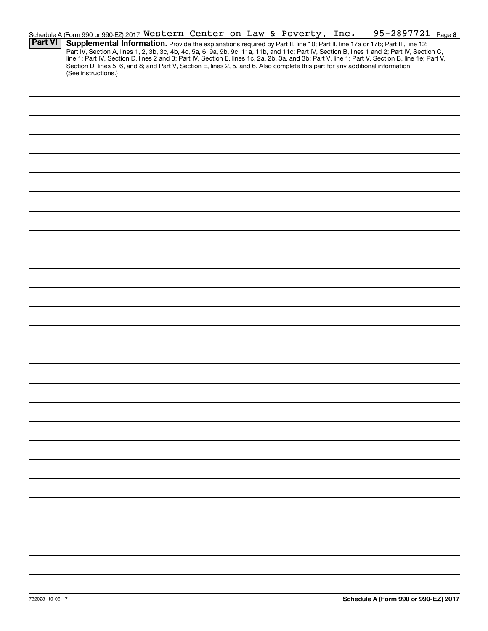|                | Schedule A (Form 990 or 990-EZ) 2017 Western Center on Law & Poverty, Inc.                                                                                                                                                                                                                                                                                                                                                        |  |  |  | 95-2897721 Page 8 |  |
|----------------|-----------------------------------------------------------------------------------------------------------------------------------------------------------------------------------------------------------------------------------------------------------------------------------------------------------------------------------------------------------------------------------------------------------------------------------|--|--|--|-------------------|--|
| <b>Part VI</b> | Supplemental Information. Provide the explanations required by Part II, line 10; Part II, line 17a or 17b; Part III, line 12;<br>Part IV, Section A, lines 1, 2, 3b, 3c, 4b, 4c, 5a, 6, 9a, 9b, 9c, 11a, 11b, and 11c; Part IV, Section B, lines 1 and 2; Part IV, Section C,<br>line 1; Part IV, Section D, lines 2 and 3; Part IV, Section E, lines 1c, 2a, 2b, 3a, and 3b; Part V, line 1; Part V, Section B, line 1e; Part V, |  |  |  |                   |  |
|                | Section D, lines 5, 6, and 8; and Part V, Section E, lines 2, 5, and 6. Also complete this part for any additional information.<br>(See instructions.)                                                                                                                                                                                                                                                                            |  |  |  |                   |  |
|                |                                                                                                                                                                                                                                                                                                                                                                                                                                   |  |  |  |                   |  |
|                |                                                                                                                                                                                                                                                                                                                                                                                                                                   |  |  |  |                   |  |
|                |                                                                                                                                                                                                                                                                                                                                                                                                                                   |  |  |  |                   |  |
|                |                                                                                                                                                                                                                                                                                                                                                                                                                                   |  |  |  |                   |  |
|                |                                                                                                                                                                                                                                                                                                                                                                                                                                   |  |  |  |                   |  |
|                |                                                                                                                                                                                                                                                                                                                                                                                                                                   |  |  |  |                   |  |
|                |                                                                                                                                                                                                                                                                                                                                                                                                                                   |  |  |  |                   |  |
|                |                                                                                                                                                                                                                                                                                                                                                                                                                                   |  |  |  |                   |  |
|                |                                                                                                                                                                                                                                                                                                                                                                                                                                   |  |  |  |                   |  |
|                |                                                                                                                                                                                                                                                                                                                                                                                                                                   |  |  |  |                   |  |
|                |                                                                                                                                                                                                                                                                                                                                                                                                                                   |  |  |  |                   |  |
|                |                                                                                                                                                                                                                                                                                                                                                                                                                                   |  |  |  |                   |  |
|                |                                                                                                                                                                                                                                                                                                                                                                                                                                   |  |  |  |                   |  |
|                |                                                                                                                                                                                                                                                                                                                                                                                                                                   |  |  |  |                   |  |
|                |                                                                                                                                                                                                                                                                                                                                                                                                                                   |  |  |  |                   |  |
|                |                                                                                                                                                                                                                                                                                                                                                                                                                                   |  |  |  |                   |  |
|                |                                                                                                                                                                                                                                                                                                                                                                                                                                   |  |  |  |                   |  |
|                |                                                                                                                                                                                                                                                                                                                                                                                                                                   |  |  |  |                   |  |
|                |                                                                                                                                                                                                                                                                                                                                                                                                                                   |  |  |  |                   |  |
|                |                                                                                                                                                                                                                                                                                                                                                                                                                                   |  |  |  |                   |  |
|                |                                                                                                                                                                                                                                                                                                                                                                                                                                   |  |  |  |                   |  |
|                |                                                                                                                                                                                                                                                                                                                                                                                                                                   |  |  |  |                   |  |
|                |                                                                                                                                                                                                                                                                                                                                                                                                                                   |  |  |  |                   |  |
|                |                                                                                                                                                                                                                                                                                                                                                                                                                                   |  |  |  |                   |  |
|                |                                                                                                                                                                                                                                                                                                                                                                                                                                   |  |  |  |                   |  |
|                |                                                                                                                                                                                                                                                                                                                                                                                                                                   |  |  |  |                   |  |
|                |                                                                                                                                                                                                                                                                                                                                                                                                                                   |  |  |  |                   |  |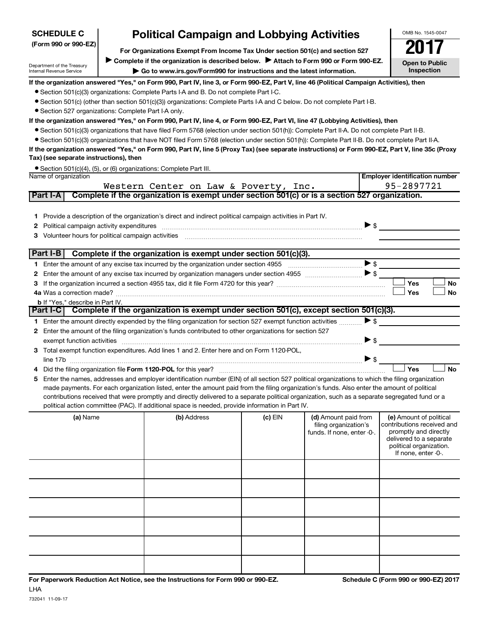| (Form 990 or 990-EZ)                                   |                                                                                     | For Organizations Exempt From Income Tax Under section 501(c) and section 527                                                                                                                                                                                                                                                                                                                                                                                                                                                                                                                                                                  |         |                                                                             |                          |                                                                                                                                                             |  |  |
|--------------------------------------------------------|-------------------------------------------------------------------------------------|------------------------------------------------------------------------------------------------------------------------------------------------------------------------------------------------------------------------------------------------------------------------------------------------------------------------------------------------------------------------------------------------------------------------------------------------------------------------------------------------------------------------------------------------------------------------------------------------------------------------------------------------|---------|-----------------------------------------------------------------------------|--------------------------|-------------------------------------------------------------------------------------------------------------------------------------------------------------|--|--|
|                                                        | Complete if the organization is described below. Attach to Form 990 or Form 990-EZ. |                                                                                                                                                                                                                                                                                                                                                                                                                                                                                                                                                                                                                                                |         |                                                                             |                          |                                                                                                                                                             |  |  |
| Department of the Treasury<br>Internal Revenue Service |                                                                                     | <b>Open to Public</b><br>Inspection                                                                                                                                                                                                                                                                                                                                                                                                                                                                                                                                                                                                            |         |                                                                             |                          |                                                                                                                                                             |  |  |
| • Section 527 organizations: Complete Part I-A only.   |                                                                                     | If the organization answered "Yes," on Form 990, Part IV, line 3, or Form 990-EZ, Part V, line 46 (Political Campaign Activities), then<br>• Section 501(c)(3) organizations: Complete Parts I-A and B. Do not complete Part I-C.<br>• Section 501(c) (other than section 501(c)(3)) organizations: Complete Parts I-A and C below. Do not complete Part I-B.<br>If the organization answered "Yes," on Form 990, Part IV, line 4, or Form 990-EZ, Part VI, line 47 (Lobbying Activities), then<br>● Section 501(c)(3) organizations that have filed Form 5768 (election under section 501(h)): Complete Part II-A. Do not complete Part II-B. |         |                                                                             |                          |                                                                                                                                                             |  |  |
|                                                        |                                                                                     | • Section 501(c)(3) organizations that have NOT filed Form 5768 (election under section 501(h)): Complete Part II-B. Do not complete Part II-A.                                                                                                                                                                                                                                                                                                                                                                                                                                                                                                |         |                                                                             |                          |                                                                                                                                                             |  |  |
|                                                        |                                                                                     | If the organization answered "Yes," on Form 990, Part IV, line 5 (Proxy Tax) (see separate instructions) or Form 990-EZ, Part V, line 35c (Proxy                                                                                                                                                                                                                                                                                                                                                                                                                                                                                               |         |                                                                             |                          |                                                                                                                                                             |  |  |
| Tax) (see separate instructions), then                 |                                                                                     |                                                                                                                                                                                                                                                                                                                                                                                                                                                                                                                                                                                                                                                |         |                                                                             |                          |                                                                                                                                                             |  |  |
|                                                        |                                                                                     | • Section 501(c)(4), (5), or (6) organizations: Complete Part III.                                                                                                                                                                                                                                                                                                                                                                                                                                                                                                                                                                             |         |                                                                             |                          |                                                                                                                                                             |  |  |
| Name of organization                                   |                                                                                     |                                                                                                                                                                                                                                                                                                                                                                                                                                                                                                                                                                                                                                                |         |                                                                             |                          | <b>Employer identification number</b><br>95-2897721                                                                                                         |  |  |
| Part I-A                                               |                                                                                     | Western Center on Law & Poverty, Inc.<br>Complete if the organization is exempt under section 501(c) or is a section 527 organization.                                                                                                                                                                                                                                                                                                                                                                                                                                                                                                         |         |                                                                             |                          |                                                                                                                                                             |  |  |
|                                                        |                                                                                     |                                                                                                                                                                                                                                                                                                                                                                                                                                                                                                                                                                                                                                                |         |                                                                             |                          |                                                                                                                                                             |  |  |
|                                                        |                                                                                     | Provide a description of the organization's direct and indirect political campaign activities in Part IV.                                                                                                                                                                                                                                                                                                                                                                                                                                                                                                                                      |         |                                                                             | $\blacktriangleright$ \$ |                                                                                                                                                             |  |  |
| Part I-B                                               |                                                                                     | Complete if the organization is exempt under section 501(c)(3).                                                                                                                                                                                                                                                                                                                                                                                                                                                                                                                                                                                |         |                                                                             |                          |                                                                                                                                                             |  |  |
|                                                        |                                                                                     |                                                                                                                                                                                                                                                                                                                                                                                                                                                                                                                                                                                                                                                |         |                                                                             | $\blacktriangleright$ \$ |                                                                                                                                                             |  |  |
|                                                        |                                                                                     |                                                                                                                                                                                                                                                                                                                                                                                                                                                                                                                                                                                                                                                |         |                                                                             |                          |                                                                                                                                                             |  |  |
|                                                        |                                                                                     |                                                                                                                                                                                                                                                                                                                                                                                                                                                                                                                                                                                                                                                |         |                                                                             |                          | Yes<br>No                                                                                                                                                   |  |  |
|                                                        |                                                                                     |                                                                                                                                                                                                                                                                                                                                                                                                                                                                                                                                                                                                                                                |         |                                                                             |                          | <b>Yes</b><br>No                                                                                                                                            |  |  |
| <b>b</b> If "Yes," describe in Part IV.                |                                                                                     |                                                                                                                                                                                                                                                                                                                                                                                                                                                                                                                                                                                                                                                |         |                                                                             |                          |                                                                                                                                                             |  |  |
|                                                        |                                                                                     | Part I-C Complete if the organization is exempt under section 501(c), except section 501(c)(3).                                                                                                                                                                                                                                                                                                                                                                                                                                                                                                                                                |         |                                                                             |                          |                                                                                                                                                             |  |  |
|                                                        |                                                                                     | 1 Enter the amount directly expended by the filing organization for section 527 exempt function activities                                                                                                                                                                                                                                                                                                                                                                                                                                                                                                                                     |         |                                                                             | $\blacktriangleright$ \$ |                                                                                                                                                             |  |  |
| 2                                                      |                                                                                     | Enter the amount of the filing organization's funds contributed to other organizations for section 527                                                                                                                                                                                                                                                                                                                                                                                                                                                                                                                                         |         |                                                                             |                          |                                                                                                                                                             |  |  |
| exempt function activities                             |                                                                                     |                                                                                                                                                                                                                                                                                                                                                                                                                                                                                                                                                                                                                                                |         |                                                                             | $\triangleright$ \$      |                                                                                                                                                             |  |  |
| 3                                                      |                                                                                     | Total exempt function expenditures. Add lines 1 and 2. Enter here and on Form 1120-POL,                                                                                                                                                                                                                                                                                                                                                                                                                                                                                                                                                        |         |                                                                             | $\blacktriangleright$ \$ |                                                                                                                                                             |  |  |
| 4                                                      |                                                                                     |                                                                                                                                                                                                                                                                                                                                                                                                                                                                                                                                                                                                                                                |         |                                                                             |                          | Yes<br><b>No</b>                                                                                                                                            |  |  |
| 5                                                      |                                                                                     | Enter the names, addresses and employer identification number (EIN) of all section 527 political organizations to which the filing organization<br>made payments. For each organization listed, enter the amount paid from the filing organization's funds. Also enter the amount of political<br>contributions received that were promptly and directly delivered to a separate political organization, such as a separate segregated fund or a<br>political action committee (PAC). If additional space is needed, provide information in Part IV.                                                                                           |         |                                                                             |                          |                                                                                                                                                             |  |  |
| (a) Name                                               |                                                                                     | (b) Address                                                                                                                                                                                                                                                                                                                                                                                                                                                                                                                                                                                                                                    | (c) EIN | (d) Amount paid from<br>filing organization's<br>funds. If none, enter -0-. |                          | (e) Amount of political<br>contributions received and<br>promptly and directly<br>delivered to a separate<br>political organization.<br>If none, enter -0-. |  |  |
|                                                        |                                                                                     |                                                                                                                                                                                                                                                                                                                                                                                                                                                                                                                                                                                                                                                |         |                                                                             |                          |                                                                                                                                                             |  |  |
|                                                        |                                                                                     |                                                                                                                                                                                                                                                                                                                                                                                                                                                                                                                                                                                                                                                |         |                                                                             |                          |                                                                                                                                                             |  |  |
|                                                        |                                                                                     |                                                                                                                                                                                                                                                                                                                                                                                                                                                                                                                                                                                                                                                |         |                                                                             |                          |                                                                                                                                                             |  |  |
|                                                        |                                                                                     |                                                                                                                                                                                                                                                                                                                                                                                                                                                                                                                                                                                                                                                |         |                                                                             |                          |                                                                                                                                                             |  |  |
|                                                        |                                                                                     |                                                                                                                                                                                                                                                                                                                                                                                                                                                                                                                                                                                                                                                |         |                                                                             |                          |                                                                                                                                                             |  |  |
|                                                        |                                                                                     |                                                                                                                                                                                                                                                                                                                                                                                                                                                                                                                                                                                                                                                |         |                                                                             |                          |                                                                                                                                                             |  |  |

# **Political Campaign and Lobbying Activities 2017**

**For Paperwork Reduction Act Notice, see the Instructions for Form 990 or 990-EZ. Schedule C (Form 990 or 990-EZ) 2017** LHA

**SCHEDULE C**

 $\blacksquare$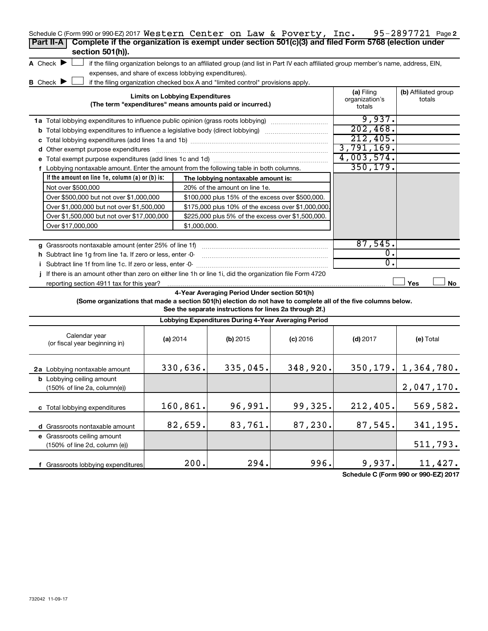| Schedule C (Form 990 or 990-EZ) 2017 Western Center on Law & Poverty, Inc.<br>Complete if the organization is exempt under section 501(c)(3) and filed Form 5768 (election under<br>Part II-A<br>section 501(h)). |                                  |                                        |                                                                                                         |                                                                                                                                   |                                        | 95-2897721 Page 2              |
|-------------------------------------------------------------------------------------------------------------------------------------------------------------------------------------------------------------------|----------------------------------|----------------------------------------|---------------------------------------------------------------------------------------------------------|-----------------------------------------------------------------------------------------------------------------------------------|----------------------------------------|--------------------------------|
| A Check $\blacktriangleright$                                                                                                                                                                                     |                                  |                                        |                                                                                                         | if the filing organization belongs to an affiliated group (and list in Part IV each affiliated group member's name, address, EIN, |                                        |                                |
| expenses, and share of excess lobbying expenditures).                                                                                                                                                             |                                  |                                        |                                                                                                         |                                                                                                                                   |                                        |                                |
| <b>B</b> Check $\blacktriangleright$                                                                                                                                                                              |                                  |                                        | if the filing organization checked box A and "limited control" provisions apply.                        |                                                                                                                                   |                                        |                                |
|                                                                                                                                                                                                                   |                                  | <b>Limits on Lobbying Expenditures</b> | (The term "expenditures" means amounts paid or incurred.)                                               |                                                                                                                                   | (a) Filing<br>organization's<br>totals | (b) Affiliated group<br>totals |
| 1a Total lobbying expenditures to influence public opinion (grass roots lobbying)                                                                                                                                 |                                  |                                        |                                                                                                         |                                                                                                                                   | 9,937.                                 |                                |
| <b>b</b> Total lobbying expenditures to influence a legislative body (direct lobbying) <i>manumumumum</i>                                                                                                         |                                  |                                        |                                                                                                         |                                                                                                                                   | 202,468.                               |                                |
|                                                                                                                                                                                                                   |                                  |                                        |                                                                                                         |                                                                                                                                   | 212,405.                               |                                |
| d Other exempt purpose expenditures                                                                                                                                                                               |                                  |                                        |                                                                                                         |                                                                                                                                   | 3,791,169.                             |                                |
|                                                                                                                                                                                                                   |                                  |                                        |                                                                                                         |                                                                                                                                   | 4,003,574.                             |                                |
| f Lobbying nontaxable amount. Enter the amount from the following table in both columns.                                                                                                                          |                                  |                                        |                                                                                                         |                                                                                                                                   | 350, 179.                              |                                |
| If the amount on line 1e, column $(a)$ or $(b)$ is:                                                                                                                                                               |                                  |                                        | The lobbying nontaxable amount is:                                                                      |                                                                                                                                   |                                        |                                |
| Not over \$500,000                                                                                                                                                                                                |                                  |                                        | 20% of the amount on line 1e.                                                                           |                                                                                                                                   |                                        |                                |
| Over \$500,000 but not over \$1,000,000                                                                                                                                                                           |                                  |                                        | \$100,000 plus 15% of the excess over \$500,000.                                                        |                                                                                                                                   |                                        |                                |
| Over \$1,000,000 but not over \$1,500,000                                                                                                                                                                         |                                  |                                        | \$175,000 plus 10% of the excess over \$1,000,000                                                       |                                                                                                                                   |                                        |                                |
| Over \$1,500,000 but not over \$17,000,000                                                                                                                                                                        |                                  |                                        | \$225,000 plus 5% of the excess over \$1,500,000.                                                       |                                                                                                                                   |                                        |                                |
| Over \$17,000,000                                                                                                                                                                                                 |                                  | \$1,000,000.                           |                                                                                                         |                                                                                                                                   |                                        |                                |
|                                                                                                                                                                                                                   |                                  |                                        |                                                                                                         |                                                                                                                                   |                                        |                                |
| g Grassroots nontaxable amount (enter 25% of line 1f)                                                                                                                                                             |                                  |                                        |                                                                                                         |                                                                                                                                   | 87,545.                                |                                |
| h Subtract line 1g from line 1a. If zero or less, enter -0-                                                                                                                                                       |                                  |                                        |                                                                                                         |                                                                                                                                   | 0.                                     |                                |
| i Subtract line 1f from line 1c. If zero or less, enter -0-                                                                                                                                                       |                                  |                                        |                                                                                                         |                                                                                                                                   | $\mathbf{0}$ .                         |                                |
| If there is an amount other than zero on either line 1h or line 1i, did the organization file Form 4720                                                                                                           |                                  |                                        |                                                                                                         |                                                                                                                                   |                                        |                                |
| reporting section 4911 tax for this year?                                                                                                                                                                         |                                  |                                        |                                                                                                         |                                                                                                                                   |                                        | Yes<br>No                      |
| (Some organizations that made a section 501(h) election do not have to complete all of the five columns below.                                                                                                    |                                  |                                        | 4-Year Averaging Period Under section 501(h)<br>See the separate instructions for lines 2a through 2f.) |                                                                                                                                   |                                        |                                |
|                                                                                                                                                                                                                   |                                  |                                        | Lobbying Expenditures During 4-Year Averaging Period                                                    |                                                                                                                                   |                                        |                                |
| Calendar year<br>(or fiscal year beginning in)                                                                                                                                                                    | (a) 2014                         |                                        | (b) 2015                                                                                                | $(c)$ 2016                                                                                                                        | $(d)$ 2017                             | (e) Total                      |
| 2a Lobbying nontaxable amount                                                                                                                                                                                     |                                  | 330,636.                               | 335,045.                                                                                                | 348,920.                                                                                                                          |                                        | $350, 179.$ 1, $364, 780.$     |
| (150% of line 2a, column(e))                                                                                                                                                                                      | <b>b</b> Lobbying ceiling amount |                                        |                                                                                                         |                                                                                                                                   |                                        |                                |
| c Total lobbying expenditures                                                                                                                                                                                     |                                  | 160,861.                               | 96,991.                                                                                                 | 99,325.                                                                                                                           | 212,405.                               | 569,582.                       |
| d Grassroots nontaxable amount                                                                                                                                                                                    |                                  | 82,659.                                | 83,761.                                                                                                 | 87,230.                                                                                                                           | 87,545.                                | 341,195.                       |
| e Grassroots ceiling amount                                                                                                                                                                                       |                                  |                                        |                                                                                                         |                                                                                                                                   |                                        |                                |
| (150% of line 2d, column (e))                                                                                                                                                                                     |                                  |                                        |                                                                                                         |                                                                                                                                   |                                        | 511,793.                       |
| f Grassroots lobbying expenditures                                                                                                                                                                                |                                  | 200.                                   | 294.                                                                                                    | 996.                                                                                                                              | 9,937.                                 | 11,427.                        |

**Schedule C (Form 990 or 990-EZ) 2017**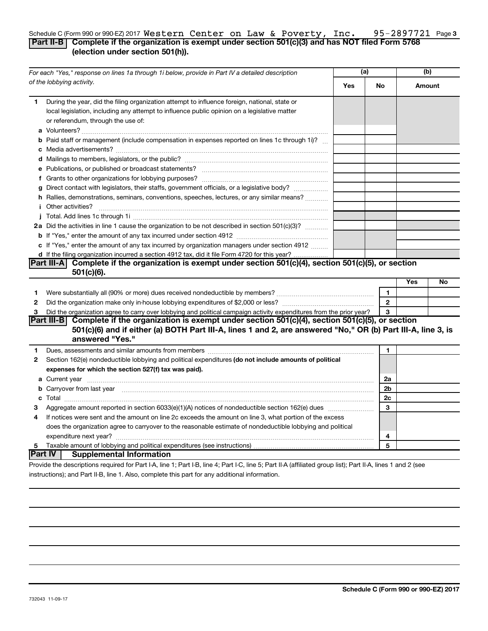### 95-2897721 Page 3 Schedule C (Form 990 or 990-EZ) 2017  $\texttt{Western Center on Law}$  &  $\texttt{Powerty, Inc.}$  95-2897721 Page **Part II-B Complete if the organization is exempt under section 501(c)(3) and has NOT filed Form 5768 (election under section 501(h)).** Western Center on Law & Poverty, Inc. 95-2897721

|                    | For each "Yes," response on lines 1a through 1i below, provide in Part IV a detailed description                                                                                                                                                                                                                                        | (a)        |                |     | (b)    |  |
|--------------------|-----------------------------------------------------------------------------------------------------------------------------------------------------------------------------------------------------------------------------------------------------------------------------------------------------------------------------------------|------------|----------------|-----|--------|--|
|                    | of the lobbying activity.                                                                                                                                                                                                                                                                                                               | <b>Yes</b> | No.            |     | Amount |  |
| 1                  | During the year, did the filing organization attempt to influence foreign, national, state or<br>local legislation, including any attempt to influence public opinion on a legislative matter<br>or referendum, through the use of:                                                                                                     |            |                |     |        |  |
|                    | <b>b</b> Paid staff or management (include compensation in expenses reported on lines 1c through 1i)?                                                                                                                                                                                                                                   |            |                |     |        |  |
|                    |                                                                                                                                                                                                                                                                                                                                         |            |                |     |        |  |
|                    |                                                                                                                                                                                                                                                                                                                                         |            |                |     |        |  |
|                    | g Direct contact with legislators, their staffs, government officials, or a legislative body?                                                                                                                                                                                                                                           |            |                |     |        |  |
|                    | h Rallies, demonstrations, seminars, conventions, speeches, lectures, or any similar means?                                                                                                                                                                                                                                             |            |                |     |        |  |
|                    | <i>i</i> Other activities?                                                                                                                                                                                                                                                                                                              |            |                |     |        |  |
|                    |                                                                                                                                                                                                                                                                                                                                         |            |                |     |        |  |
|                    | 2a Did the activities in line 1 cause the organization to be not described in section 501(c)(3)?                                                                                                                                                                                                                                        |            |                |     |        |  |
|                    |                                                                                                                                                                                                                                                                                                                                         |            |                |     |        |  |
|                    | c If "Yes," enter the amount of any tax incurred by organization managers under section 4912                                                                                                                                                                                                                                            |            |                |     |        |  |
|                    | d If the filing organization incurred a section 4912 tax, did it file Form 4720 for this year?                                                                                                                                                                                                                                          |            |                |     |        |  |
|                    | Part III-A Complete if the organization is exempt under section $501(c)(4)$ , section $501(c)(5)$ , or section                                                                                                                                                                                                                          |            |                |     |        |  |
|                    | $501(c)(6)$ .                                                                                                                                                                                                                                                                                                                           |            |                |     |        |  |
|                    |                                                                                                                                                                                                                                                                                                                                         |            |                | Yes | No     |  |
| 1                  | Were substantially all (90% or more) dues received nondeductible by members?                                                                                                                                                                                                                                                            |            | 1              |     |        |  |
| $\mathbf{2}$       |                                                                                                                                                                                                                                                                                                                                         |            | $\mathbf{2}$   |     |        |  |
| З                  | Did the organization agree to carry over lobbying and political campaign activity expenditures from the prior year?                                                                                                                                                                                                                     |            | 3              |     |        |  |
|                    | Part III-B Complete if the organization is exempt under section 501(c)(4), section 501(c)(5), or section<br>501(c)(6) and if either (a) BOTH Part III-A, lines 1 and 2, are answered "No," OR (b) Part III-A, line 3, is<br>answered "Yes."                                                                                             |            |                |     |        |  |
|                    |                                                                                                                                                                                                                                                                                                                                         |            |                |     |        |  |
| 1.<br>$\mathbf{2}$ | Dues, assessments and similar amounts from members [111] [12] matter and state and similar amounts from members [11] matter and similar amounts from members [11] matter and state and similar amounts from members [11] matte<br>Section 162(e) nondeductible lobbying and political expenditures (do not include amounts of political |            | 1              |     |        |  |
|                    | expenses for which the section 527(f) tax was paid).                                                                                                                                                                                                                                                                                    |            |                |     |        |  |
|                    |                                                                                                                                                                                                                                                                                                                                         |            | 2a             |     |        |  |
|                    | b Carryover from last year manufactured and content to content the content of the content of the content of the content of the content of the content of the content of the content of the content of the content of the conte                                                                                                          |            | 2 <sub>b</sub> |     |        |  |
|                    |                                                                                                                                                                                                                                                                                                                                         |            | 2c             |     |        |  |
| 3                  |                                                                                                                                                                                                                                                                                                                                         |            | 3              |     |        |  |
| 4                  | If notices were sent and the amount on line 2c exceeds the amount on line 3, what portion of the excess                                                                                                                                                                                                                                 |            |                |     |        |  |
|                    | does the organization agree to carryover to the reasonable estimate of nondeductible lobbying and political                                                                                                                                                                                                                             |            |                |     |        |  |
|                    |                                                                                                                                                                                                                                                                                                                                         |            | 4              |     |        |  |
| 5.                 |                                                                                                                                                                                                                                                                                                                                         |            | 5              |     |        |  |
|                    | <b>Part IV</b> Supplemental Information                                                                                                                                                                                                                                                                                                 |            |                |     |        |  |
|                    | Provide the descriptions required for Part LA line 1: Part LR line 4: Part LC line 5: Part ILA (affiliated group list): Part ILA lines 1 and 2 (see                                                                                                                                                                                     |            |                |     |        |  |

Provide the descriptions required for Part I-A, line 1; Part I-B, line 4; Part I-C, line 5; Part II-A (affiliated group list); Part II-A, lines 1 and 2 (see instructions); and Part II-B, line 1. Also, complete this part for any additional information.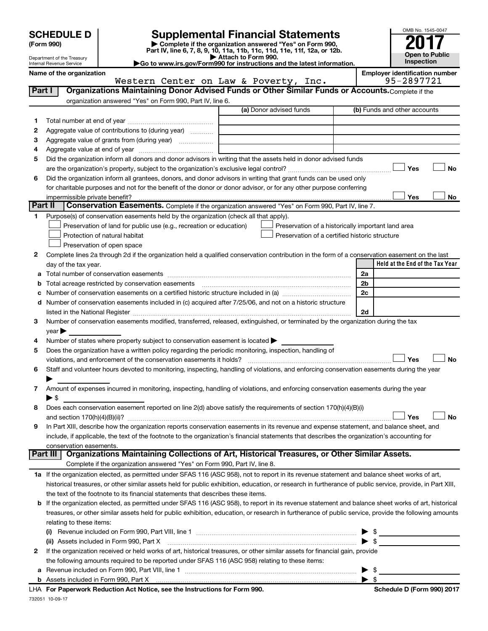| <b>SCHEDULE D</b> |  |  |
|-------------------|--|--|
|                   |  |  |

# **SCHEDULE D Supplemental Financial Statements**<br> **Form 990 2017**<br> **Part IV** line 6.7.8.9.10, 11a, 11b, 11d, 11d, 11d, 11d, 11d, 12a, 0r, 12b

**(Form 990) | Complete if the organization answered "Yes" on Form 990, Part IV, line 6, 7, 8, 9, 10, 11a, 11b, 11c, 11d, 11e, 11f, 12a, or 12b.**

**| Attach to Form 990. |Go to www.irs.gov/Form990 for instructions and the latest information.**



Department of the Treasury Internal Revenue Service

**Name of the organization**<br>**Employer identification number**<br>**Employer identification number**<br>**Poverty** Tnc. 95-2897721

|               | Western Center on Law & Poverty, Inc.                                                                                                                      | 95-2897721                      |
|---------------|------------------------------------------------------------------------------------------------------------------------------------------------------------|---------------------------------|
| <b>Part I</b> | Organizations Maintaining Donor Advised Funds or Other Similar Funds or Accounts. Complete if the                                                          |                                 |
|               | organization answered "Yes" on Form 990, Part IV, line 6.                                                                                                  |                                 |
|               | (a) Donor advised funds                                                                                                                                    | (b) Funds and other accounts    |
| 1.            |                                                                                                                                                            |                                 |
| 2             | Aggregate value of contributions to (during year)                                                                                                          |                                 |
| з             | Aggregate value of grants from (during year)                                                                                                               |                                 |
| 4             |                                                                                                                                                            |                                 |
| 5             | Did the organization inform all donors and donor advisors in writing that the assets held in donor advised funds                                           |                                 |
|               |                                                                                                                                                            | Yes<br>No                       |
| 6             | Did the organization inform all grantees, donors, and donor advisors in writing that grant funds can be used only                                          |                                 |
|               | for charitable purposes and not for the benefit of the donor or donor advisor, or for any other purpose conferring                                         |                                 |
|               | impermissible private benefit?                                                                                                                             | Yes<br>No                       |
| Part II       | Conservation Easements. Complete if the organization answered "Yes" on Form 990, Part IV, line 7.                                                          |                                 |
| 1.            | Purpose(s) of conservation easements held by the organization (check all that apply).                                                                      |                                 |
|               | Preservation of land for public use (e.g., recreation or education)<br>Preservation of a historically important land area                                  |                                 |
|               | Preservation of a certified historic structure<br>Protection of natural habitat                                                                            |                                 |
|               | Preservation of open space                                                                                                                                 |                                 |
| 2             | Complete lines 2a through 2d if the organization held a qualified conservation contribution in the form of a conservation easement on the last             |                                 |
|               | day of the tax year.                                                                                                                                       | Held at the End of the Tax Year |
|               |                                                                                                                                                            | 2a                              |
|               | Total acreage restricted by conservation easements                                                                                                         | 2 <sub>b</sub>                  |
|               |                                                                                                                                                            | 2c                              |
| d             | Number of conservation easements included in (c) acquired after 7/25/06, and not on a historic structure                                                   |                                 |
|               | listed in the National Register [111] [12] The Marian Marian Marian Marian Marian Marian Marian Marian Marian M                                            | 2d                              |
| 3             | Number of conservation easements modified, transferred, released, extinguished, or terminated by the organization during the tax                           |                                 |
|               | year                                                                                                                                                       |                                 |
| 4             | Number of states where property subject to conservation easement is located >                                                                              |                                 |
| 5             | Does the organization have a written policy regarding the periodic monitoring, inspection, handling of                                                     |                                 |
|               | violations, and enforcement of the conservation easements it holds?                                                                                        | Yes<br>No                       |
| 6             | Staff and volunteer hours devoted to monitoring, inspecting, handling of violations, and enforcing conservation easements during the year                  |                                 |
| 7             | Amount of expenses incurred in monitoring, inspecting, handling of violations, and enforcing conservation easements during the year                        |                                 |
|               | ▶ \$                                                                                                                                                       |                                 |
| 8             | Does each conservation easement reported on line 2(d) above satisfy the requirements of section 170(h)(4)(B)(i)                                            |                                 |
|               |                                                                                                                                                            | Yes<br>No                       |
| 9             | In Part XIII, describe how the organization reports conservation easements in its revenue and expense statement, and balance sheet, and                    |                                 |
|               | include, if applicable, the text of the footnote to the organization's financial statements that describes the organization's accounting for               |                                 |
|               | conservation easements.                                                                                                                                    |                                 |
|               | Organizations Maintaining Collections of Art, Historical Treasures, or Other Similar Assets.<br>  Part III                                                 |                                 |
|               | Complete if the organization answered "Yes" on Form 990, Part IV, line 8.                                                                                  |                                 |
|               | 1a If the organization elected, as permitted under SFAS 116 (ASC 958), not to report in its revenue statement and balance sheet works of art,              |                                 |
|               | historical treasures, or other similar assets held for public exhibition, education, or research in furtherance of public service, provide, in Part XIII,  |                                 |
|               | the text of the footnote to its financial statements that describes these items.                                                                           |                                 |
|               | <b>b</b> If the organization elected, as permitted under SFAS 116 (ASC 958), to report in its revenue statement and balance sheet works of art, historical |                                 |
|               | treasures, or other similar assets held for public exhibition, education, or research in furtherance of public service, provide the following amounts      |                                 |
|               | relating to these items:                                                                                                                                   |                                 |
|               |                                                                                                                                                            | \$<br>▶                         |
|               | (ii) Assets included in Form 990, Part X                                                                                                                   | $\blacktriangleright$ s         |
| 2             | If the organization received or held works of art, historical treasures, or other similar assets for financial gain, provide                               |                                 |
|               | the following amounts required to be reported under SFAS 116 (ASC 958) relating to these items:                                                            |                                 |
|               | Revenue included on Form 990, Part VIII, line 1 [2000] [2000] [2000] [2000] [3000] [3000] [3000] [3000] [3000                                              | $\blacktriangleright$ \$        |
|               |                                                                                                                                                            | $\blacktriangleright$ s         |

732051 10-09-17 **For Paperwork Reduction Act Notice, see the Instructions for Form 990. Schedule D (Form 990) 2017** LHA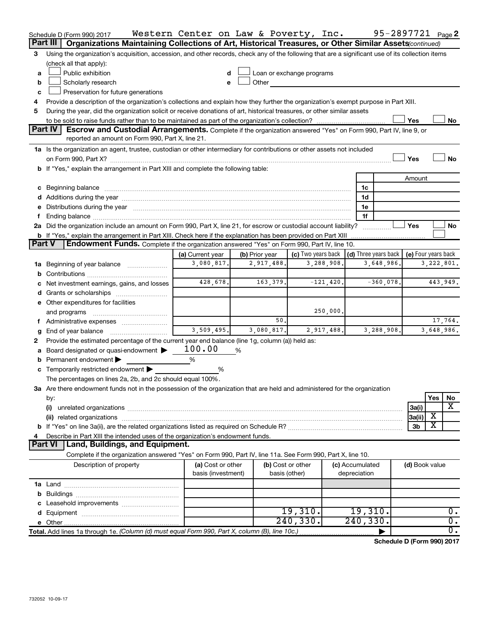|               | Schedule D (Form 990) 2017                                                                                                                                                                                                     | Western Center on Law & Poverty, Inc. |                |                           |             |                                      | 95-2897721 <sub>Page</sub> 2 |                     |
|---------------|--------------------------------------------------------------------------------------------------------------------------------------------------------------------------------------------------------------------------------|---------------------------------------|----------------|---------------------------|-------------|--------------------------------------|------------------------------|---------------------|
|               | Part III<br>Organizations Maintaining Collections of Art, Historical Treasures, or Other Similar Assets (continued)                                                                                                            |                                       |                |                           |             |                                      |                              |                     |
| 3             | Using the organization's acquisition, accession, and other records, check any of the following that are a significant use of its collection items                                                                              |                                       |                |                           |             |                                      |                              |                     |
|               | (check all that apply):                                                                                                                                                                                                        |                                       |                |                           |             |                                      |                              |                     |
| a             | Public exhibition                                                                                                                                                                                                              |                                       |                | Loan or exchange programs |             |                                      |                              |                     |
| b             | Scholarly research                                                                                                                                                                                                             |                                       | Other          |                           |             |                                      |                              |                     |
| c             | Preservation for future generations                                                                                                                                                                                            |                                       |                |                           |             |                                      |                              |                     |
| 4             | Provide a description of the organization's collections and explain how they further the organization's exempt purpose in Part XIII.                                                                                           |                                       |                |                           |             |                                      |                              |                     |
| 5             | During the year, did the organization solicit or receive donations of art, historical treasures, or other similar assets                                                                                                       |                                       |                |                           |             |                                      |                              |                     |
|               |                                                                                                                                                                                                                                |                                       |                |                           |             |                                      | Yes                          | No                  |
|               | <b>Part IV</b><br>Escrow and Custodial Arrangements. Complete if the organization answered "Yes" on Form 990, Part IV, line 9, or                                                                                              |                                       |                |                           |             |                                      |                              |                     |
|               | reported an amount on Form 990, Part X, line 21.                                                                                                                                                                               |                                       |                |                           |             |                                      |                              |                     |
|               | 1a Is the organization an agent, trustee, custodian or other intermediary for contributions or other assets not included                                                                                                       |                                       |                |                           |             |                                      |                              |                     |
|               |                                                                                                                                                                                                                                |                                       |                |                           |             |                                      | Yes                          | No                  |
|               | b If "Yes," explain the arrangement in Part XIII and complete the following table:                                                                                                                                             |                                       |                |                           |             |                                      |                              |                     |
|               |                                                                                                                                                                                                                                |                                       |                |                           |             |                                      | Amount                       |                     |
|               | c Beginning balance measurements and the contract of the contract of the contract of the contract of the contract of the contract of the contract of the contract of the contract of the contract of the contract of the contr |                                       |                |                           |             | 1c                                   |                              |                     |
|               |                                                                                                                                                                                                                                |                                       |                |                           |             | 1d                                   |                              |                     |
|               | e Distributions during the year manufactured and continuum and contained and the year manufactured and contained and the year manufactured and contained and contained and contained and contained and contained and contained |                                       |                |                           |             | 1e                                   |                              |                     |
|               |                                                                                                                                                                                                                                |                                       |                |                           |             | 1f                                   | Yes                          |                     |
|               | 2a Did the organization include an amount on Form 990, Part X, line 21, for escrow or custodial account liability?                                                                                                             |                                       |                |                           |             |                                      |                              | No                  |
| <b>Part V</b> | <b>b</b> If "Yes," explain the arrangement in Part XIII. Check here if the explanation has been provided on Part XIII<br>Endowment Funds. Complete if the organization answered "Yes" on Form 990, Part IV, line 10.           |                                       |                |                           |             |                                      |                              |                     |
|               |                                                                                                                                                                                                                                | (a) Current year                      | (b) Prior year | (c) Two years back        |             | $\vert$ (d) Three years back $\vert$ |                              | (e) Four years back |
|               | 1a Beginning of year balance                                                                                                                                                                                                   | 3,080,817.                            | 2,917,488.     | 3,288,908.                |             | 3,648,986.                           |                              | 3,222,801.          |
|               |                                                                                                                                                                                                                                |                                       |                |                           |             |                                      |                              |                     |
|               | Net investment earnings, gains, and losses                                                                                                                                                                                     | 428,678.                              | 163,379.       |                           | $-121,420.$ | $-360,078.$                          |                              | 443,949.            |
|               |                                                                                                                                                                                                                                |                                       |                |                           |             |                                      |                              |                     |
|               | e Other expenditures for facilities                                                                                                                                                                                            |                                       |                |                           |             |                                      |                              |                     |
|               | and programs                                                                                                                                                                                                                   |                                       |                |                           | 250,000.    |                                      |                              |                     |
|               |                                                                                                                                                                                                                                |                                       | 50             |                           |             |                                      |                              | 17,764.             |
|               | End of year balance                                                                                                                                                                                                            | 3,509,495.                            | 3,080,817.     | 2,917,488.                |             | 3,288,908.                           |                              | 3,648,986.          |
| 2             | Provide the estimated percentage of the current year end balance (line 1g, column (a)) held as:                                                                                                                                |                                       |                |                           |             |                                      |                              |                     |
|               | Board designated or quasi-endowment                                                                                                                                                                                            | 100.00                                | %              |                           |             |                                      |                              |                     |
| b             | Permanent endowment                                                                                                                                                                                                            | %                                     |                |                           |             |                                      |                              |                     |
|               | <b>c</b> Temporarily restricted endowment $\blacktriangleright$                                                                                                                                                                | %                                     |                |                           |             |                                      |                              |                     |
|               | The percentages on lines 2a, 2b, and 2c should equal 100%.                                                                                                                                                                     |                                       |                |                           |             |                                      |                              |                     |
|               | 3a Are there endowment funds not in the possession of the organization that are held and administered for the organization                                                                                                     |                                       |                |                           |             |                                      |                              |                     |
|               | by:                                                                                                                                                                                                                            |                                       |                |                           |             |                                      |                              | Yes<br>No           |
|               | (i)                                                                                                                                                                                                                            |                                       |                |                           |             |                                      | 3a(i)                        | х                   |
|               |                                                                                                                                                                                                                                |                                       |                |                           |             |                                      | 3a(ii)                       | х                   |
|               |                                                                                                                                                                                                                                |                                       |                |                           |             |                                      | 3b                           | X                   |
|               | Describe in Part XIII the intended uses of the organization's endowment funds.                                                                                                                                                 |                                       |                |                           |             |                                      |                              |                     |
|               | Land, Buildings, and Equipment.<br><b>Part VI</b>                                                                                                                                                                              |                                       |                |                           |             |                                      |                              |                     |
|               | Complete if the organization answered "Yes" on Form 990, Part IV, line 11a. See Form 990, Part X, line 10.                                                                                                                     |                                       |                |                           |             |                                      |                              |                     |
|               | Description of property                                                                                                                                                                                                        | (a) Cost or other                     |                | (b) Cost or other         |             | (c) Accumulated                      | (d) Book value               |                     |
|               |                                                                                                                                                                                                                                | basis (investment)                    |                | basis (other)             |             | depreciation                         |                              |                     |
|               |                                                                                                                                                                                                                                |                                       |                |                           |             |                                      |                              |                     |
|               |                                                                                                                                                                                                                                |                                       |                |                           |             |                                      |                              |                     |
|               |                                                                                                                                                                                                                                |                                       |                |                           |             |                                      |                              |                     |
|               |                                                                                                                                                                                                                                |                                       |                | 19,310.                   |             | 19,310.                              |                              | 0.                  |
|               |                                                                                                                                                                                                                                |                                       |                | 240, 330.                 |             | 240, 330.                            |                              | $\overline{0}$ .    |
|               | Total. Add lines 1a through 1e. (Column (d) must equal Form 990, Part X, column (B), line 10c.)                                                                                                                                |                                       |                |                           |             |                                      |                              | $\overline{0}$ .    |

**Schedule D (Form 990) 2017**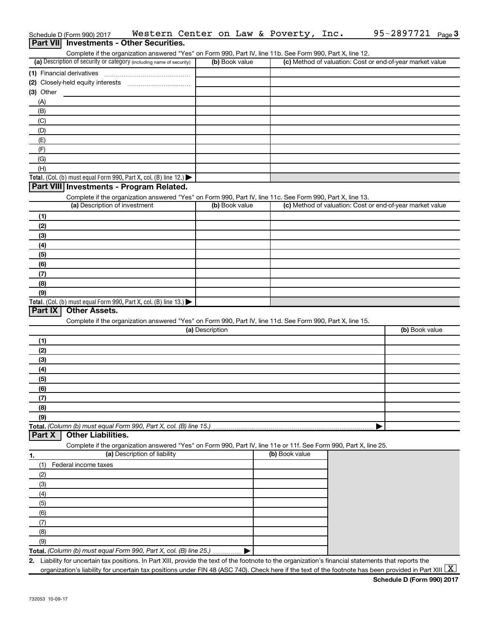|                  | Schedule D (Form 990) 2017                                                                                        |                                                                                                            |                 |                | Western Center on Law & Poverty, Inc. | 95-2897721 $_{Page}$ 3                                                                                                                                                                                                                                                                                                         |
|------------------|-------------------------------------------------------------------------------------------------------------------|------------------------------------------------------------------------------------------------------------|-----------------|----------------|---------------------------------------|--------------------------------------------------------------------------------------------------------------------------------------------------------------------------------------------------------------------------------------------------------------------------------------------------------------------------------|
| <b>Part VIII</b> | <b>Investments - Other Securities.</b>                                                                            |                                                                                                            |                 |                |                                       |                                                                                                                                                                                                                                                                                                                                |
|                  | Complete if the organization answered "Yes" on Form 990, Part IV, line 11b. See Form 990, Part X, line 12.        |                                                                                                            |                 |                |                                       |                                                                                                                                                                                                                                                                                                                                |
|                  | (a) Description of security or category (including name of security)                                              |                                                                                                            |                 | (b) Book value |                                       | (c) Method of valuation: Cost or end-of-year market value                                                                                                                                                                                                                                                                      |
|                  | (1) Financial derivatives                                                                                         |                                                                                                            |                 |                |                                       |                                                                                                                                                                                                                                                                                                                                |
|                  |                                                                                                                   |                                                                                                            |                 |                |                                       |                                                                                                                                                                                                                                                                                                                                |
| $(3)$ Other      |                                                                                                                   |                                                                                                            |                 |                |                                       |                                                                                                                                                                                                                                                                                                                                |
| (A)              |                                                                                                                   |                                                                                                            |                 |                |                                       |                                                                                                                                                                                                                                                                                                                                |
| (B)              |                                                                                                                   |                                                                                                            |                 |                |                                       |                                                                                                                                                                                                                                                                                                                                |
| (C)              |                                                                                                                   |                                                                                                            |                 |                |                                       |                                                                                                                                                                                                                                                                                                                                |
| (D)              |                                                                                                                   |                                                                                                            |                 |                |                                       |                                                                                                                                                                                                                                                                                                                                |
| (E)              |                                                                                                                   |                                                                                                            |                 |                |                                       |                                                                                                                                                                                                                                                                                                                                |
| (F)              |                                                                                                                   |                                                                                                            |                 |                |                                       |                                                                                                                                                                                                                                                                                                                                |
| (G)              |                                                                                                                   |                                                                                                            |                 |                |                                       |                                                                                                                                                                                                                                                                                                                                |
| (H)              |                                                                                                                   |                                                                                                            |                 |                |                                       |                                                                                                                                                                                                                                                                                                                                |
|                  | Total. (Col. (b) must equal Form 990, Part X, col. (B) line 12.)                                                  |                                                                                                            |                 |                |                                       |                                                                                                                                                                                                                                                                                                                                |
|                  | Part VIII Investments - Program Related.                                                                          |                                                                                                            |                 |                |                                       |                                                                                                                                                                                                                                                                                                                                |
|                  |                                                                                                                   | Complete if the organization answered "Yes" on Form 990, Part IV, line 11c. See Form 990, Part X, line 13. |                 |                |                                       |                                                                                                                                                                                                                                                                                                                                |
|                  | (a) Description of investment                                                                                     |                                                                                                            |                 | (b) Book value |                                       | (c) Method of valuation: Cost or end-of-year market value                                                                                                                                                                                                                                                                      |
| (1)              |                                                                                                                   |                                                                                                            |                 |                |                                       |                                                                                                                                                                                                                                                                                                                                |
| (2)              |                                                                                                                   |                                                                                                            |                 |                |                                       |                                                                                                                                                                                                                                                                                                                                |
| (3)              |                                                                                                                   |                                                                                                            |                 |                |                                       |                                                                                                                                                                                                                                                                                                                                |
| (4)              |                                                                                                                   |                                                                                                            |                 |                |                                       |                                                                                                                                                                                                                                                                                                                                |
| (5)              |                                                                                                                   |                                                                                                            |                 |                |                                       |                                                                                                                                                                                                                                                                                                                                |
| (6)              |                                                                                                                   |                                                                                                            |                 |                |                                       |                                                                                                                                                                                                                                                                                                                                |
| (7)              |                                                                                                                   |                                                                                                            |                 |                |                                       |                                                                                                                                                                                                                                                                                                                                |
| (8)              |                                                                                                                   |                                                                                                            |                 |                |                                       |                                                                                                                                                                                                                                                                                                                                |
| (9)              |                                                                                                                   |                                                                                                            |                 |                |                                       |                                                                                                                                                                                                                                                                                                                                |
|                  | Total. (Col. (b) must equal Form 990, Part X, col. (B) line 13.)                                                  |                                                                                                            |                 |                |                                       |                                                                                                                                                                                                                                                                                                                                |
| Part IX          | <b>Other Assets.</b>                                                                                              |                                                                                                            |                 |                |                                       |                                                                                                                                                                                                                                                                                                                                |
|                  |                                                                                                                   | Complete if the organization answered "Yes" on Form 990, Part IV, line 11d. See Form 990, Part X, line 15. |                 |                |                                       |                                                                                                                                                                                                                                                                                                                                |
|                  |                                                                                                                   |                                                                                                            | (a) Description |                |                                       | (b) Book value                                                                                                                                                                                                                                                                                                                 |
| (1)              |                                                                                                                   |                                                                                                            |                 |                |                                       |                                                                                                                                                                                                                                                                                                                                |
| (2)              |                                                                                                                   |                                                                                                            |                 |                |                                       |                                                                                                                                                                                                                                                                                                                                |
| (3)              |                                                                                                                   |                                                                                                            |                 |                |                                       |                                                                                                                                                                                                                                                                                                                                |
| (4)              |                                                                                                                   |                                                                                                            |                 |                |                                       |                                                                                                                                                                                                                                                                                                                                |
| (5)              |                                                                                                                   |                                                                                                            |                 |                |                                       |                                                                                                                                                                                                                                                                                                                                |
| (6)              |                                                                                                                   |                                                                                                            |                 |                |                                       |                                                                                                                                                                                                                                                                                                                                |
| (7)              |                                                                                                                   |                                                                                                            |                 |                |                                       |                                                                                                                                                                                                                                                                                                                                |
| (8)              |                                                                                                                   |                                                                                                            |                 |                |                                       |                                                                                                                                                                                                                                                                                                                                |
| (9)              |                                                                                                                   |                                                                                                            |                 |                |                                       |                                                                                                                                                                                                                                                                                                                                |
|                  | Total. (Column (b) must equal Form 990, Part X, col. (B) line 15.)                                                |                                                                                                            |                 |                |                                       |                                                                                                                                                                                                                                                                                                                                |
| Part X           | <b>Other Liabilities.</b>                                                                                         |                                                                                                            |                 |                |                                       |                                                                                                                                                                                                                                                                                                                                |
|                  | Complete if the organization answered "Yes" on Form 990, Part IV, line 11e or 11f. See Form 990, Part X, line 25. |                                                                                                            |                 |                |                                       |                                                                                                                                                                                                                                                                                                                                |
| <u>1.</u>        |                                                                                                                   | (a) Description of liability                                                                               |                 |                | (b) Book value                        |                                                                                                                                                                                                                                                                                                                                |
| (1)              | Federal income taxes                                                                                              |                                                                                                            |                 |                |                                       |                                                                                                                                                                                                                                                                                                                                |
| (2)              |                                                                                                                   |                                                                                                            |                 |                |                                       |                                                                                                                                                                                                                                                                                                                                |
| (3)              |                                                                                                                   |                                                                                                            |                 |                |                                       |                                                                                                                                                                                                                                                                                                                                |
| (4)              |                                                                                                                   |                                                                                                            |                 |                |                                       |                                                                                                                                                                                                                                                                                                                                |
| (5)              |                                                                                                                   |                                                                                                            |                 |                |                                       |                                                                                                                                                                                                                                                                                                                                |
| (6)              |                                                                                                                   |                                                                                                            |                 |                |                                       |                                                                                                                                                                                                                                                                                                                                |
| (7)              |                                                                                                                   |                                                                                                            |                 |                |                                       |                                                                                                                                                                                                                                                                                                                                |
| (8)              |                                                                                                                   |                                                                                                            |                 |                |                                       |                                                                                                                                                                                                                                                                                                                                |
| (9)              |                                                                                                                   |                                                                                                            |                 |                |                                       |                                                                                                                                                                                                                                                                                                                                |
|                  |                                                                                                                   |                                                                                                            |                 |                |                                       |                                                                                                                                                                                                                                                                                                                                |
|                  | Total. (Column (b) must equal Form 990, Part X, col. (B) line 25.)                                                |                                                                                                            |                 |                |                                       | 2. Liability for uncertain tax positions. In Part XIII, provide the text of the footnote to the organization's financial statements that reports the<br>organization's liability for uncertain tax positions under FIN 48 (ASC 740). Check here if the text of the footnote has been provided in Part XIII $\lfloor x \rfloor$ |

**Schedule D (Form 990) 2017**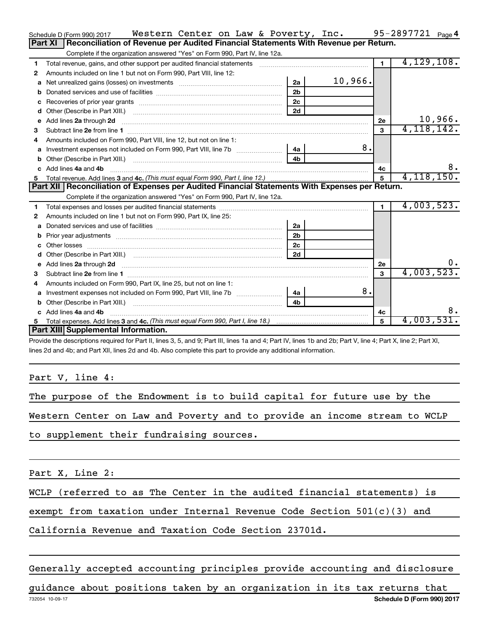|    | Western Center on Law & Poverty, Inc.<br>Schedule D (Form 990) 2017                                                      |                |         |                | 95-2897721 $_{Page 4}$ |         |
|----|--------------------------------------------------------------------------------------------------------------------------|----------------|---------|----------------|------------------------|---------|
|    | Reconciliation of Revenue per Audited Financial Statements With Revenue per Return.<br><b>Part XI</b>                    |                |         |                |                        |         |
|    | Complete if the organization answered "Yes" on Form 990, Part IV, line 12a.                                              |                |         |                |                        |         |
| 1  |                                                                                                                          |                |         | $\blacksquare$ | 4,129,108.             |         |
| 2  | Amounts included on line 1 but not on Form 990, Part VIII, line 12:                                                      |                |         |                |                        |         |
| a  |                                                                                                                          | 2a             | 10,966. |                |                        |         |
|    |                                                                                                                          | 2 <sub>b</sub> |         |                |                        |         |
| с  | Recoveries of prior year grants [111] Recoveries of prior year grants [11] Recoveries of prior year grants               | 2 <sub>c</sub> |         |                |                        |         |
| d  |                                                                                                                          | 2d             |         |                |                        |         |
| е  | Add lines 2a through 2d                                                                                                  |                |         | 2е             |                        | 10,966. |
| 3  |                                                                                                                          |                |         | 3              | 4,118,142.             |         |
| 4  | Amounts included on Form 990, Part VIII, line 12, but not on line 1:                                                     |                |         |                |                        |         |
|    |                                                                                                                          |                | 8.      |                |                        |         |
| b  |                                                                                                                          | 4 <sub>h</sub> |         |                |                        |         |
| C. | Add lines 4a and 4b                                                                                                      |                |         | 4c             |                        | 8.      |
|    |                                                                                                                          |                |         | 5              | 4, 118, 150.           |         |
|    | Part XII   Reconciliation of Expenses per Audited Financial Statements With Expenses per Return.                         |                |         |                |                        |         |
|    |                                                                                                                          |                |         |                |                        |         |
|    | Complete if the organization answered "Yes" on Form 990, Part IV, line 12a.                                              |                |         |                |                        |         |
| 1  |                                                                                                                          |                |         | $\blacksquare$ | 4,003,523.             |         |
| 2  | Amounts included on line 1 but not on Form 990, Part IX, line 25:                                                        |                |         |                |                        |         |
| a  |                                                                                                                          | 2a             |         |                |                        |         |
| b  | Prior year adjustments [ www.communications of the contract of the contract of the contract of the contract of           | 2 <sub>b</sub> |         |                |                        |         |
| с  |                                                                                                                          | 2 <sub>c</sub> |         |                |                        |         |
| d  |                                                                                                                          | 2d             |         |                |                        |         |
|    | Add lines 2a through 2d <b>must be a constructed as the constant of the constant of the constant of the construction</b> |                |         | 2е             |                        | 0.      |
| 3  |                                                                                                                          |                |         | $\mathbf{a}$   | 4,003,523.             |         |
| 4  | Amounts included on Form 990, Part IX, line 25, but not on line 1:                                                       |                |         |                |                        |         |
| a  |                                                                                                                          |                | 8.      |                |                        |         |
| b  | Other (Describe in Part XIII.) <b>Construction (Construction Construction</b> of Describe in Part XIII.)                 | 4 <sub>b</sub> |         |                |                        |         |
| C. | Add lines 4a and 4b                                                                                                      |                |         | 4c             |                        | 8.      |
|    | Part XIII Supplemental Information.                                                                                      |                |         | 5              | 4,003,531.             |         |

Provide the descriptions required for Part II, lines 3, 5, and 9; Part III, lines 1a and 4; Part IV, lines 1b and 2b; Part V, line 4; Part X, line 2; Part XI, lines 2d and 4b; and Part XII, lines 2d and 4b. Also complete this part to provide any additional information.

Part V, line 4:

The purpose of the Endowment is to build capital for future use by the

Western Center on Law and Poverty and to provide an income stream to WCLP

to supplement their fundraising sources.

Part X, Line 2:

WCLP (referred to as The Center in the audited financial statements) is

exempt from taxation under Internal Revenue Code Section  $501(c)(3)$  and

California Revenue and Taxation Code Section 23701d.

Generally accepted accounting principles provide accounting and disclosure

732054 10-09-17 **Schedule D (Form 990) 2017** guidance about positions taken by an organization in its tax returns that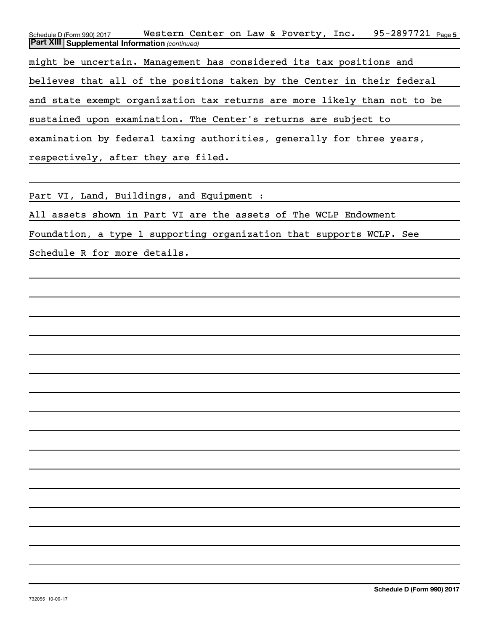Schedule D (Form 990) 2017 **Western Center on Law & Poverty, Inc.** 95-2897721 <sub>Page 5</sub> *(continued)* **Part XIII Supplemental Information**  might be uncertain. Management has considered its tax positions and believes that all of the positions taken by the Center in their federal and state exempt organization tax returns are more likely than not to be sustained upon examination. The Center's returns are subject to examination by federal taxing authorities, generally for three years, respectively, after they are filed.

Part VI, Land, Buildings, and Equipment :

All assets shown in Part VI are the assets of The WCLP Endowment

Foundation, a type 1 supporting organization that supports WCLP. See

Schedule R for more details.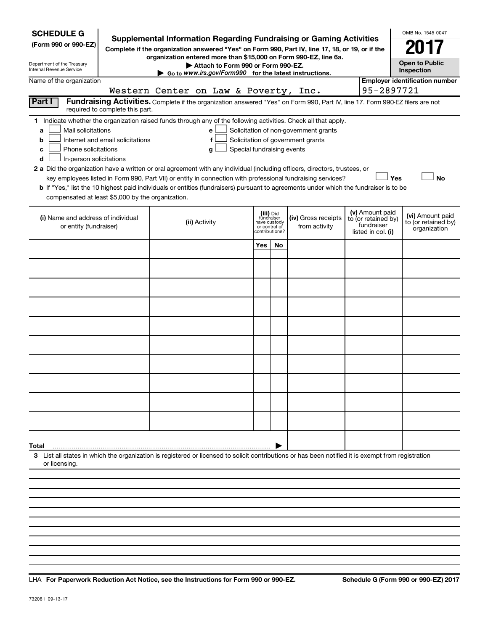| <b>SCHEDULE G</b><br>(Form 990 or 990-EZ)<br>Department of the Treasury<br>Internal Revenue Service<br>Name of the organization                                                                                                                                                                                                                                                                                                                                                                                                                                             | <b>Supplemental Information Regarding Fundraising or Gaming Activities</b><br>Complete if the organization answered "Yes" on Form 990, Part IV, line 17, 18, or 19, or if the<br>organization entered more than \$15,000 on Form 990-EZ, line 6a.<br>Attach to Form 990 or Form 990-EZ.<br>Go to www.irs.gov/Form990 for the latest instructions. |                                                                            |                                                                            |                                                                            | OMB No. 1545-0047<br><b>Open to Public</b><br>Inspection<br><b>Employer identification number</b> |
|-----------------------------------------------------------------------------------------------------------------------------------------------------------------------------------------------------------------------------------------------------------------------------------------------------------------------------------------------------------------------------------------------------------------------------------------------------------------------------------------------------------------------------------------------------------------------------|---------------------------------------------------------------------------------------------------------------------------------------------------------------------------------------------------------------------------------------------------------------------------------------------------------------------------------------------------|----------------------------------------------------------------------------|----------------------------------------------------------------------------|----------------------------------------------------------------------------|---------------------------------------------------------------------------------------------------|
|                                                                                                                                                                                                                                                                                                                                                                                                                                                                                                                                                                             | Western Center on Law & Poverty, Inc.                                                                                                                                                                                                                                                                                                             |                                                                            |                                                                            | 95-2897721                                                                 |                                                                                                   |
| Part I<br>required to complete this part.                                                                                                                                                                                                                                                                                                                                                                                                                                                                                                                                   | Fundraising Activities. Complete if the organization answered "Yes" on Form 990, Part IV, line 17. Form 990-EZ filers are not                                                                                                                                                                                                                     |                                                                            |                                                                            |                                                                            |                                                                                                   |
| 1 Indicate whether the organization raised funds through any of the following activities. Check all that apply.<br>Mail solicitations<br>a<br>Internet and email solicitations<br>b<br>Phone solicitations<br>с<br>In-person solicitations<br>d<br>2 a Did the organization have a written or oral agreement with any individual (including officers, directors, trustees, or<br>b If "Yes," list the 10 highest paid individuals or entities (fundraisers) pursuant to agreements under which the fundraiser is to be<br>compensated at least \$5,000 by the organization. | e<br>g<br>key employees listed in Form 990, Part VII) or entity in connection with professional fundraising services?                                                                                                                                                                                                                             | Special fundraising events                                                 | Solicitation of non-government grants<br>Solicitation of government grants |                                                                            | Yes<br><b>No</b>                                                                                  |
| (i) Name and address of individual<br>or entity (fundraiser)                                                                                                                                                                                                                                                                                                                                                                                                                                                                                                                | (ii) Activity                                                                                                                                                                                                                                                                                                                                     | (iii) Did<br>fundraiser<br>have custody<br>or control of<br>contributions? | (iv) Gross receipts<br>from activity                                       | (v) Amount paid<br>to (or retained by)<br>fundraiser<br>listed in col. (i) | (vi) Amount paid<br>to (or retained by)<br>organization                                           |
|                                                                                                                                                                                                                                                                                                                                                                                                                                                                                                                                                                             |                                                                                                                                                                                                                                                                                                                                                   | Yes<br>No                                                                  |                                                                            |                                                                            |                                                                                                   |
|                                                                                                                                                                                                                                                                                                                                                                                                                                                                                                                                                                             |                                                                                                                                                                                                                                                                                                                                                   |                                                                            |                                                                            |                                                                            |                                                                                                   |
|                                                                                                                                                                                                                                                                                                                                                                                                                                                                                                                                                                             |                                                                                                                                                                                                                                                                                                                                                   |                                                                            |                                                                            |                                                                            |                                                                                                   |
|                                                                                                                                                                                                                                                                                                                                                                                                                                                                                                                                                                             |                                                                                                                                                                                                                                                                                                                                                   |                                                                            |                                                                            |                                                                            |                                                                                                   |
|                                                                                                                                                                                                                                                                                                                                                                                                                                                                                                                                                                             |                                                                                                                                                                                                                                                                                                                                                   |                                                                            |                                                                            |                                                                            |                                                                                                   |
|                                                                                                                                                                                                                                                                                                                                                                                                                                                                                                                                                                             |                                                                                                                                                                                                                                                                                                                                                   |                                                                            |                                                                            |                                                                            |                                                                                                   |
|                                                                                                                                                                                                                                                                                                                                                                                                                                                                                                                                                                             |                                                                                                                                                                                                                                                                                                                                                   |                                                                            |                                                                            |                                                                            |                                                                                                   |
|                                                                                                                                                                                                                                                                                                                                                                                                                                                                                                                                                                             |                                                                                                                                                                                                                                                                                                                                                   |                                                                            |                                                                            |                                                                            |                                                                                                   |
|                                                                                                                                                                                                                                                                                                                                                                                                                                                                                                                                                                             |                                                                                                                                                                                                                                                                                                                                                   |                                                                            |                                                                            |                                                                            |                                                                                                   |
|                                                                                                                                                                                                                                                                                                                                                                                                                                                                                                                                                                             |                                                                                                                                                                                                                                                                                                                                                   |                                                                            |                                                                            |                                                                            |                                                                                                   |
|                                                                                                                                                                                                                                                                                                                                                                                                                                                                                                                                                                             |                                                                                                                                                                                                                                                                                                                                                   |                                                                            |                                                                            |                                                                            |                                                                                                   |
|                                                                                                                                                                                                                                                                                                                                                                                                                                                                                                                                                                             |                                                                                                                                                                                                                                                                                                                                                   |                                                                            |                                                                            |                                                                            |                                                                                                   |
|                                                                                                                                                                                                                                                                                                                                                                                                                                                                                                                                                                             |                                                                                                                                                                                                                                                                                                                                                   |                                                                            |                                                                            |                                                                            |                                                                                                   |
| Total<br>3 List all states in which the organization is registered or licensed to solicit contributions or has been notified it is exempt from registration<br>or licensing.                                                                                                                                                                                                                                                                                                                                                                                                |                                                                                                                                                                                                                                                                                                                                                   |                                                                            |                                                                            |                                                                            |                                                                                                   |
|                                                                                                                                                                                                                                                                                                                                                                                                                                                                                                                                                                             |                                                                                                                                                                                                                                                                                                                                                   |                                                                            |                                                                            |                                                                            |                                                                                                   |

**For Paperwork Reduction Act Notice, see the Instructions for Form 990 or 990-EZ. Schedule G (Form 990 or 990-EZ) 2017** LHA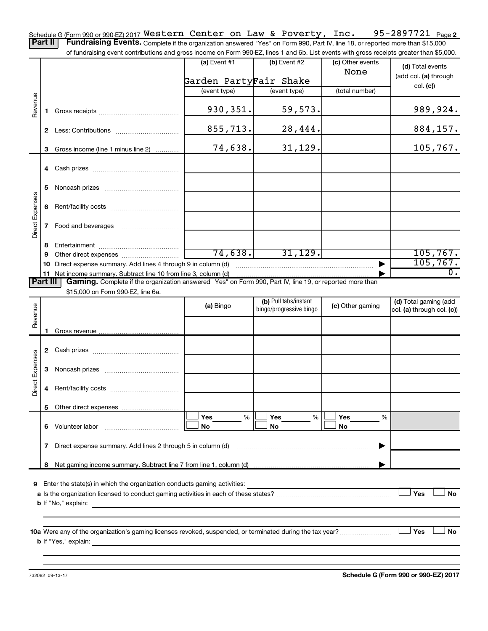95-2897721 Page 2 Schedule G (Form 990 or 990-EZ) 2017  $\texttt{Western Center on Law & \texttt{Powerty, Inc.} \quad 95-2897721 \quad \texttt{Page}$ Part II | Fundraising Events. Complete if the organization answered "Yes" on Form 990, Part IV, line 18, or reported more than \$15,000

of fundraising event contributions and gross income on Form 990-EZ, lines 1 and 6b. List events with gross receipts greater than \$5,000.

|                 |    |                                                                                                          | $(a)$ Event #1                                                                            | (b) Event #2            | (c) Other events | (d) Total events           |
|-----------------|----|----------------------------------------------------------------------------------------------------------|-------------------------------------------------------------------------------------------|-------------------------|------------------|----------------------------|
|                 |    |                                                                                                          |                                                                                           |                         | None             | (add col. (a) through      |
|                 |    |                                                                                                          | Garden PartyFair Shake                                                                    |                         |                  | col. (c)                   |
|                 |    |                                                                                                          | (event type)                                                                              | (event type)            | (total number)   |                            |
| Revenue         | 1. |                                                                                                          | 930, 351.                                                                                 | 59,573.                 |                  | 989,924.                   |
|                 |    |                                                                                                          | 855, 713.                                                                                 | 28,444.                 |                  | 884,157.                   |
|                 |    | 3 Gross income (line 1 minus line 2)                                                                     | 74,638.                                                                                   | 31,129.                 |                  | 105, 767.                  |
|                 |    |                                                                                                          |                                                                                           |                         |                  |                            |
|                 | 5  |                                                                                                          |                                                                                           |                         |                  |                            |
|                 | 6  |                                                                                                          |                                                                                           |                         |                  |                            |
| Direct Expenses | 7  | Food and beverages                                                                                       |                                                                                           |                         |                  |                            |
|                 | 8  |                                                                                                          |                                                                                           |                         |                  |                            |
|                 | 9  |                                                                                                          | 74,638.                                                                                   | 31, 129.                |                  | 105, 767.                  |
|                 | 10 | Direct expense summary. Add lines 4 through 9 in column (d)                                              |                                                                                           |                         |                  | 105, 767.                  |
|                 |    | 11 Net income summary. Subtract line 10 from line 3, column (d)                                          |                                                                                           |                         |                  | 0.                         |
| Part            |    | Gaming. Complete if the organization answered "Yes" on Form 990, Part IV, line 19, or reported more than |                                                                                           |                         |                  |                            |
|                 |    | \$15,000 on Form 990-EZ, line 6a.                                                                        |                                                                                           |                         |                  |                            |
|                 |    |                                                                                                          | (a) Bingo                                                                                 | (b) Pull tabs/instant   | (c) Other gaming | (d) Total gaming (add      |
| Revenue         |    |                                                                                                          |                                                                                           | bingo/progressive bingo |                  | col. (a) through col. (c)) |
|                 |    |                                                                                                          |                                                                                           |                         |                  |                            |
|                 |    |                                                                                                          |                                                                                           |                         |                  |                            |
|                 |    |                                                                                                          |                                                                                           |                         |                  |                            |
|                 |    |                                                                                                          |                                                                                           |                         |                  |                            |
|                 |    |                                                                                                          |                                                                                           |                         |                  |                            |
|                 | 3  |                                                                                                          |                                                                                           |                         |                  |                            |
| Direct Expenses | 4  |                                                                                                          |                                                                                           |                         |                  |                            |
|                 |    |                                                                                                          |                                                                                           |                         |                  |                            |
|                 |    |                                                                                                          |                                                                                           |                         | %                |                            |
|                 |    |                                                                                                          | Yes<br>$% \mid$                                                                           | Yes<br>%<br>No          | Yes<br>No        |                            |
|                 | 6  | Volunteer labor                                                                                          | No                                                                                        |                         |                  |                            |
|                 | 7  | Direct expense summary. Add lines 2 through 5 in column (d)                                              |                                                                                           |                         |                  |                            |
|                 | 8  |                                                                                                          |                                                                                           |                         |                  |                            |
|                 |    |                                                                                                          |                                                                                           |                         |                  |                            |
| 9               |    | Enter the state(s) in which the organization conducts gaming activities:                                 |                                                                                           |                         |                  |                            |
|                 |    |                                                                                                          |                                                                                           |                         |                  | Yes<br>No                  |
|                 |    | <b>b</b> If "No," explain:                                                                               | the control of the control of the control of the control of the control of the control of |                         |                  |                            |
|                 |    |                                                                                                          |                                                                                           |                         |                  |                            |
|                 |    |                                                                                                          |                                                                                           |                         |                  |                            |
|                 |    |                                                                                                          |                                                                                           |                         |                  | Yes<br>No                  |
|                 |    | <b>b</b> If "Yes," explain:<br><u> 1989 - Johann Stein, mars an deutscher Stein († 1989)</u>             |                                                                                           |                         |                  |                            |
|                 |    |                                                                                                          |                                                                                           |                         |                  |                            |

**Schedule G (Form 990 or 990-EZ) 2017**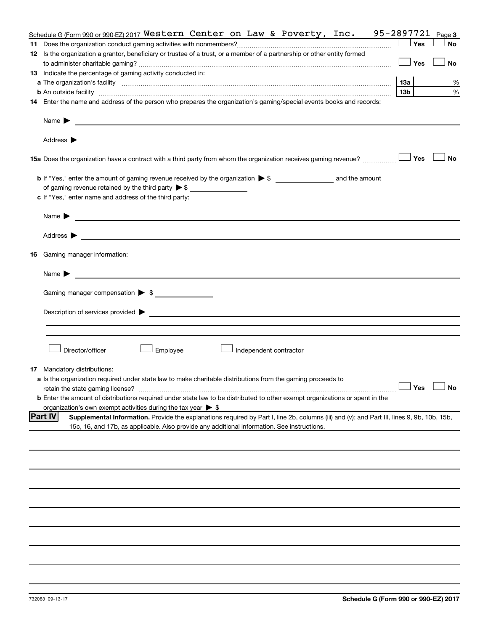|    | Schedule G (Form 990 or 990 EZ) 2017 Western Center on Law & Poverty, Inc. 95-2897721 $Page3$                                                                                                                                                                         |     |                     |           |
|----|-----------------------------------------------------------------------------------------------------------------------------------------------------------------------------------------------------------------------------------------------------------------------|-----|---------------------|-----------|
|    |                                                                                                                                                                                                                                                                       |     | Yes                 | <b>No</b> |
|    | 12 Is the organization a grantor, beneficiary or trustee of a trust, or a member of a partnership or other entity formed                                                                                                                                              |     |                     |           |
|    |                                                                                                                                                                                                                                                                       |     | Yes                 | <b>No</b> |
|    | 13 Indicate the percentage of gaming activity conducted in:                                                                                                                                                                                                           |     |                     |           |
|    |                                                                                                                                                                                                                                                                       | 1За |                     | %         |
|    | <b>b</b> An outside facility <i>www.communicality www.communicality.communicality www.communicality www.communicality.communicality www.communicality.com</i>                                                                                                         | 13b |                     | %         |
|    | 14 Enter the name and address of the person who prepares the organization's gaming/special events books and records:                                                                                                                                                  |     |                     |           |
|    |                                                                                                                                                                                                                                                                       |     |                     |           |
|    | Name $\blacktriangleright$<br><u>and the control of the control of the control of the control of the control of the control of the control of</u>                                                                                                                     |     |                     |           |
|    | Address $\blacktriangleright$<br><u>and the state of the state of the state of the state of the state of the state of the state of the state of the state of the state of the state of the state of the state of the state of the state of the state of the state</u> |     |                     |           |
|    | <b>15a</b> Does the organization have a contract with a third party from whom the organization receives gaming revenue? $\ldots$                                                                                                                                      |     |                     | <b>No</b> |
|    |                                                                                                                                                                                                                                                                       |     |                     |           |
|    |                                                                                                                                                                                                                                                                       |     |                     |           |
|    | c If "Yes," enter name and address of the third party:                                                                                                                                                                                                                |     |                     |           |
|    |                                                                                                                                                                                                                                                                       |     |                     |           |
|    | Name $\blacktriangleright$<br><u>and the control of the control of the control of the control of the control of the control of the control of</u>                                                                                                                     |     |                     |           |
|    | Address $\blacktriangleright$<br><u>and the state of the state of the state of the state of the state of the state of the state of the state of the state of the state of the state of the state of the state of the state of the state of the state of the state</u> |     |                     |           |
| 16 | Gaming manager information:                                                                                                                                                                                                                                           |     |                     |           |
|    | <u> 1990 - Johann Barbara, martin amerikan basal dan berasal dalam basal dalam basal dalam basal dalam basal dala</u><br>Name $\blacktriangleright$                                                                                                                   |     |                     |           |
|    | Gaming manager compensation > \$                                                                                                                                                                                                                                      |     |                     |           |
|    |                                                                                                                                                                                                                                                                       |     |                     |           |
|    |                                                                                                                                                                                                                                                                       |     |                     |           |
|    |                                                                                                                                                                                                                                                                       |     |                     |           |
|    |                                                                                                                                                                                                                                                                       |     |                     |           |
|    | Director/officer<br>Employee<br>Independent contractor                                                                                                                                                                                                                |     |                     |           |
| 17 | Mandatory distributions:                                                                                                                                                                                                                                              |     |                     |           |
|    | a Is the organization required under state law to make charitable distributions from the gaming proceeds to                                                                                                                                                           |     |                     |           |
|    | retain the state gaming license?                                                                                                                                                                                                                                      |     | $\Box$ Yes $\ \bot$ |           |
|    | <b>b</b> Enter the amount of distributions required under state law to be distributed to other exempt organizations or spent in the                                                                                                                                   |     |                     |           |
|    | organization's own exempt activities during the tax year $\triangleright$ \$                                                                                                                                                                                          |     |                     |           |
|    | <b>Part IV</b><br>Supplemental Information. Provide the explanations required by Part I, line 2b, columns (iii) and (v); and Part III, lines 9, 9b, 10b, 15b,                                                                                                         |     |                     |           |
|    | 15c, 16, and 17b, as applicable. Also provide any additional information. See instructions.                                                                                                                                                                           |     |                     |           |
|    |                                                                                                                                                                                                                                                                       |     |                     |           |
|    |                                                                                                                                                                                                                                                                       |     |                     |           |
|    |                                                                                                                                                                                                                                                                       |     |                     |           |
|    |                                                                                                                                                                                                                                                                       |     |                     |           |
|    |                                                                                                                                                                                                                                                                       |     |                     |           |
|    |                                                                                                                                                                                                                                                                       |     |                     |           |
|    |                                                                                                                                                                                                                                                                       |     |                     |           |
|    |                                                                                                                                                                                                                                                                       |     |                     |           |
|    |                                                                                                                                                                                                                                                                       |     |                     |           |
|    |                                                                                                                                                                                                                                                                       |     |                     |           |
|    |                                                                                                                                                                                                                                                                       |     |                     |           |
|    |                                                                                                                                                                                                                                                                       |     |                     |           |
|    |                                                                                                                                                                                                                                                                       |     |                     |           |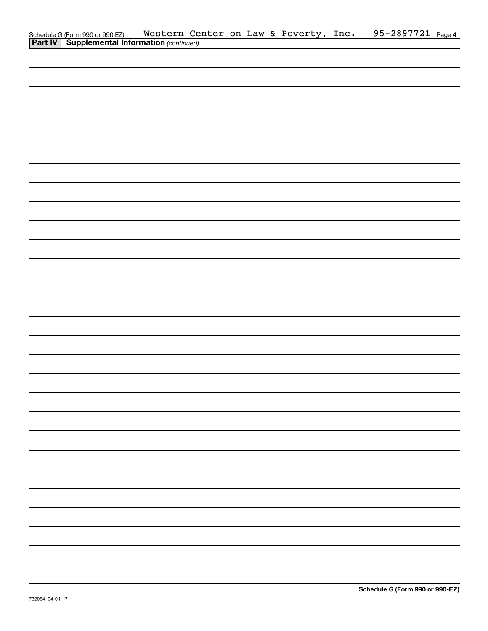| Schedule G (Form 990 or 990-EZ) Western Ce<br><b>Part IV   Supplemental Information</b> (continued) |  |  | Western Center on Law & Poverty, Inc. | 95-2897721 Page 4 |  |
|-----------------------------------------------------------------------------------------------------|--|--|---------------------------------------|-------------------|--|
|                                                                                                     |  |  |                                       |                   |  |
|                                                                                                     |  |  |                                       |                   |  |
|                                                                                                     |  |  |                                       |                   |  |
|                                                                                                     |  |  |                                       |                   |  |
|                                                                                                     |  |  |                                       |                   |  |
|                                                                                                     |  |  |                                       |                   |  |
|                                                                                                     |  |  |                                       |                   |  |
|                                                                                                     |  |  |                                       |                   |  |
|                                                                                                     |  |  |                                       |                   |  |
|                                                                                                     |  |  |                                       |                   |  |
|                                                                                                     |  |  |                                       |                   |  |
|                                                                                                     |  |  |                                       |                   |  |
|                                                                                                     |  |  |                                       |                   |  |
|                                                                                                     |  |  |                                       |                   |  |
|                                                                                                     |  |  |                                       |                   |  |
|                                                                                                     |  |  |                                       |                   |  |
|                                                                                                     |  |  |                                       |                   |  |
|                                                                                                     |  |  |                                       |                   |  |
|                                                                                                     |  |  |                                       |                   |  |
|                                                                                                     |  |  |                                       |                   |  |
|                                                                                                     |  |  |                                       |                   |  |
|                                                                                                     |  |  |                                       |                   |  |
|                                                                                                     |  |  |                                       |                   |  |
|                                                                                                     |  |  |                                       |                   |  |
|                                                                                                     |  |  |                                       |                   |  |
|                                                                                                     |  |  |                                       |                   |  |
|                                                                                                     |  |  |                                       |                   |  |
|                                                                                                     |  |  |                                       |                   |  |
|                                                                                                     |  |  |                                       |                   |  |
|                                                                                                     |  |  |                                       |                   |  |
|                                                                                                     |  |  |                                       |                   |  |
|                                                                                                     |  |  |                                       |                   |  |
|                                                                                                     |  |  |                                       |                   |  |
|                                                                                                     |  |  |                                       |                   |  |
|                                                                                                     |  |  |                                       |                   |  |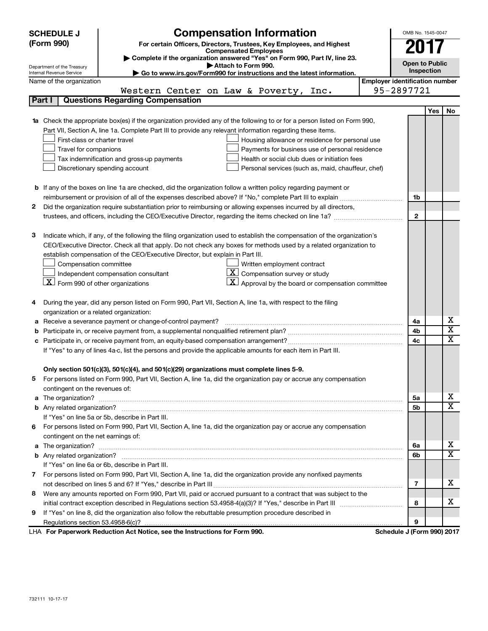|   | <b>SCHEDULE J</b>                                      | <b>Compensation Information</b>                                                                                                  |                                       | OMB No. 1545-0047          |     |    |
|---|--------------------------------------------------------|----------------------------------------------------------------------------------------------------------------------------------|---------------------------------------|----------------------------|-----|----|
|   | (Form 990)                                             | For certain Officers, Directors, Trustees, Key Employees, and Highest                                                            |                                       | 201                        |     |    |
|   |                                                        | <b>Compensated Employees</b>                                                                                                     |                                       |                            |     |    |
|   |                                                        | Complete if the organization answered "Yes" on Form 990, Part IV, line 23.<br>Attach to Form 990.                                |                                       | <b>Open to Public</b>      |     |    |
|   | Department of the Treasury<br>Internal Revenue Service | Go to www.irs.gov/Form990 for instructions and the latest information.                                                           |                                       | Inspection                 |     |    |
|   | Name of the organization                               |                                                                                                                                  | <b>Employer identification number</b> |                            |     |    |
|   |                                                        | Western Center on Law & Poverty,<br>Inc.                                                                                         |                                       | 95-2897721                 |     |    |
|   | Part I                                                 | <b>Questions Regarding Compensation</b>                                                                                          |                                       |                            |     |    |
|   |                                                        |                                                                                                                                  |                                       |                            | Yes | No |
|   |                                                        | <b>1a</b> Check the appropriate box(es) if the organization provided any of the following to or for a person listed on Form 990, |                                       |                            |     |    |
|   |                                                        | Part VII, Section A, line 1a. Complete Part III to provide any relevant information regarding these items.                       |                                       |                            |     |    |
|   | First-class or charter travel                          | Housing allowance or residence for personal use                                                                                  |                                       |                            |     |    |
|   | Travel for companions                                  | Payments for business use of personal residence                                                                                  |                                       |                            |     |    |
|   |                                                        | Tax indemnification and gross-up payments<br>Health or social club dues or initiation fees                                       |                                       |                            |     |    |
|   |                                                        | Discretionary spending account<br>Personal services (such as, maid, chauffeur, chef)                                             |                                       |                            |     |    |
|   |                                                        |                                                                                                                                  |                                       |                            |     |    |
|   |                                                        | <b>b</b> If any of the boxes on line 1a are checked, did the organization follow a written policy regarding payment or           |                                       |                            |     |    |
|   |                                                        |                                                                                                                                  |                                       | 1b                         |     |    |
| 2 |                                                        | Did the organization require substantiation prior to reimbursing or allowing expenses incurred by all directors,                 |                                       |                            |     |    |
|   |                                                        |                                                                                                                                  |                                       | $\mathbf{2}$               |     |    |
|   |                                                        |                                                                                                                                  |                                       |                            |     |    |
| з |                                                        | Indicate which, if any, of the following the filing organization used to establish the compensation of the organization's        |                                       |                            |     |    |
|   |                                                        | CEO/Executive Director. Check all that apply. Do not check any boxes for methods used by a related organization to               |                                       |                            |     |    |
|   |                                                        | establish compensation of the CEO/Executive Director, but explain in Part III.                                                   |                                       |                            |     |    |
|   | Compensation committee                                 | Written employment contract                                                                                                      |                                       |                            |     |    |
|   |                                                        | $ \mathbf{X} $ Compensation survey or study<br>Independent compensation consultant                                               |                                       |                            |     |    |
|   | $\lfloor x \rfloor$ Form 990 of other organizations    | $\mathbf{X}$ Approval by the board or compensation committee                                                                     |                                       |                            |     |    |
|   |                                                        |                                                                                                                                  |                                       |                            |     |    |
| 4 |                                                        | During the year, did any person listed on Form 990, Part VII, Section A, line 1a, with respect to the filing                     |                                       |                            |     |    |
|   | organization or a related organization:                |                                                                                                                                  |                                       |                            |     | х  |
| а |                                                        | Receive a severance payment or change-of-control payment?                                                                        |                                       | 4a                         |     | X  |
| b |                                                        |                                                                                                                                  |                                       | 4b                         |     | x  |
|   |                                                        |                                                                                                                                  |                                       | 4c                         |     |    |
|   |                                                        | If "Yes" to any of lines 4a-c, list the persons and provide the applicable amounts for each item in Part III.                    |                                       |                            |     |    |
|   |                                                        | Only section 501(c)(3), 501(c)(4), and 501(c)(29) organizations must complete lines 5-9.                                         |                                       |                            |     |    |
|   |                                                        | For persons listed on Form 990, Part VII, Section A, line 1a, did the organization pay or accrue any compensation                |                                       |                            |     |    |
|   | contingent on the revenues of:                         |                                                                                                                                  |                                       |                            |     |    |
|   |                                                        |                                                                                                                                  |                                       | 5а                         |     | х  |
|   |                                                        |                                                                                                                                  |                                       | 5b                         |     | x  |
|   |                                                        | If "Yes" on line 5a or 5b, describe in Part III.                                                                                 |                                       |                            |     |    |
|   |                                                        | 6 For persons listed on Form 990, Part VII, Section A, line 1a, did the organization pay or accrue any compensation              |                                       |                            |     |    |
|   | contingent on the net earnings of:                     |                                                                                                                                  |                                       |                            |     |    |
|   |                                                        |                                                                                                                                  |                                       | 6a                         |     | х  |
|   |                                                        |                                                                                                                                  |                                       | 6b                         |     | X  |
|   |                                                        | If "Yes" on line 6a or 6b, describe in Part III.                                                                                 |                                       |                            |     |    |
|   |                                                        | 7 For persons listed on Form 990, Part VII, Section A, line 1a, did the organization provide any nonfixed payments               |                                       |                            |     |    |
|   |                                                        |                                                                                                                                  |                                       | 7                          |     | x. |
| 8 |                                                        | Were any amounts reported on Form 990, Part VII, paid or accrued pursuant to a contract that was subject to the                  |                                       |                            |     |    |
|   |                                                        |                                                                                                                                  |                                       | 8                          |     | х  |
| 9 |                                                        | If "Yes" on line 8, did the organization also follow the rebuttable presumption procedure described in                           |                                       |                            |     |    |
|   |                                                        |                                                                                                                                  |                                       | 9                          |     |    |
|   |                                                        | LHA For Paperwork Reduction Act Notice, see the Instructions for Form 990.                                                       |                                       | Schedule J (Form 990) 2017 |     |    |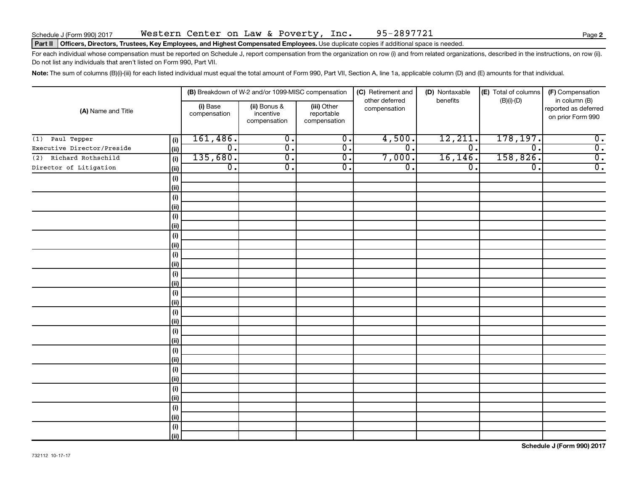### Part II | Officers, Directors, Trustees, Key Employees, and Highest Compensated Employees. Use duplicate copies if additional space is needed.

For each individual whose compensation must be reported on Schedule J, report compensation from the organization on row (i) and from related organizations, described in the instructions, on row (ii). Do not list any individuals that aren't listed on Form 990, Part VII.

Note: The sum of columns (B)(i)-(iii) for each listed individual must equal the total amount of Form 990, Part VII, Section A, line 1a, applicable column (D) and (E) amounts for that individual.

|                            |              |                          | (B) Breakdown of W-2 and/or 1099-MISC compensation |                                           | (C) Retirement and<br>other deferred | (D) Nontaxable<br>benefits | (E) Total of columns | (F) Compensation<br>in column (B)         |
|----------------------------|--------------|--------------------------|----------------------------------------------------|-------------------------------------------|--------------------------------------|----------------------------|----------------------|-------------------------------------------|
| (A) Name and Title         |              | (i) Base<br>compensation | (ii) Bonus &<br>incentive<br>compensation          | (iii) Other<br>reportable<br>compensation | compensation                         |                            | $(B)(i)-(D)$         | reported as deferred<br>on prior Form 990 |
| (1) Paul Tepper            | (i)          | 161,486.                 | $\overline{0}$ .                                   | $\overline{0}$ .                          | 4,500.                               | 12,211.                    | 178,197.             | $\overline{\mathbf{0}}$ .                 |
| Executive Director/Preside | (i)          | 0.                       | $\overline{0}$ .                                   | $\overline{\mathfrak{o}}$ .               | $\overline{\mathfrak{o}}$ .          | $\overline{0}$ .           | $\Omega$ .           | $\overline{0}$ .                          |
| Richard Rothschild<br>(2)  | (i)          | 135,680.                 | σ.                                                 | $\overline{\mathfrak{o}}$ .               | 7,000.                               | 16, 146.                   | 158,826.             | $\overline{0}$ .                          |
| Director of Litigation     | $\vert$ (ii) | $\overline{0}$ .         | σ.                                                 | $\overline{0}$ .                          | $\overline{0}$ .                     | $\overline{0}$ .           | $\overline{0}$ .     | $\overline{0}$ .                          |
|                            | (i)          |                          |                                                    |                                           |                                      |                            |                      |                                           |
|                            | $\vert$ (ii) |                          |                                                    |                                           |                                      |                            |                      |                                           |
|                            | (i)          |                          |                                                    |                                           |                                      |                            |                      |                                           |
|                            | (ii)         |                          |                                                    |                                           |                                      |                            |                      |                                           |
|                            | (i)          |                          |                                                    |                                           |                                      |                            |                      |                                           |
|                            | (ii)         |                          |                                                    |                                           |                                      |                            |                      |                                           |
|                            | (i)          |                          |                                                    |                                           |                                      |                            |                      |                                           |
|                            | $\vert$ (ii) |                          |                                                    |                                           |                                      |                            |                      |                                           |
|                            | $(\sf{i})$   |                          |                                                    |                                           |                                      |                            |                      |                                           |
|                            | (ii)         |                          |                                                    |                                           |                                      |                            |                      |                                           |
|                            | (i)          |                          |                                                    |                                           |                                      |                            |                      |                                           |
|                            | (ii)         |                          |                                                    |                                           |                                      |                            |                      |                                           |
|                            | $(\sf{i})$   |                          |                                                    |                                           |                                      |                            |                      |                                           |
|                            | (ii)         |                          |                                                    |                                           |                                      |                            |                      |                                           |
|                            | $(\sf{i})$   |                          |                                                    |                                           |                                      |                            |                      |                                           |
|                            | (ii)         |                          |                                                    |                                           |                                      |                            |                      |                                           |
|                            | (i)          |                          |                                                    |                                           |                                      |                            |                      |                                           |
|                            | (ii)         |                          |                                                    |                                           |                                      |                            |                      |                                           |
|                            | (i)          |                          |                                                    |                                           |                                      |                            |                      |                                           |
|                            | (ii)         |                          |                                                    |                                           |                                      |                            |                      |                                           |
|                            | $(\sf{i})$   |                          |                                                    |                                           |                                      |                            |                      |                                           |
|                            | (ii)         |                          |                                                    |                                           |                                      |                            |                      |                                           |
|                            | (i)          |                          |                                                    |                                           |                                      |                            |                      |                                           |
|                            | (ii)         |                          |                                                    |                                           |                                      |                            |                      |                                           |
|                            | (i)          |                          |                                                    |                                           |                                      |                            |                      |                                           |
|                            | (ii)         |                          |                                                    |                                           |                                      |                            |                      |                                           |
|                            | (i)          |                          |                                                    |                                           |                                      |                            |                      |                                           |
|                            | (ii)         |                          |                                                    |                                           |                                      |                            |                      |                                           |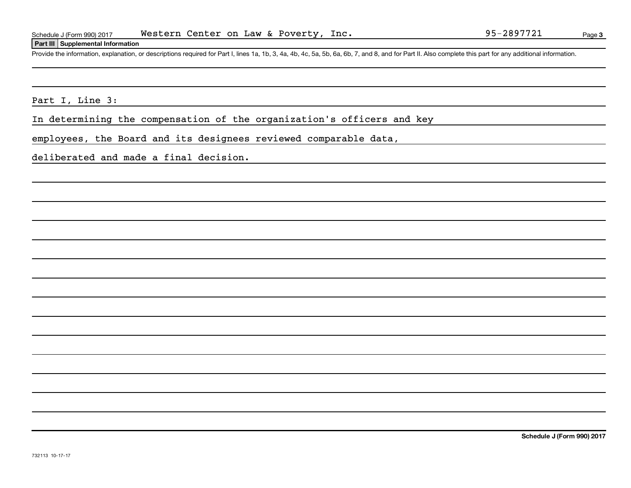### **Part III Supplemental Information**

Provide the information, explanation, or descriptions required for Part I, lines 1a, 1b, 3, 4a, 4b, 4c, 5a, 5b, 6a, 6b, 7, and 8, and for Part II. Also complete this part for any additional information.

Part I, Line 3:

In determining the compensation of the organization's officers and key

employees, the Board and its designees reviewed comparable data,

deliberated and made a final decision.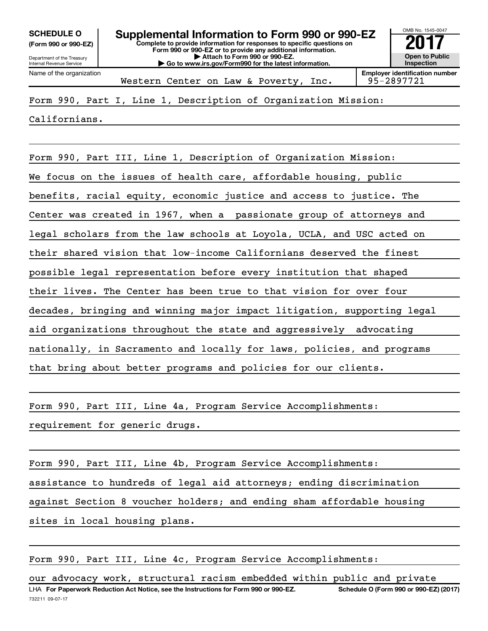**(Form 990 or 990-EZ)**

Department of the Treasury Internal Revenue Service

Name of the organization

**Complete to provide information for responses to specific questions on Form 990 or 990-EZ or to provide any additional information. | Attach to Form 990 or 990-EZ. | Go to www.irs.gov/Form990 for the latest information. SCHEDULE O Supplemental Information to Form 990 or 990-EZ**  $\overline{\mathbf{20}}$ 



Western Center on Law & Poverty, Inc. | 95-2897721

Form 990, Part I, Line 1, Description of Organization Mission:

Californians.

Form 990, Part III, Line 1, Description of Organization Mission: We focus on the issues of health care, affordable housing, public benefits, racial equity, economic justice and access to justice. The Center was created in 1967, when a passionate group of attorneys and legal scholars from the law schools at Loyola, UCLA, and USC acted on their shared vision that low-income Californians deserved the finest possible legal representation before every institution that shaped their lives. The Center has been true to that vision for over four decades, bringing and winning major impact litigation, supporting legal aid organizations throughout the state and aggressively advocating nationally, in Sacramento and locally for laws, policies, and programs that bring about better programs and policies for our clients.

Form 990, Part III, Line 4a, Program Service Accomplishments:

requirement for generic drugs.

Form 990, Part III, Line 4b, Program Service Accomplishments: assistance to hundreds of legal aid attorneys; ending discrimination against Section 8 voucher holders; and ending sham affordable housing sites in local housing plans.

Form 990, Part III, Line 4c, Program Service Accomplishments: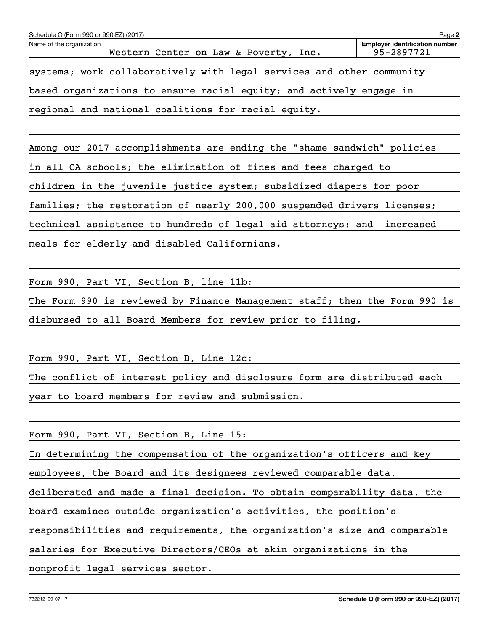| Schedule O (Form 990 or 990-EZ) (2017)<br>Page 2                      |                                                         |  |  |  |  |  |  |
|-----------------------------------------------------------------------|---------------------------------------------------------|--|--|--|--|--|--|
| Name of the organization<br>Western Center on Law & Poverty, Inc.     | <b>Employer identification number</b><br>$95 - 2897721$ |  |  |  |  |  |  |
| systems; work collaboratively with legal services and other community |                                                         |  |  |  |  |  |  |
| based organizations to ensure racial equity; and actively engage in   |                                                         |  |  |  |  |  |  |
| regional and national coalitions for racial equity.                   |                                                         |  |  |  |  |  |  |

Among our 2017 accomplishments are ending the "shame sandwich" policies in all CA schools; the elimination of fines and fees charged to children in the juvenile justice system; subsidized diapers for poor families; the restoration of nearly 200,000 suspended drivers licenses; technical assistance to hundreds of legal aid attorneys; and increased meals for elderly and disabled Californians.

Form 990, Part VI, Section B, line 11b:

The Form 990 is reviewed by Finance Management staff; then the Form 990 is disbursed to all Board Members for review prior to filing.

Form 990, Part VI, Section B, Line 12c:

The conflict of interest policy and disclosure form are distributed each year to board members for review and submission.

Form 990, Part VI, Section B, Line 15:

In determining the compensation of the organization's officers and key

employees, the Board and its designees reviewed comparable data,

deliberated and made a final decision. To obtain comparability data, the

board examines outside organization's activities, the position's

responsibilities and requirements, the organization's size and comparable

salaries for Executive Directors/CEOs at akin organizations in the

nonprofit legal services sector.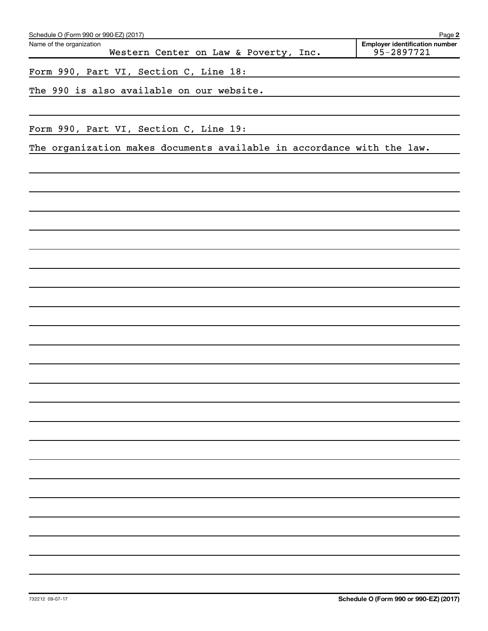| Schedule O (Form 990 or 990-EZ) (2017)                                 | Page 2                                              |
|------------------------------------------------------------------------|-----------------------------------------------------|
| Name of the organization<br>Western Center on Law & Poverty, Inc.      | <b>Employer identification number</b><br>95-2897721 |
| Form 990, Part VI, Section C, Line 18:                                 |                                                     |
| The 990 is also available on our website.                              |                                                     |
|                                                                        |                                                     |
| Form 990, Part VI, Section C, Line 19:                                 |                                                     |
| The organization makes documents available in accordance with the law. |                                                     |
|                                                                        |                                                     |
|                                                                        |                                                     |
|                                                                        |                                                     |
|                                                                        |                                                     |
|                                                                        |                                                     |
|                                                                        |                                                     |
|                                                                        |                                                     |
|                                                                        |                                                     |
|                                                                        |                                                     |
|                                                                        |                                                     |
|                                                                        |                                                     |
|                                                                        |                                                     |
|                                                                        |                                                     |
|                                                                        |                                                     |
|                                                                        |                                                     |
|                                                                        |                                                     |
|                                                                        |                                                     |
|                                                                        |                                                     |
|                                                                        |                                                     |
|                                                                        |                                                     |
|                                                                        |                                                     |
|                                                                        |                                                     |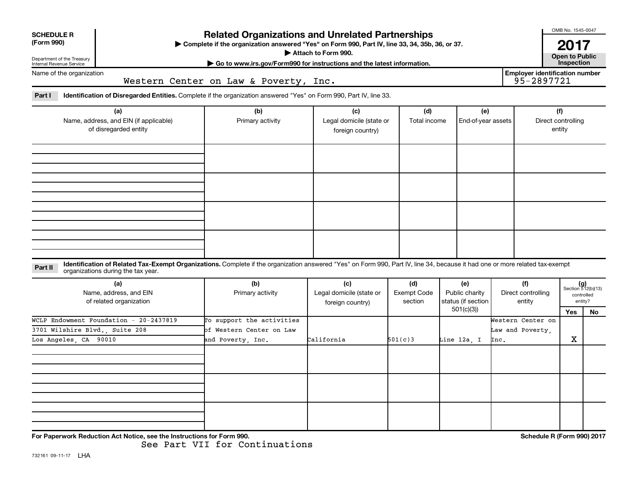| <b>Related Organizations and Unrelated Partnerships</b><br><b>SCHEDULE R</b><br>(Form 990)<br>> Complete if the organization answered "Yes" on Form 990, Part IV, line 33, 34, 35b, 36, or 37.<br>Attach to Form 990.<br>Department of the Treasury |                                                                                                                                                                                                                    |                                                                            |                                                     |                                      |                                             |      |                                                     |                                     |                                                      |  |  |
|-----------------------------------------------------------------------------------------------------------------------------------------------------------------------------------------------------------------------------------------------------|--------------------------------------------------------------------------------------------------------------------------------------------------------------------------------------------------------------------|----------------------------------------------------------------------------|-----------------------------------------------------|--------------------------------------|---------------------------------------------|------|-----------------------------------------------------|-------------------------------------|------------------------------------------------------|--|--|
| Internal Revenue Service                                                                                                                                                                                                                            |                                                                                                                                                                                                                    | Go to www.irs.gov/Form990 for instructions and the latest information.     |                                                     |                                      |                                             |      |                                                     | <b>Open to Public</b><br>Inspection |                                                      |  |  |
| Name of the organization                                                                                                                                                                                                                            |                                                                                                                                                                                                                    | Western Center on Law & Poverty, Inc.                                      |                                                     |                                      |                                             |      | <b>Employer identification number</b><br>95-2897721 |                                     |                                                      |  |  |
| Part I                                                                                                                                                                                                                                              | <b>Identification of Disregarded Entities.</b> Complete if the organization answered "Yes" on Form 990, Part IV, line 33.                                                                                          |                                                                            |                                                     |                                      |                                             |      |                                                     |                                     |                                                      |  |  |
| (a)<br>Name, address, and EIN (if applicable)<br>of disregarded entity                                                                                                                                                                              |                                                                                                                                                                                                                    | (b)<br>Primary activity                                                    | (c)<br>Legal domicile (state or<br>foreign country) | (d)<br>Total income                  | (e)<br>End-of-year assets                   |      |                                                     | (f)<br>Direct controlling<br>entity |                                                      |  |  |
|                                                                                                                                                                                                                                                     |                                                                                                                                                                                                                    |                                                                            |                                                     |                                      |                                             |      |                                                     |                                     |                                                      |  |  |
|                                                                                                                                                                                                                                                     |                                                                                                                                                                                                                    |                                                                            |                                                     |                                      |                                             |      |                                                     |                                     |                                                      |  |  |
| Part II                                                                                                                                                                                                                                             | Identification of Related Tax-Exempt Organizations. Complete if the organization answered "Yes" on Form 990, Part IV, line 34, because it had one or more related tax-exempt<br>organizations during the tax year. |                                                                            |                                                     |                                      |                                             |      |                                                     |                                     |                                                      |  |  |
| (a)<br>Name, address, and EIN<br>of related organization                                                                                                                                                                                            |                                                                                                                                                                                                                    | (b)<br>Primary activity                                                    | (c)<br>Legal domicile (state or<br>foreign country) | (d)<br><b>Exempt Code</b><br>section | (e)<br>Public charity<br>status (if section |      | (f)<br>Direct controlling<br>entity                 |                                     | $(g)$<br>Section 512(b)(13)<br>controlled<br>entity? |  |  |
| WCLP Endowment Foundation - 20-2437819<br>3701 Wilshire Blvd., Suite 208<br>Los Angeles, CA 90010                                                                                                                                                   |                                                                                                                                                                                                                    | To support the activities<br>of Western Center on Law<br>and Poverty, Inc. | California                                          | 501(c)3                              | 501(c)(3)<br>Line 12a, I                    | Inc. | Western Center on<br>Law and Poverty,               | Yes<br>$\mathbf X$                  | No                                                   |  |  |
|                                                                                                                                                                                                                                                     |                                                                                                                                                                                                                    |                                                                            |                                                     |                                      |                                             |      |                                                     |                                     |                                                      |  |  |
|                                                                                                                                                                                                                                                     |                                                                                                                                                                                                                    |                                                                            |                                                     |                                      |                                             |      |                                                     |                                     |                                                      |  |  |
|                                                                                                                                                                                                                                                     |                                                                                                                                                                                                                    |                                                                            |                                                     |                                      |                                             |      |                                                     |                                     |                                                      |  |  |

**For Paperwork Reduction Act Notice, see the Instructions for Form 990. Schedule R (Form 990) 2017**

OMB No. 1545-0047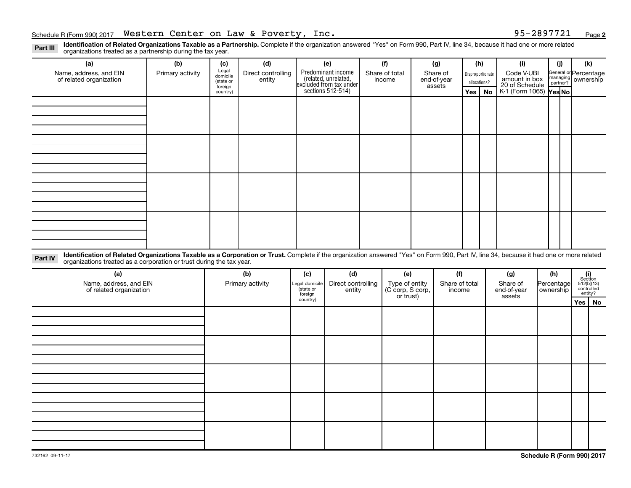**2**

Part III Identification of Related Organizations Taxable as a Partnership. Complete if the organization answered "Yes" on Form 990, Part IV, line 34, because it had one or more related<br>Part III International tracted as a p organizations treated as a partnership during the tax year.

| organizations treated as a partnership during the tax year. |                                                                                                                                                                                                                                                                  |                  |                                           |                              |                             |                                                                      |  |                                    |     |                                   |                                  |                               |                                               |  |                                                         |                          |                |
|-------------------------------------------------------------|------------------------------------------------------------------------------------------------------------------------------------------------------------------------------------------------------------------------------------------------------------------|------------------|-------------------------------------------|------------------------------|-----------------------------|----------------------------------------------------------------------|--|------------------------------------|-----|-----------------------------------|----------------------------------|-------------------------------|-----------------------------------------------|--|---------------------------------------------------------|--------------------------|----------------|
|                                                             | (a)                                                                                                                                                                                                                                                              | (b)              | (c)                                       | (d)                          |                             | (e)                                                                  |  | (f)                                |     | (g)                               | (h)                              |                               | (i)                                           |  | (j)                                                     | (k)                      |                |
|                                                             | Name, address, and EIN<br>of related organization                                                                                                                                                                                                                | Primary activity | Legal<br>domicile<br>(state or<br>foreign | Direct controlling<br>entity |                             | Predominant income<br>related, unrelated,<br>excluded from tax under |  | Share of total<br>income           |     | Share of<br>end-of-year<br>assets | Disproportionate<br>allocations? |                               | Code V-UBI<br>amount in box<br>20 of Schedule |  | General or Percentage<br>managing ownership<br>partner? |                          |                |
|                                                             |                                                                                                                                                                                                                                                                  |                  | country)                                  |                              |                             | sections 512-514)                                                    |  |                                    | Yes |                                   | <b>No</b>                        | K-1 (Form 1065) <b>Yes No</b> |                                               |  |                                                         |                          |                |
|                                                             |                                                                                                                                                                                                                                                                  |                  |                                           |                              |                             |                                                                      |  |                                    |     |                                   |                                  |                               |                                               |  |                                                         |                          |                |
|                                                             |                                                                                                                                                                                                                                                                  |                  |                                           |                              |                             |                                                                      |  |                                    |     |                                   |                                  |                               |                                               |  |                                                         |                          |                |
|                                                             |                                                                                                                                                                                                                                                                  |                  |                                           |                              |                             |                                                                      |  |                                    |     |                                   |                                  |                               |                                               |  |                                                         |                          |                |
|                                                             |                                                                                                                                                                                                                                                                  |                  |                                           |                              |                             |                                                                      |  |                                    |     |                                   |                                  |                               |                                               |  |                                                         |                          |                |
|                                                             |                                                                                                                                                                                                                                                                  |                  |                                           |                              |                             |                                                                      |  |                                    |     |                                   |                                  |                               |                                               |  |                                                         |                          |                |
|                                                             |                                                                                                                                                                                                                                                                  |                  |                                           |                              |                             |                                                                      |  |                                    |     |                                   |                                  |                               |                                               |  |                                                         |                          |                |
|                                                             |                                                                                                                                                                                                                                                                  |                  |                                           |                              |                             |                                                                      |  |                                    |     |                                   |                                  |                               |                                               |  |                                                         |                          |                |
|                                                             |                                                                                                                                                                                                                                                                  |                  |                                           |                              |                             |                                                                      |  |                                    |     |                                   |                                  |                               |                                               |  |                                                         |                          |                |
|                                                             |                                                                                                                                                                                                                                                                  |                  |                                           |                              |                             |                                                                      |  |                                    |     |                                   |                                  |                               |                                               |  |                                                         |                          |                |
|                                                             |                                                                                                                                                                                                                                                                  |                  |                                           |                              |                             |                                                                      |  |                                    |     |                                   |                                  |                               |                                               |  |                                                         |                          |                |
|                                                             |                                                                                                                                                                                                                                                                  |                  |                                           |                              |                             |                                                                      |  |                                    |     |                                   |                                  |                               |                                               |  |                                                         |                          |                |
|                                                             |                                                                                                                                                                                                                                                                  |                  |                                           |                              |                             |                                                                      |  |                                    |     |                                   |                                  |                               |                                               |  |                                                         |                          |                |
|                                                             |                                                                                                                                                                                                                                                                  |                  |                                           |                              |                             |                                                                      |  |                                    |     |                                   |                                  |                               |                                               |  |                                                         |                          |                |
|                                                             |                                                                                                                                                                                                                                                                  |                  |                                           |                              |                             |                                                                      |  |                                    |     |                                   |                                  |                               |                                               |  |                                                         |                          |                |
|                                                             |                                                                                                                                                                                                                                                                  |                  |                                           |                              |                             |                                                                      |  |                                    |     |                                   |                                  |                               |                                               |  |                                                         |                          |                |
|                                                             |                                                                                                                                                                                                                                                                  |                  |                                           |                              |                             |                                                                      |  |                                    |     |                                   |                                  |                               |                                               |  |                                                         |                          |                |
|                                                             |                                                                                                                                                                                                                                                                  |                  |                                           |                              |                             |                                                                      |  |                                    |     |                                   |                                  |                               |                                               |  |                                                         |                          |                |
| Part IV                                                     | Identification of Related Organizations Taxable as a Corporation or Trust. Complete if the organization answered "Yes" on Form 990, Part IV, line 34, because it had one or more related<br>organizations treated as a corporation or trust during the tax year. |                  |                                           |                              |                             |                                                                      |  |                                    |     |                                   |                                  |                               |                                               |  |                                                         |                          |                |
|                                                             |                                                                                                                                                                                                                                                                  |                  |                                           |                              |                             |                                                                      |  |                                    |     |                                   |                                  |                               |                                               |  |                                                         |                          |                |
|                                                             | (a)                                                                                                                                                                                                                                                              |                  | (b)                                       |                              | (c)                         | (d)                                                                  |  | (e)                                |     | (f)                               |                                  |                               | (g)                                           |  | (h)                                                     |                          | (i)<br>Section |
|                                                             | Name, address, and EIN<br>of related organization                                                                                                                                                                                                                |                  |                                           | Primary activity             | Legal domicile<br>(state or | Direct controlling<br>entity                                         |  | Type of entity<br>(C corp, S corp, |     | Share of total<br>income          |                                  |                               | Share of<br>end-of-year                       |  | Percentage<br>ownership                                 | 512(b)(13)<br>controlled |                |
|                                                             |                                                                                                                                                                                                                                                                  |                  |                                           |                              | foreign                     |                                                                      |  | or trust)                          |     |                                   |                                  |                               | assets                                        |  |                                                         | entity?                  |                |
|                                                             |                                                                                                                                                                                                                                                                  |                  |                                           |                              | country)                    |                                                                      |  |                                    |     |                                   |                                  |                               |                                               |  |                                                         | Yes   No                 |                |
|                                                             |                                                                                                                                                                                                                                                                  |                  |                                           |                              |                             |                                                                      |  |                                    |     |                                   |                                  |                               |                                               |  |                                                         |                          |                |
|                                                             |                                                                                                                                                                                                                                                                  |                  |                                           |                              |                             |                                                                      |  |                                    |     |                                   |                                  |                               |                                               |  |                                                         |                          |                |
|                                                             |                                                                                                                                                                                                                                                                  |                  |                                           |                              |                             |                                                                      |  |                                    |     |                                   |                                  |                               |                                               |  |                                                         |                          |                |
|                                                             |                                                                                                                                                                                                                                                                  |                  |                                           |                              |                             |                                                                      |  |                                    |     |                                   |                                  |                               |                                               |  |                                                         |                          |                |
|                                                             |                                                                                                                                                                                                                                                                  |                  |                                           |                              |                             |                                                                      |  |                                    |     |                                   |                                  |                               |                                               |  |                                                         |                          |                |
|                                                             |                                                                                                                                                                                                                                                                  |                  |                                           |                              |                             |                                                                      |  |                                    |     |                                   |                                  |                               |                                               |  |                                                         |                          |                |
|                                                             |                                                                                                                                                                                                                                                                  |                  |                                           |                              |                             |                                                                      |  |                                    |     |                                   |                                  |                               |                                               |  |                                                         |                          |                |
|                                                             |                                                                                                                                                                                                                                                                  |                  |                                           |                              |                             |                                                                      |  |                                    |     |                                   |                                  |                               |                                               |  |                                                         |                          |                |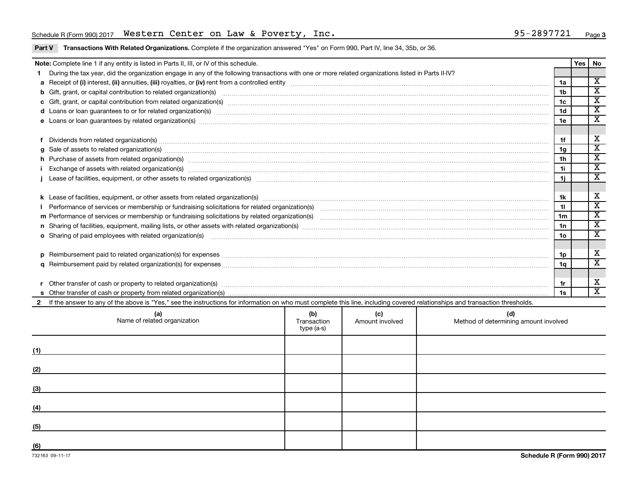# Schedule R (Form 990) 2017 Page Western Center on Law & Poverty, Inc. 95-2897721

Part V Transactions With Related Organizations. Complete if the organization answered "Yes" on Form 990, Part IV, line 34, 35b, or 36.

|  | Note: Complete line 1 if any entity is listed in Parts II, III, or IV of this schedule.                                                                                                                                        |                                  |                        |                                              |                 | Yes | No                          |  |  |
|--|--------------------------------------------------------------------------------------------------------------------------------------------------------------------------------------------------------------------------------|----------------------------------|------------------------|----------------------------------------------|-----------------|-----|-----------------------------|--|--|
|  | During the tax year, did the organization engage in any of the following transactions with one or more related organizations listed in Parts II-IV?                                                                            |                                  |                        |                                              |                 |     | $\overline{\mathbf{x}}$     |  |  |
|  | 1a                                                                                                                                                                                                                             |                                  |                        |                                              |                 |     |                             |  |  |
|  |                                                                                                                                                                                                                                |                                  |                        |                                              | 1b              |     | $\overline{\textbf{x}}$     |  |  |
|  |                                                                                                                                                                                                                                |                                  |                        |                                              | 1c              |     | $\overline{\texttt{x}}$     |  |  |
|  | d Loans or loan guarantees to or for related organization(s) www.communically.com/www.communically.com/www.communically.com/www.communically.com/www.communically.com/www.communically.com/www.communically.com/www.communical |                                  |                        |                                              | 1 <sub>d</sub>  |     | $\overline{\textnormal{x}}$ |  |  |
|  |                                                                                                                                                                                                                                |                                  |                        |                                              | 1e              |     | $\overline{\mathbf{x}}$     |  |  |
|  |                                                                                                                                                                                                                                |                                  |                        |                                              |                 |     |                             |  |  |
|  | Dividends from related organization(s) material contents and content to the content of the content of the content of the content of the content of the content of the content of the content of the content of the content of  |                                  |                        |                                              | 1f              |     | х                           |  |  |
|  | $g$ Sale of assets to related organization(s) with the contraction control of the control of the control of the control of the control of the control of the control of the control of the control of the control of the cont  |                                  |                        |                                              | 1g              |     | $\overline{\texttt{x}}$     |  |  |
|  | h Purchase of assets from related organization(s) manufactured and content to content the content of an architecture of assets from related organization(s) manufactured and content of the content of the content of the cont |                                  |                        |                                              | 1h              |     | $\overline{\texttt{x}}$     |  |  |
|  |                                                                                                                                                                                                                                |                                  |                        |                                              | 1i.             |     | $\overline{\texttt{x}}$     |  |  |
|  |                                                                                                                                                                                                                                |                                  |                        |                                              |                 |     | $\overline{\texttt{x}}$     |  |  |
|  |                                                                                                                                                                                                                                |                                  |                        |                                              |                 |     |                             |  |  |
|  |                                                                                                                                                                                                                                |                                  |                        |                                              |                 |     |                             |  |  |
|  |                                                                                                                                                                                                                                |                                  |                        |                                              |                 |     |                             |  |  |
|  |                                                                                                                                                                                                                                |                                  |                        |                                              |                 |     |                             |  |  |
|  |                                                                                                                                                                                                                                |                                  |                        |                                              | 1n              |     | $\overline{\textbf{x}}$     |  |  |
|  | o Sharing of paid employees with related organization(s) manufactured and content to the contract of the contract organization(s) manufactured and content and content of the content of the content of the content of the con |                                  |                        |                                              | 10 <sub>o</sub> |     | $\overline{\textnormal{x}}$ |  |  |
|  |                                                                                                                                                                                                                                |                                  |                        |                                              |                 |     |                             |  |  |
|  |                                                                                                                                                                                                                                |                                  |                        |                                              | 1p              |     | х                           |  |  |
|  |                                                                                                                                                                                                                                |                                  |                        |                                              | 1q              |     | $\overline{\texttt{x}}$     |  |  |
|  |                                                                                                                                                                                                                                |                                  |                        |                                              |                 |     |                             |  |  |
|  |                                                                                                                                                                                                                                |                                  |                        |                                              | 1r              |     | х                           |  |  |
|  |                                                                                                                                                                                                                                |                                  |                        |                                              | 1s              |     | $\overline{\texttt{x}}$     |  |  |
|  | 2 If the answer to any of the above is "Yes," see the instructions for information on who must complete this line, including covered relationships and transaction thresholds.                                                 |                                  |                        |                                              |                 |     |                             |  |  |
|  | (a)<br>Name of related organization                                                                                                                                                                                            | (b)<br>Transaction<br>type (a-s) | (C)<br>Amount involved | (d)<br>Method of determining amount involved |                 |     |                             |  |  |

| (1)                                                  |  |  |
|------------------------------------------------------|--|--|
| (2)                                                  |  |  |
| (3)<br><u> 1980 - Andrea Andrew Maria (h. 1980).</u> |  |  |
| (4)                                                  |  |  |
| (5)                                                  |  |  |
| (6)                                                  |  |  |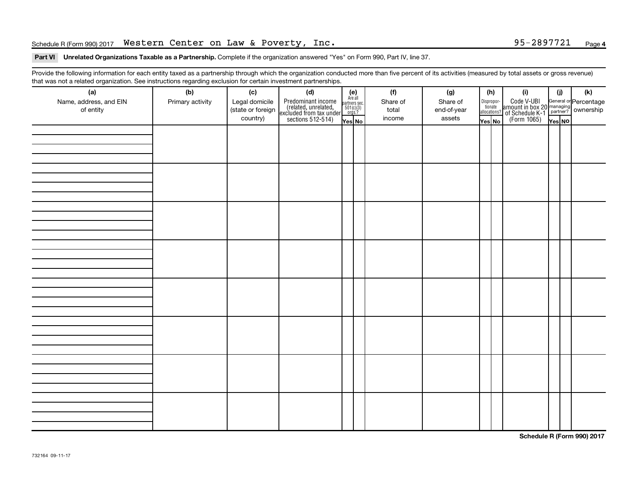# Schedule R (Form 990) 2017 Page Western Center on Law & Poverty, Inc. 95-2897721

# **4**

### Part VI Unrelated Organizations Taxable as a Partnership. Complete if the organization answered "Yes" on Form 990, Part IV, line 37.

Provide the following information for each entity taxed as a partnership through which the organization conducted more than five percent of its activities (measured by total assets or gross revenue) that was not a related organization. See instructions regarding exclusion for certain investment partnerships.

| (a)<br>Name, address, and EIN<br>of entity | - 0-<br>- <del>-</del> - - - - - - - - -<br>(b)<br>Primary activity | (c)<br>Legal domicile<br>(state or foreign<br>country) | - - - - <sub>1</sub> - - -<br>(d)<br>Predominant income<br>(related, unrelated,<br>excluded from tax under,<br>sections 512-514) | (e)<br>Are all<br>partners sec.<br>$501(c)(3)$<br>orgs.?<br>Yes No | (f)<br>Share of<br>total<br>income | (g)<br>Share of<br>end-of-year<br>assets | (h)<br>Dispropor-<br>tionate<br>allocations?<br>Yes No | (i)<br>Code V-UBI<br>amount in box 20 managing<br>Percentage<br>(Form 1065)<br>Tes No | (i)<br>Yes NO | (k) |
|--------------------------------------------|---------------------------------------------------------------------|--------------------------------------------------------|----------------------------------------------------------------------------------------------------------------------------------|--------------------------------------------------------------------|------------------------------------|------------------------------------------|--------------------------------------------------------|---------------------------------------------------------------------------------------|---------------|-----|
|                                            |                                                                     |                                                        |                                                                                                                                  |                                                                    |                                    |                                          |                                                        |                                                                                       |               |     |
|                                            |                                                                     |                                                        |                                                                                                                                  |                                                                    |                                    |                                          |                                                        |                                                                                       |               |     |
|                                            |                                                                     |                                                        |                                                                                                                                  |                                                                    |                                    |                                          |                                                        |                                                                                       |               |     |
|                                            |                                                                     |                                                        |                                                                                                                                  |                                                                    |                                    |                                          |                                                        |                                                                                       |               |     |
|                                            |                                                                     |                                                        |                                                                                                                                  |                                                                    |                                    |                                          |                                                        |                                                                                       |               |     |
|                                            |                                                                     |                                                        |                                                                                                                                  |                                                                    |                                    |                                          |                                                        |                                                                                       |               |     |
|                                            |                                                                     |                                                        |                                                                                                                                  |                                                                    |                                    |                                          |                                                        |                                                                                       |               |     |
|                                            |                                                                     |                                                        |                                                                                                                                  |                                                                    |                                    |                                          |                                                        |                                                                                       |               |     |

**Schedule R (Form 990) 2017**